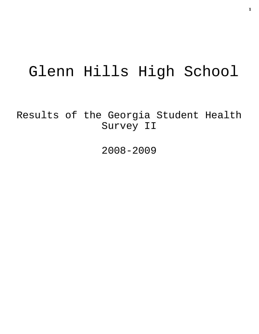# Glenn Hills High School

Results of the Georgia Student Health Survey II

2008-2009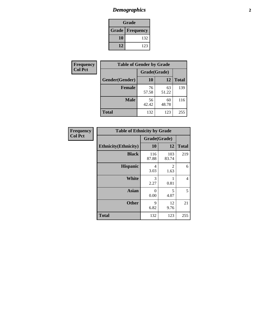# *Demographics* **2**

| Grade                    |     |  |  |  |
|--------------------------|-----|--|--|--|
| <b>Grade   Frequency</b> |     |  |  |  |
| 10                       | 132 |  |  |  |
| 12                       | 123 |  |  |  |

| Frequency      | <b>Table of Gender by Grade</b> |              |             |              |  |
|----------------|---------------------------------|--------------|-------------|--------------|--|
| <b>Col Pct</b> |                                 | Grade(Grade) |             |              |  |
|                | Gender(Gender)                  | 10           | 12          | <b>Total</b> |  |
|                | <b>Female</b>                   | 76<br>57.58  | 63<br>51.22 | 139          |  |
|                | <b>Male</b>                     | 56<br>42.42  | 60<br>48.78 | 116          |  |
|                | <b>Total</b>                    | 132          | 123         | 255          |  |

| <b>Frequency</b><br>Col Pct |
|-----------------------------|

|                              | <b>Table of Ethnicity by Grade</b> |              |              |              |  |  |  |
|------------------------------|------------------------------------|--------------|--------------|--------------|--|--|--|
|                              |                                    |              | Grade(Grade) |              |  |  |  |
| <b>Ethnicity</b> (Ethnicity) |                                    | 10           | 12           | <b>Total</b> |  |  |  |
|                              | <b>Black</b>                       | 116<br>87.88 | 103<br>83.74 | 219          |  |  |  |
|                              | <b>Hispanic</b>                    | 4<br>3.03    | 2<br>1.63    | 6            |  |  |  |
|                              | <b>White</b>                       | 3<br>2.27    | 0.81         | 4            |  |  |  |
|                              | <b>Asian</b>                       | 0<br>0.00    | 5<br>4.07    | 5            |  |  |  |
|                              | <b>Other</b>                       | 9<br>6.82    | 12<br>9.76   | 21           |  |  |  |
| <b>Total</b>                 |                                    | 132          | 123          | 255          |  |  |  |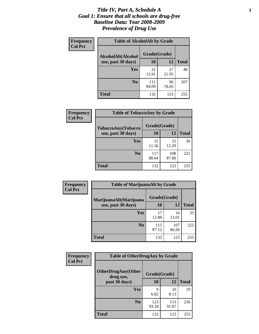#### *Title IV, Part A, Schedule A* **3** *Goal 1: Ensure that all schools are drug-free Baseline Data: Year 2008-2009 Prevalence of Drug Use*

| Frequency<br><b>Col Pct</b> | <b>Table of AlcoholAlt by Grade</b> |              |             |              |  |  |
|-----------------------------|-------------------------------------|--------------|-------------|--------------|--|--|
|                             | AlcoholAlt(Alcohol                  | Grade(Grade) |             |              |  |  |
|                             | use, past 30 days)                  | <b>10</b>    | 12          | <b>Total</b> |  |  |
|                             | Yes                                 | 21<br>15.91  | 27<br>21.95 | 48           |  |  |
|                             | N <sub>0</sub>                      | 111<br>84.09 | 96<br>78.05 | 207          |  |  |
|                             | Total                               | 132          | 123         | 255          |  |  |

| Frequency<br><b>Col Pct</b> | <b>Table of TobaccoAny by Grade</b> |              |              |              |  |  |
|-----------------------------|-------------------------------------|--------------|--------------|--------------|--|--|
|                             | TobaccoAny(Tobacco                  | Grade(Grade) |              |              |  |  |
|                             | use, past 30 days)                  | 10           | 12           | <b>Total</b> |  |  |
|                             | Yes                                 | 15<br>11.36  | 15<br>12.20  | 30           |  |  |
|                             | N <sub>0</sub>                      | 117<br>88.64 | 108<br>87.80 | 225          |  |  |
|                             | <b>Total</b>                        | 132          | 123          | 255          |  |  |

| Frequency<br><b>Col Pct</b> | <b>Table of MarijuanaAlt by Grade</b> |              |              |              |  |
|-----------------------------|---------------------------------------|--------------|--------------|--------------|--|
|                             | MarijuanaAlt(Marijuana                | Grade(Grade) |              |              |  |
|                             | use, past 30 days)                    | 10           | 12           | <b>Total</b> |  |
|                             | <b>Yes</b>                            | 17<br>12.88  | 16<br>13.01  | 33           |  |
|                             | N <sub>0</sub>                        | 115<br>87.12 | 107<br>86.99 | 222          |  |
|                             | <b>Total</b>                          | 132          | 123          | 255          |  |

| Frequency<br><b>Col Pct</b> | <b>Table of OtherDrugAny by Grade</b>  |              |              |              |  |
|-----------------------------|----------------------------------------|--------------|--------------|--------------|--|
|                             | <b>OtherDrugAny(Other</b><br>drug use, | Grade(Grade) |              |              |  |
|                             | past 30 days)                          | 10           | 12           | <b>Total</b> |  |
|                             | Yes                                    | q<br>6.82    | 10<br>8.13   | 19           |  |
|                             | N <sub>0</sub>                         | 123<br>93.18 | 113<br>91.87 | 236          |  |
|                             | <b>Total</b>                           | 132          | 123          | 255          |  |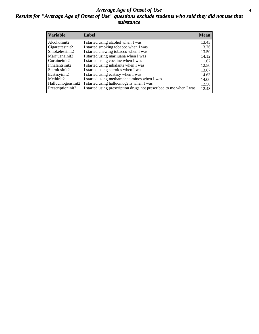### *Average Age of Onset of Use* **4** *Results for "Average Age of Onset of Use" questions exclude students who said they did not use that substance*

| <b>Variable</b>       | Label                                                              | <b>Mean</b> |
|-----------------------|--------------------------------------------------------------------|-------------|
| Alcoholinit2          | I started using alcohol when I was                                 | 13.43       |
| Cigarettesinit2       | I started smoking tobacco when I was                               | 13.76       |
| Smokelessinit2        | I started chewing tobacco when I was                               | 13.50       |
| Marijuanainit2        | I started using marijuana when I was                               | 14.12       |
| Cocaineinit2          | I started using cocaine when I was                                 | 11.67       |
| Inhalantsinit2        | I started using inhalants when I was                               | 12.50       |
| Steroidsinit2         | I started using steroids when I was                                | 13.67       |
| Ecstasyinit2          | I started using ecstasy when I was                                 | 14.63       |
| Methinit <sub>2</sub> | I started using methamphetamines when I was                        | 14.00       |
| Hallucinogensinit2    | I started using hallucinogens when I was                           | 12.50       |
| Prescriptioninit2     | I started using prescription drugs not prescribed to me when I was | 12.48       |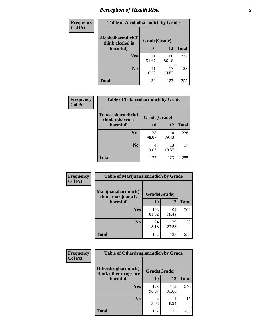# *Perception of Health Risk* **5**

| Frequency      | <b>Table of Alcoholharmdich by Grade</b> |              |              |              |  |
|----------------|------------------------------------------|--------------|--------------|--------------|--|
| <b>Col Pct</b> | Alcoholharmdich(I<br>think alcohol is    | Grade(Grade) |              |              |  |
|                | harmful)                                 | 10           | 12           | <b>Total</b> |  |
|                | <b>Yes</b>                               | 121<br>91.67 | 106<br>86.18 | 227          |  |
|                | N <sub>0</sub>                           | 11<br>8.33   | 17<br>13.82  | 28           |  |
|                | <b>Total</b>                             | 132          | 123          | 255          |  |

| <b>Frequency</b> | <b>Table of Tobaccoharmdich by Grade</b> |              |              |              |
|------------------|------------------------------------------|--------------|--------------|--------------|
| <b>Col Pct</b>   | Tobaccoharmdich(I<br>think tobacco is    | Grade(Grade) |              |              |
|                  | harmful)                                 | 10           | 12           | <b>Total</b> |
|                  | Yes                                      | 128<br>96.97 | 110<br>89.43 | 238          |
|                  | N <sub>0</sub>                           | 4<br>3.03    | 13<br>10.57  | 17           |
|                  | <b>Total</b>                             | 132          | 123          | 255          |

| <b>Frequency</b> | <b>Table of Marijuanaharmdich by Grade</b> |              |             |              |  |  |
|------------------|--------------------------------------------|--------------|-------------|--------------|--|--|
| <b>Col Pct</b>   | Marijuanaharmdich(I<br>think marijuana is  | Grade(Grade) |             |              |  |  |
|                  | harmful)                                   | 10           | 12          | <b>Total</b> |  |  |
|                  | Yes                                        | 108<br>81.82 | 94<br>76.42 | 202          |  |  |
|                  | N <sub>0</sub>                             | 24<br>18.18  | 29<br>23.58 | 53           |  |  |
|                  | <b>Total</b>                               | 132          | 123         | 255          |  |  |

| <b>Frequency</b> | <b>Table of Otherdrugharmdich by Grade</b>                   |              |              |              |  |
|------------------|--------------------------------------------------------------|--------------|--------------|--------------|--|
| <b>Col Pct</b>   | Otherdrugharmdich(I<br>Grade(Grade)<br>think other drugs are |              |              |              |  |
|                  | harmful)                                                     | 10           | 12           | <b>Total</b> |  |
|                  | Yes                                                          | 128<br>96.97 | 112<br>91.06 | 240          |  |
|                  | N <sub>0</sub>                                               | 3.03         | 8.94         | 15           |  |
|                  | <b>Total</b>                                                 | 132          | 123          | 255          |  |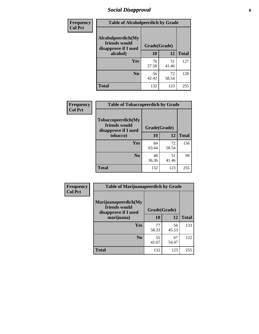# *Social Disapproval* **6**

| Frequency      | <b>Table of Alcoholpeerdich by Grade</b>                    |              |             |              |
|----------------|-------------------------------------------------------------|--------------|-------------|--------------|
| <b>Col Pct</b> | Alcoholpeerdich(My<br>friends would<br>disapprove if I used | Grade(Grade) |             |              |
|                | alcohol)                                                    | 10           | 12          | <b>Total</b> |
|                | <b>Yes</b>                                                  | 76<br>57.58  | 51<br>41.46 | 127          |
|                | N <sub>0</sub>                                              | 56<br>42.42  | 72<br>58.54 | 128          |
|                | <b>Total</b>                                                | 132          | 123         | 255          |

| <b>Frequency</b> |
|------------------|
| <b>Col Pct</b>   |

| <b>Table of Tobaccopeerdich by Grade</b>                    |              |             |              |  |  |
|-------------------------------------------------------------|--------------|-------------|--------------|--|--|
| Tobaccopeerdich(My<br>friends would<br>disapprove if I used | Grade(Grade) |             |              |  |  |
| tobacco)                                                    | 10           | 12          | <b>Total</b> |  |  |
| Yes                                                         | 84<br>63.64  | 72<br>58.54 | 156          |  |  |
| N <sub>0</sub>                                              | 48<br>36.36  | 51<br>41.46 | 99           |  |  |
| <b>Total</b>                                                | 132          | 123         | 255          |  |  |

| <b>Frequency</b> | <b>Table of Marijuanapeerdich by Grade</b>                    |              |             |              |  |
|------------------|---------------------------------------------------------------|--------------|-------------|--------------|--|
| <b>Col Pct</b>   | Marijuanapeerdich(My<br>friends would<br>disapprove if I used | Grade(Grade) |             |              |  |
|                  | marijuana)                                                    | 10           | 12          | <b>Total</b> |  |
|                  | <b>Yes</b>                                                    | 77<br>58.33  | 56<br>45.53 | 133          |  |
|                  | N <sub>0</sub>                                                | 55<br>41.67  | 67<br>54.47 | 122          |  |
|                  | <b>Total</b>                                                  | 132          | 123         | 255          |  |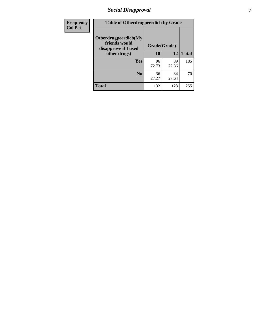# *Social Disapproval* **7**

| Frequency      | <b>Table of Otherdrugpeerdich by Grade</b>                    |              |             |              |  |
|----------------|---------------------------------------------------------------|--------------|-------------|--------------|--|
| <b>Col Pct</b> | Otherdrugpeerdich(My<br>friends would<br>disapprove if I used | Grade(Grade) |             |              |  |
|                | other drugs)                                                  | 10           | 12          | <b>Total</b> |  |
|                | <b>Yes</b>                                                    | 96<br>72.73  | 89<br>72.36 | 185          |  |
|                | N <sub>0</sub>                                                | 36<br>27.27  | 34<br>27.64 | 70           |  |
|                | <b>Total</b>                                                  | 132          | 123         | 255          |  |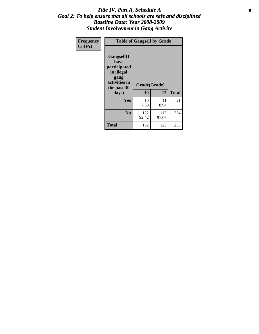### Title IV, Part A, Schedule A **8** *Goal 2: To help ensure that all schools are safe and disciplined Baseline Data: Year 2008-2009 Student Involvement in Gang Activity*

| Frequency      | <b>Table of Gangself by Grade</b>                                                                 |                    |              |              |
|----------------|---------------------------------------------------------------------------------------------------|--------------------|--------------|--------------|
| <b>Col Pct</b> | Gangself(I<br>have<br>participated<br>in illegal<br>gang<br>activities in<br>the past 30<br>days) | Grade(Grade)<br>10 | 12           | <b>Total</b> |
|                | Yes                                                                                               | 10<br>7.58         | 11<br>8.94   | 21           |
|                | N <sub>0</sub>                                                                                    | 122<br>92.42       | 112<br>91.06 | 234          |
|                | <b>Total</b>                                                                                      | 132                | 123          | 255          |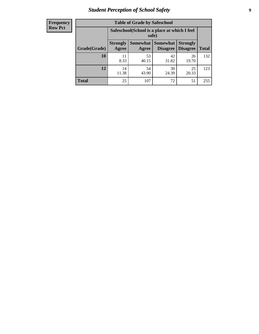# *Student Perception of School Safety* **9**

| <b>Frequency</b><br>Row Pct |
|-----------------------------|
|                             |

| <b>Table of Grade by Safeschool</b> |                                                                                                                                   |                                                        |             |             |     |  |  |
|-------------------------------------|-----------------------------------------------------------------------------------------------------------------------------------|--------------------------------------------------------|-------------|-------------|-----|--|--|
|                                     |                                                                                                                                   | Safeschool (School is a place at which I feel<br>safe) |             |             |     |  |  |
| Grade(Grade)                        | <b>Somewhat   Somewhat</b><br><b>Strongly</b><br><b>Strongly</b><br><b>Disagree</b><br>Agree<br>Disagree<br><b>Total</b><br>Agree |                                                        |             |             |     |  |  |
| 10                                  | 11<br>8.33                                                                                                                        | 53<br>40.15                                            | 42<br>31.82 | 26<br>19.70 | 132 |  |  |
| 12                                  | 14<br>11.38                                                                                                                       | 54<br>43.90                                            | 30<br>24.39 | 25<br>20.33 | 123 |  |  |
| <b>Total</b>                        | 25                                                                                                                                | 107                                                    | 72          | 51          | 255 |  |  |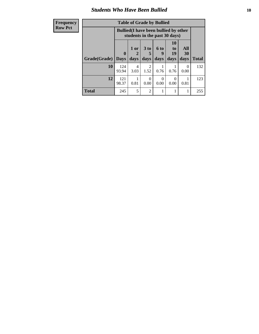### *Students Who Have Been Bullied* **10**

| <b>Frequency</b> | <b>Table of Grade by Bullied</b> |                             |                        |                             |                                                                               |                        |                   |              |
|------------------|----------------------------------|-----------------------------|------------------------|-----------------------------|-------------------------------------------------------------------------------|------------------------|-------------------|--------------|
| <b>Row Pct</b>   |                                  |                             |                        |                             | <b>Bullied</b> (I have been bullied by other<br>students in the past 30 days) |                        |                   |              |
|                  | Grade(Grade)                     | $\mathbf{0}$<br><b>Days</b> | 1 or<br>2<br>days      | 3 to<br>5<br>days           | 6 to<br>9<br>days                                                             | 10<br>to<br>19<br>days | All<br>30<br>days | <b>Total</b> |
|                  | 10                               | 124<br>93.94                | $\overline{4}$<br>3.03 | $\mathfrak{D}$<br>1.52      | 0.76                                                                          | 0.76                   | $\Omega$<br>0.00  | 132          |
|                  | 12                               | 121<br>98.37                | 0.81                   | 0.00                        | 0<br>0.00                                                                     | 0<br>0.00              | 0.81              | 123          |
|                  | <b>Total</b>                     | 245                         | 5                      | $\mathcal{D}_{\mathcal{A}}$ |                                                                               |                        |                   | 255          |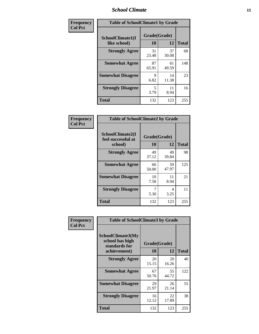### *School Climate* **11**

| <b>Frequency</b> | <b>Table of SchoolClimate1 by Grade</b> |                    |             |              |  |
|------------------|-----------------------------------------|--------------------|-------------|--------------|--|
| <b>Col Pct</b>   | SchoolClimate1(I<br>like school)        | Grade(Grade)<br>10 | 12          | <b>Total</b> |  |
|                  | <b>Strongly Agree</b>                   | 31<br>23.48        | 37<br>30.08 | 68           |  |
|                  | <b>Somewhat Agree</b>                   | 87<br>65.91        | 61<br>49.59 | 148          |  |
|                  | <b>Somewhat Disagree</b>                | 9<br>6.82          | 14<br>11.38 | 23           |  |
|                  | <b>Strongly Disagree</b>                | 5<br>3.79          | 11<br>8.94  | 16           |  |
|                  | <b>Total</b>                            | 132                | 123         | 255          |  |

| <b>Table of SchoolClimate2 by Grade</b>           |                    |             |              |  |  |
|---------------------------------------------------|--------------------|-------------|--------------|--|--|
| SchoolClimate2(I<br>feel successful at<br>school) | Grade(Grade)<br>10 | 12          | <b>Total</b> |  |  |
| <b>Strongly Agree</b>                             | 49<br>37.12        | 49<br>39.84 | 98           |  |  |
| <b>Somewhat Agree</b>                             | 66<br>50.00        | 59<br>47.97 | 125          |  |  |
| <b>Somewhat Disagree</b>                          | 10<br>7.58         | 11<br>8.94  | 21           |  |  |
| <b>Strongly Disagree</b>                          | 7<br>5.30          | 4<br>3.25   | 11           |  |  |
| <b>Total</b>                                      | 132                | 123         | 255          |  |  |

| Frequency      | <b>Table of SchoolClimate3 by Grade</b>                      |              |             |              |  |
|----------------|--------------------------------------------------------------|--------------|-------------|--------------|--|
| <b>Col Pct</b> | <b>SchoolClimate3(My</b><br>school has high<br>standards for | Grade(Grade) |             |              |  |
|                | achievement)                                                 | 10           | 12          | <b>Total</b> |  |
|                | <b>Strongly Agree</b>                                        | 20<br>15.15  | 20<br>16.26 | 40           |  |
|                | <b>Somewhat Agree</b>                                        | 67<br>50.76  | 55<br>44.72 | 122          |  |
|                | <b>Somewhat Disagree</b>                                     | 29<br>21.97  | 26<br>21.14 | 55           |  |
|                | <b>Strongly Disagree</b>                                     | 16<br>12.12  | 22<br>17.89 | 38           |  |
|                | Total                                                        | 132          | 123         | 255          |  |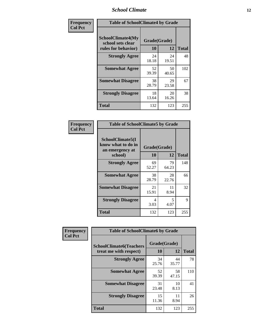### *School Climate* **12**

| Frequency      | <b>Table of SchoolClimate4 by Grade</b>                              |                    |             |              |
|----------------|----------------------------------------------------------------------|--------------------|-------------|--------------|
| <b>Col Pct</b> | <b>SchoolClimate4(My</b><br>school sets clear<br>rules for behavior) | Grade(Grade)<br>10 | 12          | <b>Total</b> |
|                | <b>Strongly Agree</b>                                                | 24<br>18.18        | 24<br>19.51 | 48           |
|                | <b>Somewhat Agree</b>                                                | 52<br>39.39        | 50<br>40.65 | 102          |
|                | <b>Somewhat Disagree</b>                                             | 38<br>28.79        | 29<br>23.58 | 67           |
|                | <b>Strongly Disagree</b>                                             | 18<br>13.64        | 20<br>16.26 | 38           |
|                | Total                                                                | 132                | 123         | 255          |

| <b>Table of SchoolClimate5 by Grade</b>                   |              |             |              |  |
|-----------------------------------------------------------|--------------|-------------|--------------|--|
| SchoolClimate5(I<br>know what to do in<br>an emergency at | Grade(Grade) |             |              |  |
| school)                                                   | 10           | 12          | <b>Total</b> |  |
| <b>Strongly Agree</b>                                     | 69<br>52.27  | 79<br>64.23 | 148          |  |
| <b>Somewhat Agree</b>                                     | 38<br>28.79  | 28<br>22.76 | 66           |  |
| <b>Somewhat Disagree</b>                                  | 21<br>15.91  | 11<br>8.94  | 32           |  |
| <b>Strongly Disagree</b>                                  | 4<br>3.03    | 5<br>4.07   | 9            |  |
| Total                                                     | 132          | 123         | 255          |  |

| Frequency      | <b>Table of SchoolClimate6 by Grade</b>                  |                    |             |              |
|----------------|----------------------------------------------------------|--------------------|-------------|--------------|
| <b>Col Pct</b> | <b>SchoolClimate6(Teachers</b><br>treat me with respect) | Grade(Grade)<br>10 | 12          | <b>Total</b> |
|                | <b>Strongly Agree</b>                                    | 34<br>25.76        | 44<br>35.77 | 78           |
|                | <b>Somewhat Agree</b>                                    | 52<br>39.39        | 58<br>47.15 | 110          |
|                | <b>Somewhat Disagree</b>                                 | 31<br>23.48        | 10<br>8.13  | 41           |
|                | <b>Strongly Disagree</b>                                 | 15<br>11.36        | 11<br>8.94  | 26           |
|                | Total                                                    | 132                | 123         | 255          |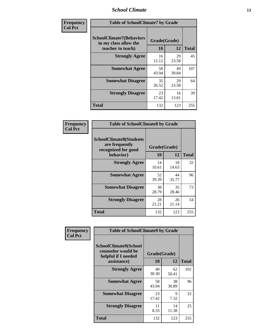### *School Climate* **13**

| Frequency      | <b>Table of SchoolClimate7 by Grade</b>                                       |                    |             |              |
|----------------|-------------------------------------------------------------------------------|--------------------|-------------|--------------|
| <b>Col Pct</b> | <b>SchoolClimate7(Behaviors</b><br>in my class allow the<br>teacher to teach) | Grade(Grade)<br>10 | 12          | <b>Total</b> |
|                | <b>Strongly Agree</b>                                                         | 16<br>12.12        | 29<br>23.58 | 45           |
|                | <b>Somewhat Agree</b>                                                         | 58<br>43.94        | 49<br>39.84 | 107          |
|                | <b>Somewhat Disagree</b>                                                      | 35<br>26.52        | 29<br>23.58 | 64           |
|                | <b>Strongly Disagree</b>                                                      | 23<br>17.42        | 16<br>13.01 | 39           |
|                | <b>Total</b>                                                                  | 132                | 123         | 255          |

| Frequency      | <b>Table of SchoolClimate8 by Grade</b>                                              |                    |             |              |
|----------------|--------------------------------------------------------------------------------------|--------------------|-------------|--------------|
| <b>Col Pct</b> | <b>SchoolClimate8(Students</b><br>are frequently<br>recognized for good<br>behavior) | Grade(Grade)<br>10 | 12          | <b>Total</b> |
|                | <b>Strongly Agree</b>                                                                | 14<br>10.61        | 18<br>14.63 | 32           |
|                | <b>Somewhat Agree</b>                                                                | 52<br>39.39        | 44<br>35.77 | 96           |
|                | <b>Somewhat Disagree</b>                                                             | 38<br>28.79        | 35<br>28.46 | 73           |
|                | <b>Strongly Disagree</b>                                                             | 28<br>21.21        | 26<br>21.14 | 54           |
|                | <b>Total</b>                                                                         | 132                | 123         | 255          |

| Frequency      | <b>Table of SchoolClimate9 by Grade</b>                                           |                    |             |              |
|----------------|-----------------------------------------------------------------------------------|--------------------|-------------|--------------|
| <b>Col Pct</b> | SchoolClimate9(School<br>counselor would be<br>helpful if I needed<br>assistance) | Grade(Grade)<br>10 | 12          | <b>Total</b> |
|                | <b>Strongly Agree</b>                                                             | 40<br>30.30        | 62<br>50.41 | 102          |
|                | <b>Somewhat Agree</b>                                                             | 58<br>43.94        | 38<br>30.89 | 96           |
|                | <b>Somewhat Disagree</b>                                                          | 23<br>17.42        | 9<br>7.32   | 32           |
|                | <b>Strongly Disagree</b>                                                          | 11<br>8.33         | 14<br>11.38 | 25           |
|                | Total                                                                             | 132                | 123         | 255          |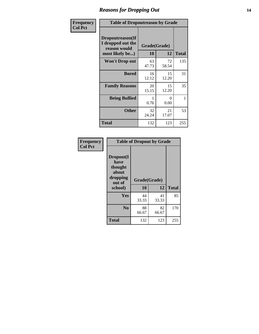### *Reasons for Dropping Out* **14**

| Frequency      | <b>Table of Dropoutreason by Grade</b>                                   |                    |             |              |
|----------------|--------------------------------------------------------------------------|--------------------|-------------|--------------|
| <b>Col Pct</b> | Dropoutreason(If<br>I dropped out the<br>reason would<br>most likely be) | Grade(Grade)<br>10 | 12          | <b>Total</b> |
|                | Won't Drop out                                                           | 63<br>47.73        | 72<br>58.54 | 135          |
|                | <b>Bored</b>                                                             | 16<br>12.12        | 15<br>12.20 | 31           |
|                | <b>Family Reasons</b>                                                    | 20<br>15.15        | 15<br>12.20 | 35           |
|                | <b>Being Bullied</b>                                                     | 0.76               | 0<br>0.00   | 1            |
|                | <b>Other</b>                                                             | 32<br>24.24        | 21<br>17.07 | 53           |
|                | <b>Total</b>                                                             | 132                | 123         | 255          |

| Frequency<br><b>Col Pct</b> |                                                                        | <b>Table of Dropout by Grade</b> |             |              |  |  |  |
|-----------------------------|------------------------------------------------------------------------|----------------------------------|-------------|--------------|--|--|--|
|                             | Dropout(I<br>have<br>thought<br>about<br>dropping<br>out of<br>school) | Grade(Grade)<br>10               | 12          | <b>Total</b> |  |  |  |
|                             |                                                                        |                                  |             |              |  |  |  |
|                             | Yes                                                                    | 44<br>33.33                      | 41<br>33.33 | 85           |  |  |  |
|                             | N <sub>0</sub>                                                         | 88<br>66.67                      | 82<br>66.67 | 170          |  |  |  |
|                             | <b>Total</b>                                                           | 132                              | 123         | 255          |  |  |  |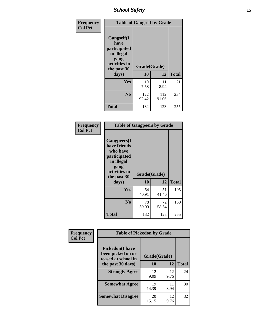*School Safety* **15**

| Frequency      | <b>Table of Gangself by Grade</b>                                                                 |                    |              |              |
|----------------|---------------------------------------------------------------------------------------------------|--------------------|--------------|--------------|
| <b>Col Pct</b> | Gangself(I<br>have<br>participated<br>in illegal<br>gang<br>activities in<br>the past 30<br>days) | Grade(Grade)<br>10 | 12           | <b>Total</b> |
|                | Yes                                                                                               | 10<br>7.58         | 11<br>8.94   | 21           |
|                | N <sub>0</sub>                                                                                    | 122<br>92.42       | 112<br>91.06 | 234          |
|                | <b>Total</b>                                                                                      | 132                | 123          | 255          |

| Frequency<br><b>Col Pct</b> | <b>Table of Gangpeers by Grade</b>                                                                                             |                    |             |              |
|-----------------------------|--------------------------------------------------------------------------------------------------------------------------------|--------------------|-------------|--------------|
|                             | <b>Gangpeers</b> (I<br>have friends<br>who have<br>participated<br>in illegal<br>gang<br>activities in<br>the past 30<br>days) | Grade(Grade)<br>10 | 12          | <b>Total</b> |
|                             | <b>Yes</b>                                                                                                                     | 54<br>40.91        | 51<br>41.46 | 105          |
|                             | N <sub>0</sub>                                                                                                                 | 78<br>59.09        | 72<br>58.54 | 150          |
|                             | <b>Total</b>                                                                                                                   | 132                | 123         | 255          |

| Frequency      | <b>Table of Pickedon by Grade</b>                                  |              |            |              |
|----------------|--------------------------------------------------------------------|--------------|------------|--------------|
| <b>Col Pct</b> | <b>Pickedon(I have</b><br>been picked on or<br>teased at school in | Grade(Grade) |            |              |
|                | the past 30 days)                                                  | 10           | 12         | <b>Total</b> |
|                | <b>Strongly Agree</b>                                              | 12<br>9.09   | 12<br>9.76 | 24           |
|                | <b>Somewhat Agree</b>                                              | 19<br>14.39  | 11<br>8.94 | 30           |
|                | <b>Somewhat Disagree</b>                                           | 20<br>15.15  | 12<br>9.76 | 32           |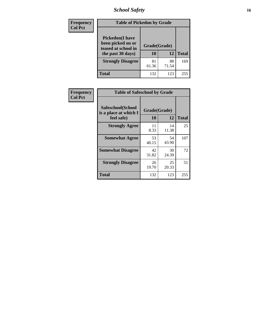# *School Safety* **16**

| <b>Frequency</b> |                                                                                          | <b>Table of Pickedon by Grade</b> |             |              |  |  |  |  |
|------------------|------------------------------------------------------------------------------------------|-----------------------------------|-------------|--------------|--|--|--|--|
| <b>Col Pct</b>   | <b>Pickedon</b> (I have<br>been picked on or<br>teased at school in<br>the past 30 days) | Grade(Grade)<br>10                | 12          | <b>Total</b> |  |  |  |  |
|                  | <b>Strongly Disagree</b>                                                                 | 81<br>61.36                       | 88<br>71.54 | 169          |  |  |  |  |
|                  | Total                                                                                    | 132                               | 123         | 255          |  |  |  |  |

| Frequency      |                                                          | <b>Table of Safeschool by Grade</b> |             |              |  |  |  |  |  |
|----------------|----------------------------------------------------------|-------------------------------------|-------------|--------------|--|--|--|--|--|
| <b>Col Pct</b> | Safeschool(School<br>is a place at which I<br>feel safe) | Grade(Grade)<br>10                  | 12          | <b>Total</b> |  |  |  |  |  |
|                | <b>Strongly Agree</b>                                    | 11<br>8.33                          | 14<br>11.38 | 25           |  |  |  |  |  |
|                | <b>Somewhat Agree</b>                                    | 53<br>40.15                         | 54<br>43.90 | 107          |  |  |  |  |  |
|                | <b>Somewhat Disagree</b>                                 | 42<br>31.82                         | 30<br>24.39 | 72           |  |  |  |  |  |
|                | <b>Strongly Disagree</b>                                 | 26<br>19.70                         | 25<br>20.33 | 51           |  |  |  |  |  |
|                | Total                                                    | 132                                 | 123         | 255          |  |  |  |  |  |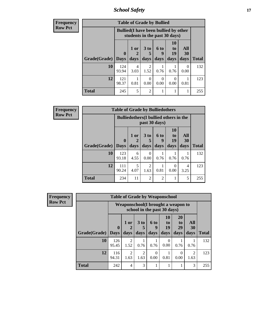*School Safety* **17**

| <b>Frequency</b> | <b>Table of Grade by Bullied</b> |                                                                               |           |                        |           |                  |                  |              |  |  |  |
|------------------|----------------------------------|-------------------------------------------------------------------------------|-----------|------------------------|-----------|------------------|------------------|--------------|--|--|--|
| <b>Row Pct</b>   |                                  | <b>Bullied</b> (I have been bullied by other<br>students in the past 30 days) |           |                        |           |                  |                  |              |  |  |  |
|                  |                                  | $\mathbf 0$                                                                   | 1 or      | 3 <sub>to</sub><br>5   | 6 to<br>9 | 10<br>to<br>19   | All<br><b>30</b> |              |  |  |  |
|                  | Grade(Grade)   Days              |                                                                               | days      | days                   | days      | days             | days             | <b>Total</b> |  |  |  |
|                  | 10                               | 124<br>93.94                                                                  | 4<br>3.03 | $\mathfrak{D}$<br>1.52 | 0.76      | 0.76             | 0<br>0.00        | 132          |  |  |  |
|                  | 12                               | 121<br>98.37                                                                  | 0.81      | 0<br>0.00              | 0<br>0.00 | $\Omega$<br>0.00 | 0.81             | 123          |  |  |  |
|                  | <b>Total</b>                     | 245                                                                           | 5         | $\overline{2}$         |           |                  | 1                | 255          |  |  |  |

| <b>Frequency</b> | <b>Table of Grade by Bulliedothers</b> |              |                                                                |                      |                |                       |           |              |  |
|------------------|----------------------------------------|--------------|----------------------------------------------------------------|----------------------|----------------|-----------------------|-----------|--------------|--|
| <b>Row Pct</b>   |                                        |              | <b>Bulliedothers</b> (I bullied others in the<br>past 30 days) |                      |                |                       |           |              |  |
|                  |                                        | $\mathbf{0}$ | 1 or<br>2                                                      | 3 <sub>to</sub><br>5 | 6 to<br>9      | <b>10</b><br>to<br>19 | All<br>30 |              |  |
|                  | Grade(Grade)   Days                    |              | days                                                           | days                 | days           | days                  | days      | <b>Total</b> |  |
|                  | 10                                     | 123<br>93.18 | 6<br>4.55                                                      | $\Omega$<br>0.00     | 0.76           | 0.76                  | 0.76      | 132          |  |
|                  | 12                                     | 111<br>90.24 | 5<br>4.07                                                      | 2<br>1.63            | 0.81           | 0<br>0.00             | 4<br>3.25 | 123          |  |
|                  | <b>Total</b>                           | 234          | 11                                                             | 2                    | $\overline{2}$ | 1                     | 5         | 255          |  |

| <b>Frequency</b> | <b>Table of Grade by Weaponschool</b> |              |                                                                    |                         |                   |                        |                               |                   |              |  |
|------------------|---------------------------------------|--------------|--------------------------------------------------------------------|-------------------------|-------------------|------------------------|-------------------------------|-------------------|--------------|--|
| <b>Row Pct</b>   |                                       |              | Weaponschool (I brought a weapon to<br>school in the past 30 days) |                         |                   |                        |                               |                   |              |  |
|                  | Grade(Grade)   Days                   | $\mathbf{0}$ | 1 or<br>days                                                       | 3 <sub>to</sub><br>days | 6 to<br>q<br>days | 10<br>to<br>19<br>days | <b>20</b><br>to<br>29<br>days | All<br>30<br>days | <b>Total</b> |  |
|                  | 10                                    | 126<br>95.45 | $\mathfrak{D}$<br>1.52                                             | 0.76                    | 0.76              | 0<br>0.00              | 0.76                          | 0.76              | 132          |  |
|                  | 12                                    | 116<br>94.31 | 2<br>1.63                                                          | $\overline{2}$<br>1.63  | 0.00              | 0.81                   | $\theta$<br>0.00              | 2<br>1.63         | 123          |  |
|                  | <b>Total</b>                          | 242          | 4                                                                  | 3                       |                   |                        |                               | 3                 | 255          |  |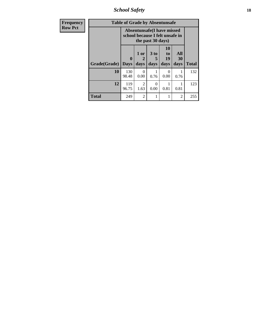*School Safety* **18**

| <b>Frequency</b> | <b>Table of Grade by Absentunsafe</b> |                                                                      |                              |                   |                        |                   |              |  |  |
|------------------|---------------------------------------|----------------------------------------------------------------------|------------------------------|-------------------|------------------------|-------------------|--------------|--|--|
| <b>Row Pct</b>   |                                       | <b>Absentunsafe(I have missed</b><br>school because I felt unsafe in |                              |                   |                        |                   |              |  |  |
|                  | Grade(Grade)                          | 0<br><b>Days</b>                                                     | 1 or<br>$\mathbf{2}$<br>days | 3 to<br>5<br>days | 10<br>to<br>19<br>days | All<br>30<br>days | <b>Total</b> |  |  |
|                  | 10                                    | 130<br>98.48                                                         | 0<br>0.00                    | 0.76              | 0.00                   | 0.76              | 132          |  |  |
|                  | 12                                    | 119<br>96.75                                                         | 2<br>1.63                    | 0<br>0.00         | 0.81                   | 0.81              | 123          |  |  |
|                  | Total                                 | 249                                                                  | $\overline{2}$               | 1                 | 1                      | $\overline{2}$    | 255          |  |  |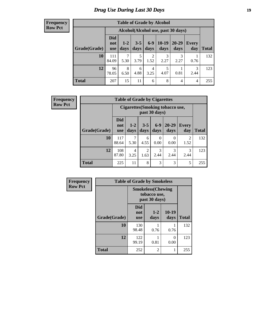# *Drug Use During Last 30 Days* **19**

#### **Frequency Row Pct**

Ī

| <b>Table of Grade by Alcohol</b> |                                 |                                    |                 |                        |                 |                   |                     |              |  |  |
|----------------------------------|---------------------------------|------------------------------------|-----------------|------------------------|-----------------|-------------------|---------------------|--------------|--|--|
|                                  |                                 | Alcohol(Alcohol use, past 30 days) |                 |                        |                 |                   |                     |              |  |  |
| Grade(Grade)                     | <b>Did</b><br>not<br><b>use</b> | $1 - 2$<br>days                    | $3 - 5$<br>days | $6-9$<br>days          | $10-19$<br>days | $20 - 29$<br>days | <b>Every</b><br>day | <b>Total</b> |  |  |
| 10                               | 111<br>84.09                    | 7<br>5.30                          | 5<br>3.79       | $\overline{c}$<br>1.52 | 3<br>2.27       | 3<br>2.27         | 0.76                | 132          |  |  |
| 12                               | 96<br>78.05                     | 8<br>6.50                          | 6<br>4.88       | 4<br>3.25              | 5<br>4.07       | 0.81              | 3<br>2.44           | 123          |  |  |
| <b>Total</b>                     | 207                             | 15                                 | 11              | 6                      | 8               | 4                 | 4                   | 255          |  |  |

| <b>Frequency</b> | <b>Table of Grade by Cigarettes</b> |                                 |                                                         |                        |                  |                  |                     |              |  |  |
|------------------|-------------------------------------|---------------------------------|---------------------------------------------------------|------------------------|------------------|------------------|---------------------|--------------|--|--|
| <b>Row Pct</b>   |                                     |                                 | <b>Cigarettes(Smoking tobacco use,</b><br>past 30 days) |                        |                  |                  |                     |              |  |  |
|                  | Grade(Grade)                        | <b>Did</b><br>not<br><b>use</b> | $1-2$<br>days                                           | $3 - 5$<br>days        | $6-9$<br>days    | $20-29$<br>days  | <b>Every</b><br>day | <b>Total</b> |  |  |
|                  | 10                                  | 117<br>88.64                    | 7<br>5.30                                               | 6<br>4.55              | $\Omega$<br>0.00 | $\Omega$<br>0.00 | 2<br>1.52           | 132          |  |  |
|                  | 12                                  | 108<br>87.80                    | 4<br>3.25                                               | $\overline{c}$<br>1.63 | 3<br>2.44        | 3<br>2.44        | 3<br>2.44           | 123          |  |  |
|                  | <b>Total</b>                        | 225                             | 11                                                      | 8                      | 3                | 3                | 5                   | 255          |  |  |

| Frequency      | <b>Table of Grade by Smokeless</b> |                                                            |                 |                 |              |  |  |  |  |
|----------------|------------------------------------|------------------------------------------------------------|-----------------|-----------------|--------------|--|--|--|--|
| <b>Row Pct</b> |                                    | <b>Smokeless</b> (Chewing<br>tobacco use,<br>past 30 days) |                 |                 |              |  |  |  |  |
|                | Grade(Grade)                       | <b>Did</b><br>not<br><b>use</b>                            | $1 - 2$<br>days | $10-19$<br>days | <b>Total</b> |  |  |  |  |
|                | 10                                 | 130<br>98.48                                               | 0.76            | 0.76            | 132          |  |  |  |  |
|                | 12                                 | 122<br>99.19                                               | 0.81            | 0<br>0.00       | 123          |  |  |  |  |
|                | <b>Total</b>                       | 252                                                        | 2               | 1               | 255          |  |  |  |  |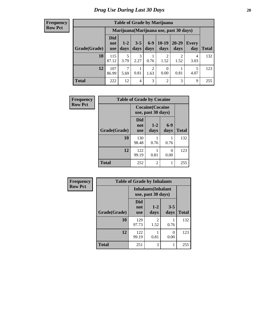#### **Frequency Row Pct**

| <b>Table of Grade by Marijuana</b> |                          |                                         |                 |                        |                  |               |              |       |  |  |
|------------------------------------|--------------------------|-----------------------------------------|-----------------|------------------------|------------------|---------------|--------------|-------|--|--|
|                                    |                          | Marijuana (Marijuana use, past 30 days) |                 |                        |                  |               |              |       |  |  |
| Grade(Grade)                       | Did<br>not<br><b>use</b> | $1 - 2$<br>days                         | $3 - 5$<br>days | $6 - 9$<br>days        | $10-19$<br>days  | 20-29<br>days | Every<br>day | Total |  |  |
| 10                                 | 115<br>87.12             | 5<br>3.79                               | 3<br>2.27       | 0.76                   | 2<br>1.52        | റ<br>1.52     | 4<br>3.03    | 132   |  |  |
| 12                                 | 107<br>86.99             | $\mathcal{I}$<br>5.69                   | 0.81            | $\overline{c}$<br>1.63 | $\theta$<br>0.00 | 0.81          | 5<br>4.07    | 123   |  |  |
| <b>Total</b>                       | 222                      | 12                                      | 4               | 3                      | 2                | 3             | 9            | 255   |  |  |

| Frequency      |              | <b>Table of Grade by Cocaine</b> |                                               |               |              |  |  |  |  |  |  |
|----------------|--------------|----------------------------------|-----------------------------------------------|---------------|--------------|--|--|--|--|--|--|
| <b>Row Pct</b> |              |                                  | <b>Cocaine</b> (Cocaine<br>use, past 30 days) |               |              |  |  |  |  |  |  |
|                | Grade(Grade) | <b>Did</b><br>not<br><b>use</b>  | $1 - 2$<br>days                               | $6-9$<br>days | <b>Total</b> |  |  |  |  |  |  |
|                | 10           | 130<br>98.48                     | 0.76                                          | 0.76          | 132          |  |  |  |  |  |  |
|                | 12           | 122<br>99.19                     | 0.81                                          | 0<br>0.00     | 123          |  |  |  |  |  |  |
|                | <b>Total</b> | 252                              | 2                                             | 1             | 255          |  |  |  |  |  |  |

| Frequency      | <b>Table of Grade by Inhalants</b> |                                                  |                        |                 |              |
|----------------|------------------------------------|--------------------------------------------------|------------------------|-----------------|--------------|
| <b>Row Pct</b> |                                    | <b>Inhalants</b> (Inhalant<br>use, past 30 days) |                        |                 |              |
|                | Grade(Grade)                       | <b>Did</b><br>not<br><b>use</b>                  | $1 - 2$<br>days        | $3 - 5$<br>days | <b>Total</b> |
|                | 10                                 | 129<br>97.73                                     | $\overline{c}$<br>1.52 | 0.76            | 132          |
|                | 12                                 | 122<br>99.19                                     | 0.81                   | 0<br>0.00       | 123          |
|                | <b>Total</b>                       | 251                                              | 3                      | 1               | 255          |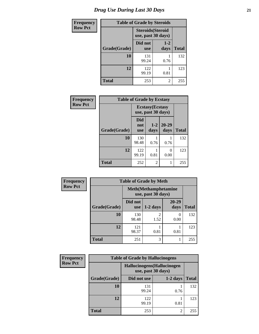| <b>Frequency</b> | <b>Table of Grade by Steroids</b> |                                                |                 |              |
|------------------|-----------------------------------|------------------------------------------------|-----------------|--------------|
| <b>Row Pct</b>   |                                   | <b>Steroids</b> (Steroid<br>use, past 30 days) |                 |              |
|                  | Grade(Grade)                      | Did not<br><b>use</b>                          | $1 - 2$<br>days | <b>Total</b> |
|                  | 10                                | 131<br>99.24                                   | 0.76            | 132          |
|                  | 12                                | 122<br>99.19                                   | 0.81            | 123          |
|                  | <b>Total</b>                      | 253                                            | 2               | 255          |

| <b>Frequency</b> | <b>Table of Grade by Ecstasy</b> |                          |                                               |                   |              |
|------------------|----------------------------------|--------------------------|-----------------------------------------------|-------------------|--------------|
| <b>Row Pct</b>   |                                  |                          | <b>Ecstasy</b> (Ecstasy<br>use, past 30 days) |                   |              |
|                  | Grade(Grade)                     | Did<br>not<br><b>use</b> | $1 - 2$<br>days                               | $20 - 29$<br>days | <b>Total</b> |
|                  | 10                               | 130<br>98.48             | 0.76                                          | 0.76              | 132          |
|                  | 12                               | 122<br>99.19             | 0.81                                          | 0<br>0.00         | 123          |
|                  | <b>Total</b>                     | 252                      | $\overline{2}$                                |                   | 255          |

| <b>Frequency</b> | <b>Table of Grade by Meth</b>                      |                       |                        |                   |              |
|------------------|----------------------------------------------------|-----------------------|------------------------|-------------------|--------------|
| <b>Row Pct</b>   | <b>Meth</b> (Methamphetamine<br>use, past 30 days) |                       |                        |                   |              |
|                  | Grade(Grade)                                       | Did not<br><b>use</b> | $1-2$ days             | $20 - 29$<br>days | <b>Total</b> |
|                  | 10                                                 | 130<br>98.48          | $\mathfrak{D}$<br>1.52 | 0<br>0.00         | 132          |
|                  | 12                                                 | 121<br>98.37          | 0.81                   | 0.81              | 123          |
|                  | <b>Total</b>                                       | 251                   | 3                      |                   | 255          |

| Frequency      | <b>Table of Grade by Hallucinogens</b> |                                                   |            |              |  |
|----------------|----------------------------------------|---------------------------------------------------|------------|--------------|--|
| <b>Row Pct</b> |                                        | Hallucinogens (Hallucinogen<br>use, past 30 days) |            |              |  |
|                | Grade(Grade)                           | Did not use                                       | $1-2$ days | <b>Total</b> |  |
|                | <b>10</b>                              | 131<br>99.24                                      | 0.76       | 132          |  |
|                | 12                                     | 122<br>99.19                                      | 0.81       | 123          |  |
|                | <b>Total</b>                           | 253                                               | 2          | 255          |  |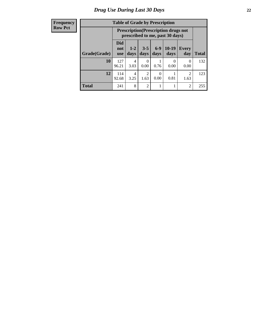#### **Frequency Row Pct**

| <b>Table of Grade by Prescription</b> |                          |                                                                                |                  |                 |                      |                        |              |
|---------------------------------------|--------------------------|--------------------------------------------------------------------------------|------------------|-----------------|----------------------|------------------------|--------------|
|                                       |                          | <b>Prescription</b> (Prescription drugs not<br>prescribed to me, past 30 days) |                  |                 |                      |                        |              |
| Grade(Grade)                          | Did<br>not<br><b>use</b> | $1 - 2$<br>days                                                                | $3 - 5$<br>days  | $6 - 9$<br>days | $10-19$<br>days      | <b>Every</b><br>day    | <b>Total</b> |
| 10                                    | 127<br>96.21             | 4<br>3.03                                                                      | $\theta$<br>0.00 | 0.76            | $\mathbf{0}$<br>0.00 | $\theta$<br>0.00       | 132          |
| 12                                    | 114<br>92.68             | 4<br>3.25                                                                      | 2<br>1.63        | 0.00            | 0.81                 | $\overline{2}$<br>1.63 | 123          |
| <b>Total</b>                          | 241                      | 8                                                                              | $\overline{2}$   |                 |                      | $\overline{c}$         | 255          |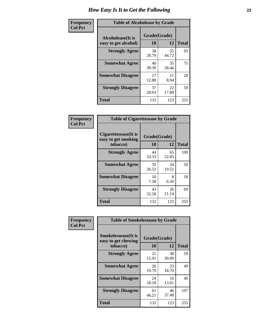| Frequency      | <b>Table of Alcoholease by Grade</b>              |                    |             |              |
|----------------|---------------------------------------------------|--------------------|-------------|--------------|
| <b>Col Pct</b> | <b>Alcoholease</b> (It is<br>easy to get alcohol) | Grade(Grade)<br>10 | 12          | <b>Total</b> |
|                | <b>Strongly Agree</b>                             | 38<br>28.79        | 55<br>44.72 | 93           |
|                | <b>Somewhat Agree</b>                             | 40<br>30.30        | 35<br>28.46 | 75           |
|                | <b>Somewhat Disagree</b>                          | 17<br>12.88        | 11<br>8.94  | 28           |
|                | <b>Strongly Disagree</b>                          | 37<br>28.03        | 22<br>17.89 | 59           |
|                | <b>Total</b>                                      | 132                | 123         | 255          |

| Frequency      | <b>Table of Cigarettesease by Grade</b>                 |                    |             |              |  |
|----------------|---------------------------------------------------------|--------------------|-------------|--------------|--|
| <b>Col Pct</b> | Cigarettesease(It is<br>easy to get smoking<br>tobacco) | Grade(Grade)<br>10 | 12          | <b>Total</b> |  |
|                | <b>Strongly Agree</b>                                   | 44<br>33.33        | 65<br>52.85 | 109          |  |
|                | <b>Somewhat Agree</b>                                   | 35<br>26.52        | 24<br>19.51 | 59           |  |
|                | <b>Somewhat Disagree</b>                                | 10<br>7.58         | 8<br>6.50   | 18           |  |
|                | <b>Strongly Disagree</b>                                | 43<br>32.58        | 26<br>21.14 | 69           |  |
|                | <b>Total</b>                                            | 132                | 123         | 255          |  |

| Frequency      | <b>Table of Smokelessease by Grade</b>             |              |             |              |  |
|----------------|----------------------------------------------------|--------------|-------------|--------------|--|
| <b>Col Pct</b> | <b>Smokelessease</b> (It is<br>easy to get chewing | Grade(Grade) |             |              |  |
|                | tobacco)                                           | 10           | 12          | <b>Total</b> |  |
|                | <b>Strongly Agree</b>                              | 21<br>15.91  | 38<br>30.89 | 59           |  |
|                | <b>Somewhat Agree</b>                              | 26<br>19.70  | 23<br>18.70 | 49           |  |
|                | <b>Somewhat Disagree</b>                           | 24<br>18.18  | 16<br>13.01 | 40           |  |
|                | <b>Strongly Disagree</b>                           | 61<br>46.21  | 46<br>37.40 | 107          |  |
|                | <b>Total</b>                                       | 132          | 123         | 255          |  |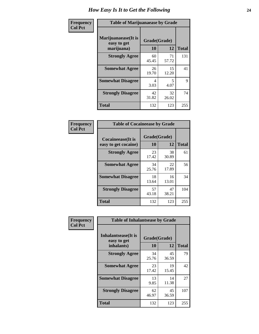| Frequency      | <b>Table of Marijuanaease by Grade</b>           |                    |             |              |
|----------------|--------------------------------------------------|--------------------|-------------|--------------|
| <b>Col Pct</b> | Marijuanaease(It is<br>easy to get<br>marijuana) | Grade(Grade)<br>10 | 12          | <b>Total</b> |
|                | <b>Strongly Agree</b>                            | 60<br>45.45        | 71<br>57.72 | 131          |
|                | <b>Somewhat Agree</b>                            | 26<br>19.70        | 15<br>12.20 | 41           |
|                | <b>Somewhat Disagree</b>                         | 4<br>3.03          | 5<br>4.07   | 9            |
|                | <b>Strongly Disagree</b>                         | 42<br>31.82        | 32<br>26.02 | 74           |
|                | <b>Total</b>                                     | 132                | 123         | 255          |

| <b>Table of Cocaineease by Grade</b> |              |             |              |  |  |
|--------------------------------------|--------------|-------------|--------------|--|--|
| <b>Cocaineease</b> (It is            | Grade(Grade) |             |              |  |  |
| easy to get cocaine)                 | 10           | 12          | <b>Total</b> |  |  |
| <b>Strongly Agree</b>                | 23<br>17.42  | 38<br>30.89 | 61           |  |  |
| <b>Somewhat Agree</b>                | 34<br>25.76  | 22<br>17.89 | 56           |  |  |
| <b>Somewhat Disagree</b>             | 18<br>13.64  | 16<br>13.01 | 34           |  |  |
| <b>Strongly Disagree</b>             | 57<br>43.18  | 47<br>38.21 | 104          |  |  |
| <b>Total</b>                         | 132          | 123         | 255          |  |  |

| Frequency      | <b>Table of Inhalantsease by Grade</b>                   |                    |             |              |
|----------------|----------------------------------------------------------|--------------------|-------------|--------------|
| <b>Col Pct</b> | <b>Inhalantsease</b> (It is<br>easy to get<br>inhalants) | Grade(Grade)<br>10 | 12          | <b>Total</b> |
|                |                                                          |                    |             |              |
|                | <b>Strongly Agree</b>                                    | 34<br>25.76        | 45<br>36.59 | 79           |
|                | <b>Somewhat Agree</b>                                    | 23<br>17.42        | 19<br>15.45 | 42           |
|                | <b>Somewhat Disagree</b>                                 | 13<br>9.85         | 14<br>11.38 | 27           |
|                | <b>Strongly Disagree</b>                                 | 62<br>46.97        | 45<br>36.59 | 107          |
|                | <b>Total</b>                                             | 132                | 123         | 255          |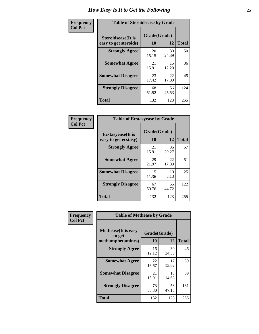| Frequency      | <b>Table of Steroidsease by Grade</b>               |                    |             |              |
|----------------|-----------------------------------------------------|--------------------|-------------|--------------|
| <b>Col Pct</b> | <b>Steroidsease</b> (It is<br>easy to get steroids) | Grade(Grade)<br>10 | 12          | <b>Total</b> |
|                | <b>Strongly Agree</b>                               | 20<br>15.15        | 30<br>24.39 | 50           |
|                | <b>Somewhat Agree</b>                               | 21<br>15.91        | 15<br>12.20 | 36           |
|                | <b>Somewhat Disagree</b>                            | 23<br>17.42        | 22<br>17.89 | 45           |
|                | <b>Strongly Disagree</b>                            | 68<br>51.52        | 56<br>45.53 | 124          |
|                | <b>Total</b>                                        | 132                | 123         | 255          |

| Frequency      | <b>Table of Ecstasyease by Grade</b>              |                    |             |              |  |  |  |  |  |
|----------------|---------------------------------------------------|--------------------|-------------|--------------|--|--|--|--|--|
| <b>Col Pct</b> | <b>Ecstasyease</b> (It is<br>easy to get ecstasy) | Grade(Grade)<br>10 | 12          | <b>Total</b> |  |  |  |  |  |
|                | <b>Strongly Agree</b>                             | 21<br>15.91        | 36<br>29.27 | 57           |  |  |  |  |  |
|                | <b>Somewhat Agree</b>                             | 29<br>21.97        | 22<br>17.89 | 51           |  |  |  |  |  |
|                | <b>Somewhat Disagree</b>                          | 15<br>11.36        | 10<br>8.13  | 25           |  |  |  |  |  |
|                | <b>Strongly Disagree</b>                          | 67<br>50.76        | 55<br>44.72 | 122          |  |  |  |  |  |
|                | <b>Total</b>                                      | 132                | 123         | 255          |  |  |  |  |  |

| Frequency      | <b>Table of Methease by Grade</b>                          |                    |             |              |
|----------------|------------------------------------------------------------|--------------------|-------------|--------------|
| <b>Col Pct</b> | <b>Methease</b> (It is easy<br>to get<br>methamphetamines) | Grade(Grade)<br>10 | 12          | <b>Total</b> |
|                | <b>Strongly Agree</b>                                      | 16<br>12.12        | 30<br>24.39 | 46           |
|                | <b>Somewhat Agree</b>                                      | 22<br>16.67        | 17<br>13.82 | 39           |
|                | <b>Somewhat Disagree</b>                                   | 21<br>15.91        | 18<br>14.63 | 39           |
|                | <b>Strongly Disagree</b>                                   | 73<br>55.30        | 58<br>47.15 | 131          |
|                | <b>Total</b>                                               | 132                | 123         | 255          |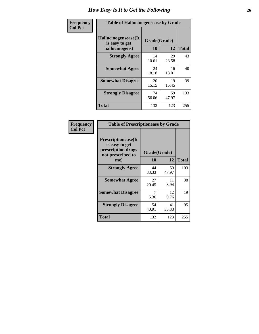| <b>Frequency</b> | <b>Table of Hallucinogensease by Grade</b>               |                    |             |              |  |  |  |  |
|------------------|----------------------------------------------------------|--------------------|-------------|--------------|--|--|--|--|
| <b>Col Pct</b>   | Hallucinogensease(It<br>is easy to get<br>hallucinogens) | Grade(Grade)<br>10 | 12          | <b>Total</b> |  |  |  |  |
|                  | <b>Strongly Agree</b>                                    | 14<br>10.61        | 29<br>23.58 | 43           |  |  |  |  |
|                  | <b>Somewhat Agree</b>                                    | 24<br>18.18        | 16<br>13.01 | 40           |  |  |  |  |
|                  | <b>Somewhat Disagree</b>                                 | 20<br>15.15        | 19<br>15.45 | 39           |  |  |  |  |
|                  | <b>Strongly Disagree</b>                                 | 74<br>56.06        | 59<br>47.97 | 133          |  |  |  |  |
|                  | <b>Total</b>                                             | 132                | 123         | 255          |  |  |  |  |

| Frequency<br>  Col Pct |
|------------------------|
|                        |

| <b>Table of Prescriptionease by Grade</b>                                                |              |             |              |  |  |  |  |  |
|------------------------------------------------------------------------------------------|--------------|-------------|--------------|--|--|--|--|--|
| <b>Prescriptionease</b> (It<br>is easy to get<br>prescription drugs<br>not prescribed to | Grade(Grade) |             |              |  |  |  |  |  |
| me)                                                                                      | 10           | 12          | <b>Total</b> |  |  |  |  |  |
| <b>Strongly Agree</b>                                                                    | 44<br>33.33  | 59<br>47.97 | 103          |  |  |  |  |  |
| <b>Somewhat Agree</b>                                                                    | 27<br>20.45  | 11<br>8.94  | 38           |  |  |  |  |  |
| <b>Somewhat Disagree</b>                                                                 | 5.30         | 12<br>9.76  | 19           |  |  |  |  |  |
| <b>Strongly Disagree</b>                                                                 | 54<br>40.91  | 41<br>33.33 | 95           |  |  |  |  |  |
| Total                                                                                    | 132          | 123         | 255          |  |  |  |  |  |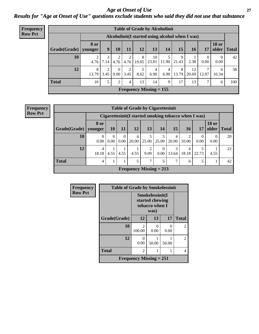### *Age at Onset of Use* **27** *Results for "Age at Onset of Use" questions exclude students who said they did not use that substance*

| <b>Frequency</b> | <b>Table of Grade by Alcoholinit</b> |                        |                        |                  |           |            |                                                  |           |            |             |                  |                       |              |
|------------------|--------------------------------------|------------------------|------------------------|------------------|-----------|------------|--------------------------------------------------|-----------|------------|-------------|------------------|-----------------------|--------------|
| <b>Row Pct</b>   |                                      |                        |                        |                  |           |            | Alcoholinit (I started using alcohol when I was) |           |            |             |                  |                       |              |
|                  | Grade(Grade)                         | <b>8 or</b><br>younger | $\boldsymbol{9}$       | <b>10</b>        | 11        | 12         | 13                                               | 14        | 15         | <b>16</b>   | 17               | <b>18 or</b><br>older | <b>Total</b> |
|                  | 10                                   | 4.76                   | 7.14                   | 4.76             | 2<br>4.76 | 8<br>19.05 | 10<br>23.81                                      | 11.90     | 9<br>21.43 | 2.38        | $\theta$<br>0.00 | $\left($<br>0.00      | 42           |
|                  | 12                                   | 8<br>13.79             | $\overline{c}$<br>3.45 | $\Omega$<br>0.00 | 2<br>3.45 | 8.62       | $\overline{4}$<br>6.90                           | 4<br>6.90 | 8<br>13.79 | 12<br>20.69 | 7<br>12.07       | 6<br>10.34            | 58           |
|                  | <b>Total</b>                         | 10                     | 5                      | $\gamma$         | 4         | 13         | 14                                               | 9         | 17         | 13          | 7                | 6                     | 100          |
|                  |                                      |                        |                        |                  |           |            | Frequency Missing $= 155$                        |           |            |             |                  |                       |              |

| <b>Frequency</b> |
|------------------|
| <b>Row Pct</b>   |

|                        | <b>Table of Grade by Cigarettesinit</b> |                  |                  |            |                                                      |           |                         |            |           |                       |              |
|------------------------|-----------------------------------------|------------------|------------------|------------|------------------------------------------------------|-----------|-------------------------|------------|-----------|-----------------------|--------------|
|                        |                                         |                  |                  |            | Cigarettesinit(I started smoking tobacco when I was) |           |                         |            |           |                       |              |
| Grade(Grade)   younger | 8 or                                    | <b>10</b>        | 11               | 12         | 13                                                   | 14        | 15                      | 16         | 17        | <b>18 or</b><br>older | <b>Total</b> |
| 10                     | $\theta$<br>0.00                        | $\Omega$<br>0.00 | $\Omega$<br>0.00 | 4<br>20.00 | 5<br>25.00                                           | 25.00     | $\overline{4}$<br>20.00 | 2<br>10.00 | 0<br>0.00 | $\Omega$<br>0.00      | 20           |
| 12                     | 4<br>18.18                              | 4.55             | 4.55             | 4.55       | 2<br>9.09                                            | 0<br>0.00 | 3<br>13.64              | 4<br>18.18 | 22.73     | 4.55                  | 22           |
| <b>Total</b>           | 4                                       |                  |                  | 5          | 7                                                    | 5         | ⇁                       | 6          | 5         |                       | 42           |
|                        |                                         |                  |                  |            | Frequency Missing $= 213$                            |           |                         |            |           |                       |              |

| <b>Frequency</b> | <b>Table of Grade by Smokelessinit</b> |                                                      |           |           |                |  |  |
|------------------|----------------------------------------|------------------------------------------------------|-----------|-----------|----------------|--|--|
| <b>Row Pct</b>   |                                        | Smokelessinit(I<br>started chewing<br>tobacco when I |           |           |                |  |  |
|                  | Grade(Grade)                           | 12                                                   | 13        | 17        | <b>Total</b>   |  |  |
|                  | 10                                     | $\mathfrak{D}$<br>100.00                             | 0<br>0.00 | 0<br>0.00 | $\overline{2}$ |  |  |
|                  | 12                                     | 0<br>0.00                                            | 50.00     | 50.00     | $\overline{2}$ |  |  |
|                  | <b>Total</b>                           | 2                                                    |           |           | 4              |  |  |
|                  |                                        | Frequency Missing $= 251$                            |           |           |                |  |  |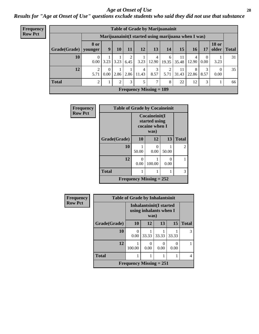#### *Age at Onset of Use* **28**

*Results for "Age at Onset of Use" questions exclude students who said they did not use that substance*

| <b>Frequency</b> | <b>Table of Grade by Marijuanainit</b> |                        |                                                      |      |      |            |                                |                        |       |            |           |                               |    |
|------------------|----------------------------------------|------------------------|------------------------------------------------------|------|------|------------|--------------------------------|------------------------|-------|------------|-----------|-------------------------------|----|
| <b>Row Pct</b>   |                                        |                        | Marijuanainit (I started using marijuana when I was) |      |      |            |                                |                        |       |            |           |                               |    |
|                  | Grade(Grade)                           | <b>8 or</b><br>younger | 9 <sup>°</sup>                                       | 10   | 11   | 12         | 13                             | 14                     | 15    | 16         | 17        | <b>18 or</b><br>older   Total |    |
|                  | 10                                     | 0<br>0.00              | 3.23                                                 | 3.23 | 6.45 | 3.23       | 4<br>12.90                     | 6<br>19.35             | 35.48 | 4<br>12.90 | 0<br>0.00 | 3.23                          | 31 |
|                  | 12                                     | $\overline{2}$<br>5.71 | $\theta$<br>0.00                                     | 2.86 | 2.86 | 4<br>11.43 | 3<br>8.57                      | $\mathfrak{D}$<br>5.71 | 31.43 | 8<br>22.86 | 3<br>8.57 | 0<br>0.00                     | 35 |
|                  | <b>Total</b>                           | $\overline{c}$         | 1                                                    | 2    | 3    | 5          | 7                              | 8                      | 22    | 12         | 3         |                               | 66 |
|                  |                                        |                        |                                                      |      |      |            | <b>Frequency Missing = 189</b> |                        |       |            |           |                               |    |

| <b>Frequency</b> | <b>Table of Grade by Cocaineinit</b> |                                                  |                           |           |                |  |  |  |
|------------------|--------------------------------------|--------------------------------------------------|---------------------------|-----------|----------------|--|--|--|
| <b>Row Pct</b>   |                                      | Cocaineinit(I<br>started using<br>cocaine when I |                           |           |                |  |  |  |
|                  | Grade(Grade)                         | 10                                               | 12                        | 13        | <b>Total</b>   |  |  |  |
|                  | 10                                   | 50.00                                            | $\Omega$<br>0.00          | 50.00     | $\mathfrak{D}$ |  |  |  |
|                  | 12                                   | ∩<br>0.00                                        | 100.00                    | 0<br>0.00 |                |  |  |  |
|                  | <b>Total</b>                         | 1                                                |                           |           | 3              |  |  |  |
|                  |                                      |                                                  | Frequency Missing $= 252$ |           |                |  |  |  |

| <b>Frequency</b> | <b>Table of Grade by Inhalantsinit</b> |                                |       |                                                          |       |              |  |  |  |
|------------------|----------------------------------------|--------------------------------|-------|----------------------------------------------------------|-------|--------------|--|--|--|
| <b>Row Pct</b>   |                                        |                                | was)  | <b>Inhalantsinit(I started</b><br>using inhalants when I |       |              |  |  |  |
|                  | Grade(Grade)                           | <b>10</b>                      | 12    | 13                                                       | 15    | <b>Total</b> |  |  |  |
|                  | 10                                     | 0<br>0.00                      | 33.33 | 33.33                                                    | 33.33 | 3            |  |  |  |
|                  | 12                                     | 100.00                         | 0.00  | 0<br>0.00                                                | 0.00  |              |  |  |  |
|                  | <b>Total</b>                           |                                |       |                                                          |       | 4            |  |  |  |
|                  |                                        | <b>Frequency Missing = 251</b> |       |                                                          |       |              |  |  |  |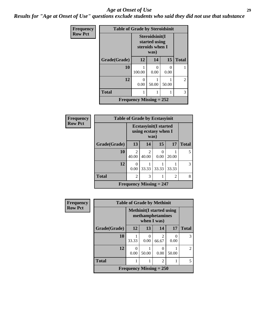#### *Age at Onset of Use* **29**

*Results for "Age at Onset of Use" questions exclude students who said they did not use that substance*

| Frequency      | <b>Table of Grade by Steroidsinit</b> |                                |                                                            |                           |                |
|----------------|---------------------------------------|--------------------------------|------------------------------------------------------------|---------------------------|----------------|
| <b>Row Pct</b> |                                       |                                | Steroidsinit(I<br>started using<br>steroids when I<br>was) |                           |                |
|                | Grade(Grade)                          | 12                             | 14                                                         | 15                        | <b>Total</b>   |
|                | 10                                    | 100.00                         | 0<br>0.00                                                  | $\mathbf{\Omega}$<br>0.00 |                |
|                | 12                                    | $\mathbf{\Omega}$<br>0.00      | 50.00                                                      | 50.00                     | $\overline{2}$ |
|                | <b>Total</b>                          |                                |                                                            |                           | 3              |
|                |                                       | <b>Frequency Missing = 252</b> |                                                            |                           |                |

| <b>Frequency</b> | <b>Table of Grade by Ecstasyinit</b> |                         |                                                               |                  |                |              |  |
|------------------|--------------------------------------|-------------------------|---------------------------------------------------------------|------------------|----------------|--------------|--|
| <b>Row Pct</b>   |                                      |                         | <b>Ecstasyinit</b> (I started<br>using ecstasy when I<br>was) |                  |                |              |  |
|                  | Grade(Grade)                         | 13                      | 14                                                            | 15               | 17             | <b>Total</b> |  |
|                  | 10                                   | $\mathfrak{D}$<br>40.00 | $\overline{2}$<br>40.00                                       | $\theta$<br>0.00 | 20.00          | 5            |  |
|                  | 12                                   | 0<br>0.00               | 33.33                                                         | 33.33            | 33.33          | 3            |  |
|                  | <b>Total</b>                         | $\mathfrak{D}$          | 3                                                             |                  | $\mathfrak{D}$ | 8            |  |
|                  |                                      |                         | Frequency Missing $= 247$                                     |                  |                |              |  |

| <b>Frequency</b> | <b>Table of Grade by Methinit</b> |                                                                     |       |                         |           |                |
|------------------|-----------------------------------|---------------------------------------------------------------------|-------|-------------------------|-----------|----------------|
| <b>Row Pct</b>   |                                   | <b>Methinit</b> (I started using<br>methamphetamines<br>when I was) |       |                         |           |                |
|                  | Grade(Grade)                      | 12                                                                  | 13    | 14                      | 17        | <b>Total</b>   |
|                  | 10                                | 33.33                                                               | 0.00  | $\mathfrak{D}$<br>66.67 | 0<br>0.00 | 3              |
|                  | 12                                | 0.00                                                                | 50.00 | 0<br>0.00               | 50.00     | $\mathfrak{D}$ |
|                  | <b>Total</b>                      |                                                                     |       | $\mathfrak{D}$          |           | 5              |
|                  |                                   | Frequency Missing $= 250$                                           |       |                         |           |                |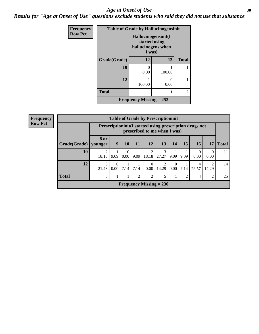#### Age at Onset of Use **30**

*Results for "Age at Onset of Use" questions exclude students who said they did not use that substance*

| Frequency      | <b>Table of Grade by Hallucinogensinit</b> |                                                                      |           |                |  |
|----------------|--------------------------------------------|----------------------------------------------------------------------|-----------|----------------|--|
| <b>Row Pct</b> |                                            | Hallucinogensinit(I<br>started using<br>hallucinogens when<br>I was) |           |                |  |
|                | Grade(Grade)                               | 12                                                                   | 13        | <b>Total</b>   |  |
|                | 10                                         | 0<br>0.00                                                            | 100.00    |                |  |
|                | 12                                         | 100.00                                                               | 0<br>0.00 |                |  |
|                | <b>Total</b>                               |                                                                      |           | $\overline{2}$ |  |
|                |                                            | Frequency Missing $= 253$                                            |           |                |  |

| Frequency      | <b>Table of Grade by Prescriptioninit</b> |                        |                                                                                                                                                                                                                                                                |                  |                |                           |                         |                      |                |                  |                         |              |
|----------------|-------------------------------------------|------------------------|----------------------------------------------------------------------------------------------------------------------------------------------------------------------------------------------------------------------------------------------------------------|------------------|----------------|---------------------------|-------------------------|----------------------|----------------|------------------|-------------------------|--------------|
| <b>Row Pct</b> |                                           |                        | Prescription in the Islands and September 2 and September 2 and September 2 and September 2 and September 2 and September 2 and September 2 and September 2 and September 2 and September 2 and September 2 and September 2 an<br>prescribed to me when I was) |                  |                |                           |                         |                      |                |                  |                         |              |
|                | Grade(Grade)                              | <b>8 or</b><br>younger | 9                                                                                                                                                                                                                                                              | 10               | 11             | 12                        | 13                      | 14                   | 15             | <b>16</b>        | 17                      | <b>Total</b> |
|                | 10                                        | 2<br>18.18             | 9.09                                                                                                                                                                                                                                                           | $\Omega$<br>0.00 | 9.09           | 18.18                     | 3<br>27.27              | 9.09                 | 9.09           | $\Omega$<br>0.00 | $\Omega$<br>0.00        | 11           |
|                | 12                                        | 3<br>21.43             | $\Omega$<br>0.00                                                                                                                                                                                                                                               | 7.14             | 7.14           | $\Omega$<br>$0.00\,$      | $\overline{2}$<br>14.29 | $\Omega$<br>$0.00\,$ | 7.14           | 4<br>28.57       | $\overline{2}$<br>14.29 | 14           |
|                | <b>Total</b>                              | 5                      | 1                                                                                                                                                                                                                                                              |                  | $\overline{2}$ | 2                         | 5                       | $\bf{1}$             | $\overline{2}$ | 4                | 2                       | 25           |
|                |                                           |                        |                                                                                                                                                                                                                                                                |                  |                | Frequency Missing $= 230$ |                         |                      |                |                  |                         |              |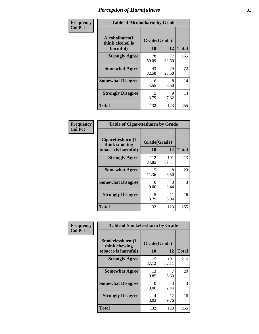| Frequency      | <b>Table of Alcoholharm by Grade</b>          |                    |             |              |  |
|----------------|-----------------------------------------------|--------------------|-------------|--------------|--|
| <b>Col Pct</b> | Alcoholharm(I<br>think alcohol is<br>harmful) | Grade(Grade)<br>10 | 12          | <b>Total</b> |  |
|                | <b>Strongly Agree</b>                         | 78<br>59.09        | 77<br>62.60 | 155          |  |
|                | <b>Somewhat Agree</b>                         | 43<br>32.58        | 29<br>23.58 | 72           |  |
|                | <b>Somewhat Disagree</b>                      | 6<br>4.55          | 8<br>6.50   | 14           |  |
|                | <b>Strongly Disagree</b>                      | 5<br>3.79          | 9<br>7.32   | 14           |  |
|                | <b>Total</b>                                  | 132                | 123         | 255          |  |

| <b>Table of Cigarettesharm by Grade</b>                  |                    |              |              |  |  |  |
|----------------------------------------------------------|--------------------|--------------|--------------|--|--|--|
| Cigarettesharm(I<br>think smoking<br>tobacco is harmful) | Grade(Grade)<br>10 | 12           | <b>Total</b> |  |  |  |
| <b>Strongly Agree</b>                                    | 112<br>84.85       | 101<br>82.11 | 213          |  |  |  |
| <b>Somewhat Agree</b>                                    | 15<br>11.36        | 8<br>6.50    | 23           |  |  |  |
| <b>Somewhat Disagree</b>                                 | 0<br>0.00          | 3<br>2.44    | 3            |  |  |  |
| <b>Strongly Disagree</b>                                 | 5<br>3.79          | 11<br>8.94   | 16           |  |  |  |
| <b>Total</b>                                             | 132                | 123          | 255          |  |  |  |

| Frequency      | <b>Table of Smokelessharm by Grade</b> |              |              |              |
|----------------|----------------------------------------|--------------|--------------|--------------|
| <b>Col Pct</b> | Smokelessharm(I<br>think chewing       | Grade(Grade) |              |              |
|                | tobacco is harmful)                    | 10           | 12           | <b>Total</b> |
|                | <b>Strongly Agree</b>                  | 115<br>87.12 | 101<br>82.11 | 216          |
|                | <b>Somewhat Agree</b>                  | 13<br>9.85   | 5.69         | 20           |
|                | <b>Somewhat Disagree</b>               | 0<br>0.00    | 3<br>2.44    | 3            |
|                | <b>Strongly Disagree</b>               | 4<br>3.03    | 12<br>9.76   | 16           |
|                | <b>Total</b>                           | 132          | 123          | 255          |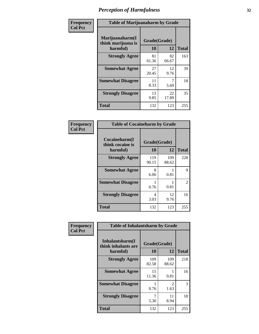| Frequency      |                                                   | <b>Table of Marijuanaharm by Grade</b> |             |              |  |  |
|----------------|---------------------------------------------------|----------------------------------------|-------------|--------------|--|--|
| <b>Col Pct</b> | Marijuanaharm(I<br>think marijuana is<br>harmful) | Grade(Grade)<br>10                     | 12          | <b>Total</b> |  |  |
|                | <b>Strongly Agree</b>                             | 81<br>61.36                            | 82<br>66.67 | 163          |  |  |
|                | <b>Somewhat Agree</b>                             | 27<br>20.45                            | 12<br>9.76  | 39           |  |  |
|                | <b>Somewhat Disagree</b>                          | 11<br>8.33                             | 5.69        | 18           |  |  |
|                | <b>Strongly Disagree</b>                          | 13<br>9.85                             | 22<br>17.89 | 35           |  |  |
|                | <b>Total</b>                                      | 132                                    | 123         | 255          |  |  |

| <b>Table of Cocaineharm by Grade</b>          |                    |              |               |  |  |  |
|-----------------------------------------------|--------------------|--------------|---------------|--|--|--|
| Cocaineharm(I<br>think cocaine is<br>harmful) | Grade(Grade)<br>10 | 12           | <b>Total</b>  |  |  |  |
| <b>Strongly Agree</b>                         | 119<br>90.15       | 109<br>88.62 | 228           |  |  |  |
| <b>Somewhat Agree</b>                         | 8<br>6.06          | 0.81         | 9             |  |  |  |
| <b>Somewhat Disagree</b>                      | 0.76               | 0.81         | $\mathcal{L}$ |  |  |  |
| <b>Strongly Disagree</b>                      | 4<br>3.03          | 12<br>9.76   | 16            |  |  |  |
| <b>Total</b>                                  | 132                | 123          | 255           |  |  |  |

| Frequency      | <b>Table of Inhalantsharm by Grade</b>             |                           |                        |              |  |
|----------------|----------------------------------------------------|---------------------------|------------------------|--------------|--|
| <b>Col Pct</b> | Inhalantsharm(I<br>think inhalants are<br>harmful) | Grade(Grade)<br><b>10</b> | 12                     | <b>Total</b> |  |
|                | <b>Strongly Agree</b>                              | 109<br>82.58              | 109<br>88.62           | 218          |  |
|                | <b>Somewhat Agree</b>                              | 15<br>11.36               | 0.81                   | 16           |  |
|                | <b>Somewhat Disagree</b>                           | 0.76                      | $\mathfrak{D}$<br>1.63 | 3            |  |
|                | <b>Strongly Disagree</b>                           | 5.30                      | 11<br>8.94             | 18           |  |
|                | <b>Total</b>                                       | 132                       | 123                    | 255          |  |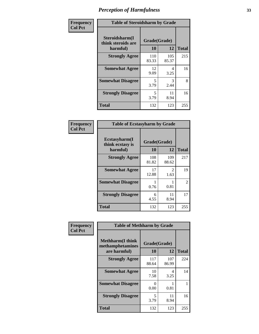| Frequency      | <b>Table of Steroidsharm by Grade</b>            |                    |                       |              |  |
|----------------|--------------------------------------------------|--------------------|-----------------------|--------------|--|
| <b>Col Pct</b> | Steroidsharm(I<br>think steroids are<br>harmful) | Grade(Grade)<br>10 | 12                    | <b>Total</b> |  |
|                | <b>Strongly Agree</b>                            | 110<br>83.33       | 105<br>85.37          | 215          |  |
|                | <b>Somewhat Agree</b>                            | 12<br>9.09         | 4<br>3.25             | 16           |  |
|                | <b>Somewhat Disagree</b>                         | 5<br>3.79          | $\mathcal{R}$<br>2.44 | 8            |  |
|                | <b>Strongly Disagree</b>                         | 5<br>3.79          | 11<br>8.94            | 16           |  |
|                | <b>Total</b>                                     | 132                | 123                   | 255          |  |

| <b>Table of Ecstasyharm by Grade</b>          |                    |                        |                |  |  |
|-----------------------------------------------|--------------------|------------------------|----------------|--|--|
| Ecstasyharm(I<br>think ecstasy is<br>harmful) | Grade(Grade)<br>10 | <b>Total</b>           |                |  |  |
| <b>Strongly Agree</b>                         | 108<br>81.82       | 109<br>88.62           | 217            |  |  |
| <b>Somewhat Agree</b>                         | 17<br>12.88        | $\mathfrak{D}$<br>1.63 | 19             |  |  |
| <b>Somewhat Disagree</b>                      | 1<br>0.76          | 0.81                   | $\overline{2}$ |  |  |
| <b>Strongly Disagree</b>                      | 6<br>4.55          | 11<br>8.94             | 17             |  |  |
| <b>Total</b>                                  | 132                | 123                    | 255            |  |  |

| Frequency      | <b>Table of Methharm by Grade</b>                           |                    |              |              |
|----------------|-------------------------------------------------------------|--------------------|--------------|--------------|
| <b>Col Pct</b> | <b>Methharm(I think</b><br>methamphetamines<br>are harmful) | Grade(Grade)<br>10 | 12           | <b>Total</b> |
|                | <b>Strongly Agree</b>                                       | 117<br>88.64       | 107<br>86.99 | 224          |
|                | <b>Somewhat Agree</b>                                       | 10<br>7.58         | 4<br>3.25    | 14           |
|                | <b>Somewhat Disagree</b>                                    | 0<br>0.00          | 0.81         |              |
|                | <b>Strongly Disagree</b>                                    | 5<br>3.79          | 11<br>8.94   | 16           |
|                | Total                                                       | 132                | 123          | 255          |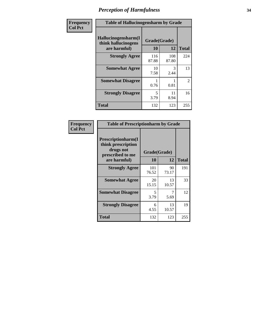| Frequency      | <b>Table of Hallucinogensharm by Grade</b>                 |                    |              |                |
|----------------|------------------------------------------------------------|--------------------|--------------|----------------|
| <b>Col Pct</b> | Hallucinogensharm(I<br>think hallucinogens<br>are harmful) | Grade(Grade)<br>10 | 12           | <b>Total</b>   |
|                | <b>Strongly Agree</b>                                      | 116<br>87.88       | 108<br>87.80 | 224            |
|                | <b>Somewhat Agree</b>                                      | 10<br>7.58         | 3<br>2.44    | 13             |
|                | <b>Somewhat Disagree</b>                                   | 0.76               | 0.81         | $\overline{2}$ |
|                | <b>Strongly Disagree</b>                                   | 5<br>3.79          | 11<br>8.94   | 16             |
|                | <b>Total</b>                                               | 132                | 123          | 255            |

| <b>Table of Prescriptionharm by Grade</b>                                         |              |             |              |  |
|-----------------------------------------------------------------------------------|--------------|-------------|--------------|--|
| <b>Prescriptionharm</b> (I<br>think prescription<br>drugs not<br>prescribed to me | Grade(Grade) |             |              |  |
| are harmful)                                                                      | 10           | 12          | <b>Total</b> |  |
| <b>Strongly Agree</b>                                                             | 101<br>76.52 | 90<br>73.17 | 191          |  |
| <b>Somewhat Agree</b>                                                             | 20<br>15.15  | 13<br>10.57 | 33           |  |
| <b>Somewhat Disagree</b>                                                          | 5<br>3.79    | 5.69        | 12           |  |
| <b>Strongly Disagree</b>                                                          | 6<br>4.55    | 13<br>10.57 | 19           |  |
| <b>Total</b>                                                                      | 132          | 123         | 255          |  |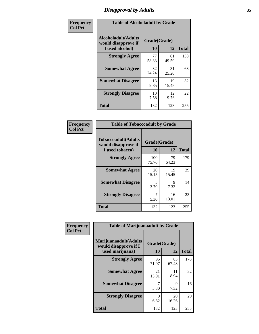# *Disapproval by Adults* **35**

| Frequency      | <b>Table of Alcoholadult by Grade</b>                                 |                    |             |              |
|----------------|-----------------------------------------------------------------------|--------------------|-------------|--------------|
| <b>Col Pct</b> | <b>Alcoholadult</b> (Adults<br>would disapprove if<br>I used alcohol) | Grade(Grade)<br>10 | 12          | <b>Total</b> |
|                | <b>Strongly Agree</b>                                                 | 77<br>58.33        | 61<br>49.59 | 138          |
|                | <b>Somewhat Agree</b>                                                 | 32<br>24.24        | 31<br>25.20 | 63           |
|                | <b>Somewhat Disagree</b>                                              | 13<br>9.85         | 19<br>15.45 | 32           |
|                | <b>Strongly Disagree</b>                                              | 10<br>7.58         | 12<br>9.76  | 22           |
|                | <b>Total</b>                                                          | 132                | 123         | 255          |

| <b>Table of Tobaccoadult by Grade</b>                                 |                    |              |     |  |  |
|-----------------------------------------------------------------------|--------------------|--------------|-----|--|--|
| <b>Tobaccoadult</b> (Adults<br>would disapprove if<br>I used tobacco) | Grade(Grade)<br>10 | <b>Total</b> |     |  |  |
| <b>Strongly Agree</b>                                                 | 100<br>75.76       | 79<br>64.23  | 179 |  |  |
| <b>Somewhat Agree</b>                                                 | 20<br>15.15        | 19<br>15.45  | 39  |  |  |
| <b>Somewhat Disagree</b>                                              | 5<br>3.79          | 9<br>7.32    | 14  |  |  |
| <b>Strongly Disagree</b>                                              | 7<br>5.30          | 16<br>13.01  | 23  |  |  |
| <b>Total</b>                                                          | 132                | 123          | 255 |  |  |

| Frequency      | <b>Table of Marijuanaadult by Grade</b>                           |                    |             |              |
|----------------|-------------------------------------------------------------------|--------------------|-------------|--------------|
| <b>Col Pct</b> | Marijuanaadult(Adults<br>would disapprove if I<br>used marijuana) | Grade(Grade)<br>10 | 12          | <b>Total</b> |
|                | <b>Strongly Agree</b>                                             | 95<br>71.97        | 83<br>67.48 | 178          |
|                | <b>Somewhat Agree</b>                                             | 21<br>15.91        | 11<br>8.94  | 32           |
|                | <b>Somewhat Disagree</b>                                          | 5.30               | 9<br>7.32   | 16           |
|                | <b>Strongly Disagree</b>                                          | 9<br>6.82          | 20<br>16.26 | 29           |
|                | <b>Total</b>                                                      | 132                | 123         | 255          |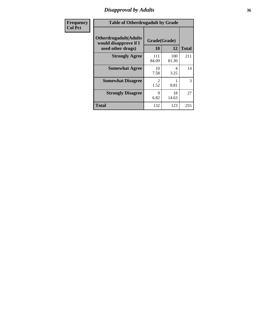### *Disapproval by Adults* **36**

| <b>Frequency</b> | <b>Table of Otherdrugadult by Grade</b>                                     |                                     |              |              |
|------------------|-----------------------------------------------------------------------------|-------------------------------------|--------------|--------------|
| <b>Col Pct</b>   | <b>Otherdrugadult</b> (Adults<br>would disapprove if I<br>used other drugs) | Grade(Grade)<br>10                  | 12           | <b>Total</b> |
|                  | <b>Strongly Agree</b>                                                       | 111<br>84.09                        | 100<br>81.30 | 211          |
|                  | <b>Somewhat Agree</b>                                                       | 10<br>7.58                          | 4<br>3.25    | 14           |
|                  | <b>Somewhat Disagree</b>                                                    | $\mathcal{D}_{\mathcal{L}}$<br>1.52 | 0.81         | 3            |
|                  | <b>Strongly Disagree</b>                                                    | 9<br>6.82                           | 18<br>14.63  | 27           |
|                  | <b>Total</b>                                                                | 132                                 | 123          | 255          |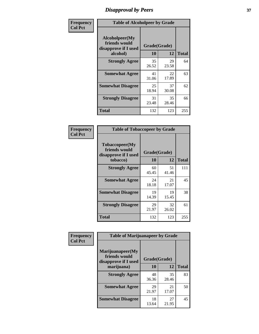# *Disapproval by Peers* **37**

| Frequency      | <b>Table of Alcoholpeer by Grade</b>                    |              |             |              |  |
|----------------|---------------------------------------------------------|--------------|-------------|--------------|--|
| <b>Col Pct</b> | Alcoholpeer(My<br>friends would<br>disapprove if I used | Grade(Grade) |             |              |  |
|                | alcohol)                                                | 10           | 12          | <b>Total</b> |  |
|                | <b>Strongly Agree</b>                                   | 35<br>26.52  | 29<br>23.58 | 64           |  |
|                | <b>Somewhat Agree</b>                                   | 41<br>31.06  | 22<br>17.89 | 63           |  |
|                | <b>Somewhat Disagree</b>                                | 25<br>18.94  | 37<br>30.08 | 62           |  |
|                | <b>Strongly Disagree</b>                                | 31<br>23.48  | 35<br>28.46 | 66           |  |
|                | Total                                                   | 132          | 123         | 255          |  |

| Frequency      | <b>Table of Tobaccopeer by Grade</b>                                |                           |             |              |
|----------------|---------------------------------------------------------------------|---------------------------|-------------|--------------|
| <b>Col Pct</b> | Tobaccopeer(My<br>friends would<br>disapprove if I used<br>tobacco) | Grade(Grade)<br><b>10</b> | 12          | <b>Total</b> |
|                | <b>Strongly Agree</b>                                               | 60<br>45.45               | 51<br>41.46 | 111          |
|                | <b>Somewhat Agree</b>                                               | 24<br>18.18               | 21<br>17.07 | 45           |
|                | <b>Somewhat Disagree</b>                                            | 19<br>14.39               | 19<br>15.45 | 38           |
|                | <b>Strongly Disagree</b>                                            | 29<br>21.97               | 32<br>26.02 | 61           |
|                | <b>Total</b>                                                        | 132                       | 123         | 255          |

| Frequency      | <b>Table of Marijuanapeer by Grade</b>                    |              |             |              |
|----------------|-----------------------------------------------------------|--------------|-------------|--------------|
| <b>Col Pct</b> | Marijuanapeer(My<br>friends would<br>disapprove if I used | Grade(Grade) |             |              |
|                | marijuana)                                                | <b>10</b>    | 12          | <b>Total</b> |
|                | <b>Strongly Agree</b>                                     | 48<br>36.36  | 35<br>28.46 | 83           |
|                | <b>Somewhat Agree</b>                                     | 29<br>21.97  | 21<br>17.07 | 50           |
|                | <b>Somewhat Disagree</b>                                  | 18<br>13.64  | 27<br>21.95 | 45           |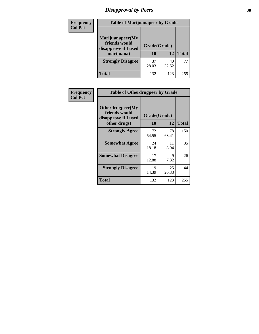# *Disapproval by Peers* **38**

| <b>Frequency</b> | <b>Table of Marijuanapeer by Grade</b>                                  |                           |             |              |  |
|------------------|-------------------------------------------------------------------------|---------------------------|-------------|--------------|--|
| <b>Col Pct</b>   | Marijuanapeer(My<br>friends would<br>disapprove if I used<br>marijuana) | Grade(Grade)<br><b>10</b> | 12          | <b>Total</b> |  |
|                  | <b>Strongly Disagree</b>                                                | 37<br>28.03               | 40<br>32.52 | 77           |  |
|                  | <b>Total</b>                                                            | 132                       | 123         | 255          |  |

| <b>Frequency</b> | <b>Table of Otherdrugpeer by Grade</b>                                    |                    |             |              |
|------------------|---------------------------------------------------------------------------|--------------------|-------------|--------------|
| <b>Col Pct</b>   | Otherdrugpeer(My<br>friends would<br>disapprove if I used<br>other drugs) | Grade(Grade)<br>10 | 12          | <b>Total</b> |
|                  | <b>Strongly Agree</b>                                                     | 72<br>54.55        | 78<br>63.41 | 150          |
|                  | <b>Somewhat Agree</b>                                                     | 24<br>18.18        | 11<br>8.94  | 35           |
|                  | <b>Somewhat Disagree</b>                                                  | 17<br>12.88        | 9<br>7.32   | 26           |
|                  | <b>Strongly Disagree</b>                                                  | 19<br>14.39        | 25<br>20.33 | 44           |
|                  | Total                                                                     | 132                | 123         | 255          |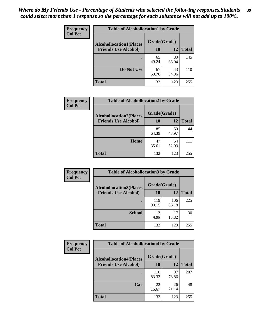| Frequency<br><b>Col Pct</b> | <b>Table of Alcohollocation1 by Grade</b> |              |             |              |
|-----------------------------|-------------------------------------------|--------------|-------------|--------------|
|                             | <b>Alcohollocation1(Places</b>            | Grade(Grade) |             |              |
|                             | <b>Friends Use Alcohol)</b>               | 10           | 12          | <b>Total</b> |
|                             |                                           | 65<br>49.24  | 80<br>65.04 | 145          |
|                             | Do Not Use                                | 67<br>50.76  | 43<br>34.96 | 110          |
|                             | <b>Total</b>                              | 132          | 123         | 255          |

| Frequency      | <b>Table of Alcohollocation2 by Grade</b>                     |                    |             |              |
|----------------|---------------------------------------------------------------|--------------------|-------------|--------------|
| <b>Col Pct</b> | <b>Alcohollocation2(Places</b><br><b>Friends Use Alcohol)</b> | Grade(Grade)<br>10 | <b>12</b>   | <b>Total</b> |
|                |                                                               | 85<br>64.39        | 59<br>47.97 | 144          |
|                | Home                                                          | 47<br>35.61        | 64<br>52.03 | 111          |
|                | <b>Total</b>                                                  | 132                | 123         | 255          |

| Frequency<br><b>Col Pct</b> | <b>Table of Alcohollocation 3 by Grade</b>                    |                    |              |              |
|-----------------------------|---------------------------------------------------------------|--------------------|--------------|--------------|
|                             | <b>Alcohollocation3(Places</b><br><b>Friends Use Alcohol)</b> | Grade(Grade)<br>10 | 12           | <b>Total</b> |
|                             |                                                               | 119<br>90.15       | 106<br>86.18 | 225          |
|                             | <b>School</b>                                                 | 13<br>9.85         | 17<br>13.82  | 30           |
|                             | <b>Total</b>                                                  | 132                | 123          | 255          |

| <b>Frequency</b> | <b>Table of Alcohollocation4 by Grade</b> |              |             |              |  |
|------------------|-------------------------------------------|--------------|-------------|--------------|--|
| <b>Col Pct</b>   | <b>Alcohollocation4(Places</b>            | Grade(Grade) |             |              |  |
|                  | <b>Friends Use Alcohol)</b>               | 10           | 12          | <b>Total</b> |  |
|                  |                                           | 110<br>83.33 | 97<br>78.86 | 207          |  |
|                  | Car                                       | 22<br>16.67  | 26<br>21.14 | 48           |  |
|                  | <b>Total</b>                              | 132          | 123         | 255          |  |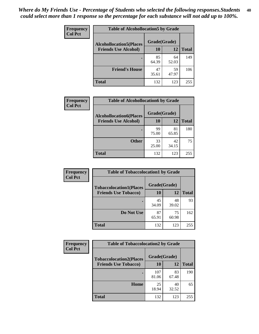| Frequency<br><b>Col Pct</b> | <b>Table of Alcohollocation5 by Grade</b> |              |             |              |
|-----------------------------|-------------------------------------------|--------------|-------------|--------------|
|                             | <b>Alcohollocation5(Places</b>            | Grade(Grade) |             |              |
|                             | <b>Friends Use Alcohol)</b>               | 10           | 12          | <b>Total</b> |
|                             |                                           | 85<br>64.39  | 64<br>52.03 | 149          |
|                             | <b>Friend's House</b>                     | 47<br>35.61  | 59<br>47.97 | 106          |
|                             | <b>Total</b>                              | 132          | 123         | 255          |

| Frequency      | <b>Table of Alcohollocation6 by Grade</b>                     |                           |             |              |
|----------------|---------------------------------------------------------------|---------------------------|-------------|--------------|
| <b>Col Pct</b> | <b>Alcohollocation6(Places</b><br><b>Friends Use Alcohol)</b> | Grade(Grade)<br><b>10</b> | 12          | <b>Total</b> |
|                |                                                               | 99<br>75.00               | 81<br>65.85 | 180          |
|                | <b>Other</b>                                                  | 33<br>25.00               | 42<br>34.15 | 75           |
|                | <b>Total</b>                                                  | 132                       | 123         | 255          |

| Frequency      | <b>Table of Tobaccolocation1 by Grade</b> |              |             |              |
|----------------|-------------------------------------------|--------------|-------------|--------------|
| <b>Col Pct</b> | <b>Tobaccolocation1(Places</b>            | Grade(Grade) |             |              |
|                | <b>Friends Use Tobacco)</b>               | 10           | 12          | <b>Total</b> |
|                |                                           | 45<br>34.09  | 48<br>39.02 | 93           |
|                | Do Not Use                                | 87<br>65.91  | 75<br>60.98 | 162          |
|                | <b>Total</b>                              | 132          | 123         | 255          |

| <b>Frequency</b><br><b>Col Pct</b> | <b>Table of Tobaccolocation2 by Grade</b> |              |             |              |  |
|------------------------------------|-------------------------------------------|--------------|-------------|--------------|--|
|                                    | <b>Tobaccolocation2(Places</b>            | Grade(Grade) |             |              |  |
|                                    | <b>Friends Use Tobacco)</b>               | 10           | 12          | <b>Total</b> |  |
|                                    |                                           | 107<br>81.06 | 83<br>67.48 | 190          |  |
|                                    | Home                                      | 25<br>18.94  | 40<br>32.52 | 65           |  |
|                                    | <b>Total</b>                              | 132          | 123         | 255          |  |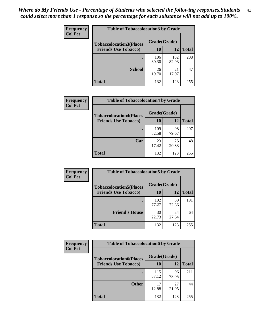| Frequency<br><b>Col Pct</b> | <b>Table of Tobaccolocation3 by Grade</b> |              |              |              |
|-----------------------------|-------------------------------------------|--------------|--------------|--------------|
|                             | <b>Tobaccolocation3(Places</b>            | Grade(Grade) |              |              |
|                             | <b>Friends Use Tobacco)</b>               | 10           | 12           | <b>Total</b> |
|                             |                                           | 106<br>80.30 | 102<br>82.93 | 208          |
|                             | <b>School</b>                             | 26<br>19.70  | 21<br>17.07  | 47           |
|                             | <b>Total</b>                              | 132          | 123          | 255          |

| Frequency<br><b>Col Pct</b> | <b>Table of Tobaccolocation4 by Grade</b> |              |             |              |
|-----------------------------|-------------------------------------------|--------------|-------------|--------------|
|                             | <b>Tobaccolocation4(Places</b>            | Grade(Grade) |             |              |
|                             | <b>Friends Use Tobacco)</b>               | 10           | <b>12</b>   | <b>Total</b> |
|                             |                                           | 109<br>82.58 | 98<br>79.67 | 207          |
|                             | Car                                       | 23<br>17.42  | 25<br>20.33 | 48           |
|                             | <b>Total</b>                              | 132          | 123         | 255          |

| Frequency      | <b>Table of Tobaccolocation5 by Grade</b>                     |                    |             |              |
|----------------|---------------------------------------------------------------|--------------------|-------------|--------------|
| <b>Col Pct</b> | <b>Tobaccolocation5(Places</b><br><b>Friends Use Tobacco)</b> | Grade(Grade)<br>10 | 12          | <b>Total</b> |
|                |                                                               | 102<br>77.27       | 89<br>72.36 | 191          |
|                | <b>Friend's House</b>                                         | 30<br>22.73        | 34<br>27.64 | 64           |
|                | <b>Total</b>                                                  | 132                | 123         | 255          |

| <b>Frequency</b> | <b>Table of Tobaccolocation6 by Grade</b> |              |             |              |  |
|------------------|-------------------------------------------|--------------|-------------|--------------|--|
| <b>Col Pct</b>   | <b>Tobaccolocation6(Places</b>            | Grade(Grade) |             |              |  |
|                  | <b>Friends Use Tobacco)</b>               | 10           | 12          | <b>Total</b> |  |
|                  |                                           | 115<br>87.12 | 96<br>78.05 | 211          |  |
|                  | <b>Other</b>                              | 17<br>12.88  | 27<br>21.95 | 44           |  |
|                  | <b>Total</b>                              | 132          | 123         | 255          |  |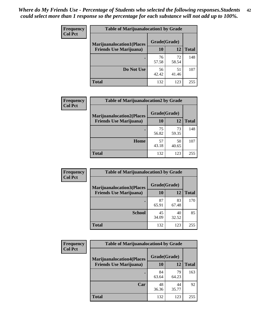| <b>Frequency</b> | <b>Table of Marijuanalocation1 by Grade</b> |              |             |              |
|------------------|---------------------------------------------|--------------|-------------|--------------|
| <b>Col Pct</b>   | <b>Marijuanalocation1(Places</b>            | Grade(Grade) |             |              |
|                  | <b>Friends Use Marijuana</b> )              | 10           | 12          | <b>Total</b> |
|                  |                                             | 76<br>57.58  | 72<br>58.54 | 148          |
|                  | Do Not Use                                  | 56<br>42.42  | 51<br>41.46 | 107          |
|                  | Total                                       | 132          | 123         | 255          |

| <b>Frequency</b> | <b>Table of Marijuanalocation2 by Grade</b>                        |                    |             |              |
|------------------|--------------------------------------------------------------------|--------------------|-------------|--------------|
| <b>Col Pct</b>   | <b>Marijuanalocation2(Places</b><br><b>Friends Use Marijuana</b> ) | Grade(Grade)<br>10 | 12          | <b>Total</b> |
|                  |                                                                    | 75<br>56.82        | 73<br>59.35 | 148          |
|                  | <b>Home</b>                                                        | 57<br>43.18        | 50<br>40.65 | 107          |
|                  | <b>Total</b>                                                       | 132                | 123         | 255          |

| Frequency<br><b>Col Pct</b> | <b>Table of Marijuanalocation3 by Grade</b> |              |             |              |
|-----------------------------|---------------------------------------------|--------------|-------------|--------------|
|                             | <b>Marijuanalocation3</b> (Places           | Grade(Grade) |             |              |
|                             | <b>Friends Use Marijuana</b> )              | <b>10</b>    | 12          | <b>Total</b> |
|                             |                                             | 87<br>65.91  | 83<br>67.48 | 170          |
|                             | <b>School</b>                               | 45<br>34.09  | 40<br>32.52 | 85           |
|                             | <b>Total</b>                                | 132          | 123         | 255          |

| Frequency      | <b>Table of Marijuanalocation4 by Grade</b> |              |             |              |  |
|----------------|---------------------------------------------|--------------|-------------|--------------|--|
| <b>Col Pct</b> | <b>Marijuanalocation4(Places</b>            | Grade(Grade) |             |              |  |
|                | <b>Friends Use Marijuana</b> )              | <b>10</b>    | 12          | <b>Total</b> |  |
|                |                                             | 84<br>63.64  | 79<br>64.23 | 163          |  |
|                | Car                                         | 48<br>36.36  | 44<br>35.77 | 92           |  |
|                | <b>Total</b>                                | 132          | 123         | 255          |  |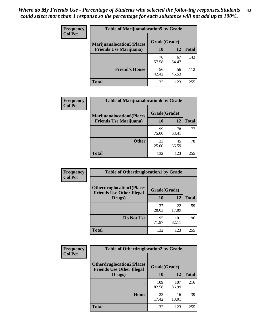| <b>Frequency</b> | <b>Table of Marijuanalocation5 by Grade</b> |              |             |              |
|------------------|---------------------------------------------|--------------|-------------|--------------|
| <b>Col Pct</b>   | <b>Marijuanalocation5</b> (Places           | Grade(Grade) |             |              |
|                  | <b>Friends Use Marijuana</b> )              | 10           | 12          | <b>Total</b> |
|                  |                                             | 76<br>57.58  | 67<br>54.47 | 143          |
|                  | <b>Friend's House</b>                       | 56<br>42.42  | 56<br>45.53 | 112          |
|                  | <b>Total</b>                                | 132          | 123         | 255          |

| <b>Frequency</b> | <b>Table of Marijuanalocation6 by Grade</b>                        |                           |             |       |
|------------------|--------------------------------------------------------------------|---------------------------|-------------|-------|
| <b>Col Pct</b>   | <b>Marijuanalocation6(Places</b><br><b>Friends Use Marijuana</b> ) | Grade(Grade)<br><b>10</b> | 12          | Total |
|                  |                                                                    | 99<br>75.00               | 78<br>63.41 | 177   |
|                  | <b>Other</b>                                                       | 33<br>25.00               | 45<br>36.59 | 78    |
|                  | <b>Total</b>                                                       | 132                       | 123         | 255   |

| <b>Frequency</b> | <b>Table of Otherdruglocation1 by Grade</b>                          |              |              |              |
|------------------|----------------------------------------------------------------------|--------------|--------------|--------------|
| <b>Col Pct</b>   | <b>Otherdruglocation1(Places</b><br><b>Friends Use Other Illegal</b> | Grade(Grade) |              |              |
|                  | Drugs)                                                               | 10           | 12           | <b>Total</b> |
|                  |                                                                      | 37<br>28.03  | 22<br>17.89  | 59           |
|                  | Do Not Use                                                           | 95<br>71.97  | 101<br>82.11 | 196          |
|                  | <b>Total</b>                                                         | 132          | 123          | 255          |

| <b>Frequency</b> | <b>Table of Otherdruglocation2 by Grade</b>                          |              |              |              |
|------------------|----------------------------------------------------------------------|--------------|--------------|--------------|
| <b>Col Pct</b>   | <b>Otherdruglocation2(Places</b><br><b>Friends Use Other Illegal</b> | Grade(Grade) |              |              |
|                  | Drugs)                                                               | 10           | 12           | <b>Total</b> |
|                  |                                                                      | 109<br>82.58 | 107<br>86.99 | 216          |
|                  | Home                                                                 | 23<br>17.42  | 16<br>13.01  | 39           |
|                  | <b>Total</b>                                                         | 132          | 123          | 255          |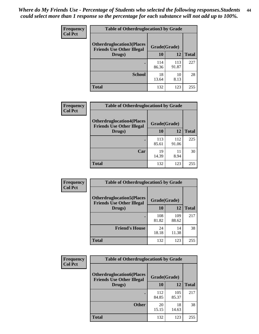| <b>Frequency</b> | <b>Table of Otherdruglocation 3 by Grade</b>                         |              |              |              |
|------------------|----------------------------------------------------------------------|--------------|--------------|--------------|
| <b>Col Pct</b>   | <b>Otherdruglocation3(Places</b><br><b>Friends Use Other Illegal</b> | Grade(Grade) |              |              |
|                  | Drugs)                                                               | 10           | 12           | <b>Total</b> |
|                  | ٠                                                                    | 114<br>86.36 | 113<br>91.87 | 227          |
|                  | <b>School</b>                                                        | 18<br>13.64  | 10<br>8.13   | 28           |
|                  | <b>Total</b>                                                         | 132          | 123          | 255          |

| Frequency      | <b>Table of Otherdruglocation4 by Grade</b>                          |              |              |              |
|----------------|----------------------------------------------------------------------|--------------|--------------|--------------|
| <b>Col Pct</b> | <b>Otherdruglocation4(Places</b><br><b>Friends Use Other Illegal</b> | Grade(Grade) |              |              |
|                | Drugs)                                                               | 10           | 12           | <b>Total</b> |
|                |                                                                      | 113<br>85.61 | 112<br>91.06 | 225          |
|                | Car                                                                  | 19<br>14.39  | 11<br>8.94   | 30           |
|                | <b>Total</b>                                                         | 132          | 123          | 255          |

| Frequency      | <b>Table of Otherdruglocation5 by Grade</b>                          |              |              |              |
|----------------|----------------------------------------------------------------------|--------------|--------------|--------------|
| <b>Col Pct</b> | <b>Otherdruglocation5(Places</b><br><b>Friends Use Other Illegal</b> | Grade(Grade) |              |              |
|                | Drugs)                                                               | 10           | 12           | <b>Total</b> |
|                |                                                                      | 108<br>81.82 | 109<br>88.62 | 217          |
|                | <b>Friend's House</b>                                                | 24<br>18.18  | 14<br>11.38  | 38           |
|                | <b>Total</b>                                                         | 132          | 123          | 255          |

| <b>Frequency</b> | <b>Table of Otherdruglocation6 by Grade</b>                          |              |              |              |
|------------------|----------------------------------------------------------------------|--------------|--------------|--------------|
| <b>Col Pct</b>   | <b>Otherdruglocation6(Places</b><br><b>Friends Use Other Illegal</b> | Grade(Grade) |              |              |
|                  | Drugs)                                                               | 10           | 12           | <b>Total</b> |
|                  |                                                                      | 112<br>84.85 | 105<br>85.37 | 217          |
|                  | <b>Other</b>                                                         | 20<br>15.15  | 18<br>14.63  | 38           |
|                  | <b>Total</b>                                                         | 132          | 123          | 255          |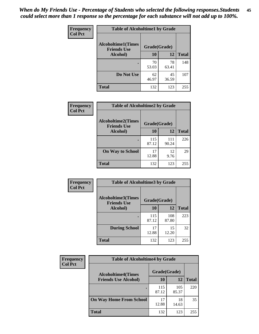| Frequency      | <b>Table of Alcoholtime1 by Grade</b>                           |             |             |              |
|----------------|-----------------------------------------------------------------|-------------|-------------|--------------|
| <b>Col Pct</b> | <b>Alcoholtime1(Times</b><br>Grade(Grade)<br><b>Friends Use</b> |             |             |              |
|                | Alcohol)                                                        | 10          | 12          | <b>Total</b> |
|                |                                                                 | 70<br>53.03 | 78<br>63.41 | 148          |
|                | Do Not Use                                                      | 62<br>46.97 | 45<br>36.59 | 107          |
|                | <b>Total</b>                                                    | 132         | 123         | 255          |

| Frequency      | <b>Table of Alcoholtime2 by Grade</b>           |              |              |              |
|----------------|-------------------------------------------------|--------------|--------------|--------------|
| <b>Col Pct</b> | <b>Alcoholtime2(Times</b><br><b>Friends Use</b> | Grade(Grade) |              |              |
|                | Alcohol)                                        | 10           | 12           | <b>Total</b> |
|                |                                                 | 115<br>87.12 | 111<br>90.24 | 226          |
|                | <b>On Way to School</b>                         | 17<br>12.88  | 12<br>9.76   | 29           |
|                | <b>Total</b>                                    | 132          | 123          | 255          |

| Frequency<br><b>Col Pct</b> | <b>Table of Alcoholtime3 by Grade</b>           |              |              |              |
|-----------------------------|-------------------------------------------------|--------------|--------------|--------------|
|                             | <b>Alcoholtime3(Times</b><br><b>Friends Use</b> | Grade(Grade) |              |              |
|                             | Alcohol)                                        | 10           | 12           | <b>Total</b> |
|                             |                                                 | 115<br>87.12 | 108<br>87.80 | 223          |
|                             | <b>During School</b>                            | 17<br>12.88  | 15<br>12.20  | 32           |
|                             | Total                                           | 132          | 123          | 255          |

| <b>Frequency</b><br><b>Col Pct</b> | <b>Table of Alcoholtime4 by Grade</b> |              |              |              |
|------------------------------------|---------------------------------------|--------------|--------------|--------------|
|                                    | <b>Alcoholtime4(Times</b>             | Grade(Grade) |              |              |
|                                    | <b>Friends Use Alcohol)</b>           | 10           | 12           | <b>Total</b> |
|                                    |                                       | 115<br>87.12 | 105<br>85.37 | 220          |
|                                    | <b>On Way Home From School</b>        | 17<br>12.88  | 18<br>14.63  | 35           |
|                                    | <b>Total</b>                          | 132          | 123          | 255          |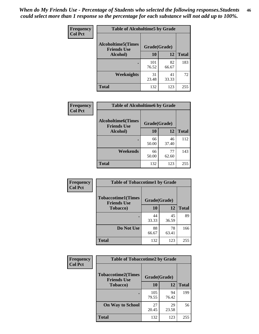*When do My Friends Use - Percentage of Students who selected the following responses.Students could select more than 1 response so the percentage for each substance will not add up to 100%.* **46**

| Frequency      | <b>Table of Alcoholtime5 by Grade</b>            |              |             |              |
|----------------|--------------------------------------------------|--------------|-------------|--------------|
| <b>Col Pct</b> | <b>Alcoholtime5</b> (Times<br><b>Friends Use</b> | Grade(Grade) |             |              |
|                | Alcohol)                                         | 10           | 12          | <b>Total</b> |
|                |                                                  | 101<br>76.52 | 82<br>66.67 | 183          |
|                | Weeknights                                       | 31<br>23.48  | 41<br>33.33 | 72           |
|                | <b>Total</b>                                     | 132          | 123         | 255          |

| Frequency      | <b>Table of Alcoholtime6 by Grade</b>           |              |             |              |
|----------------|-------------------------------------------------|--------------|-------------|--------------|
| <b>Col Pct</b> | <b>Alcoholtime6(Times</b><br><b>Friends Use</b> | Grade(Grade) |             |              |
|                | Alcohol)                                        | 10           | 12          | <b>Total</b> |
|                |                                                 | 66<br>50.00  | 46<br>37.40 | 112          |
|                | Weekends                                        | 66<br>50.00  | 77<br>62.60 | 143          |
|                | <b>Total</b>                                    | 132          | 123         | 255          |

| Frequency<br><b>Col Pct</b> | <b>Table of Tobaccotime1 by Grade</b>           |              |             |              |  |
|-----------------------------|-------------------------------------------------|--------------|-------------|--------------|--|
|                             | <b>Tobaccotime1(Times</b><br><b>Friends Use</b> | Grade(Grade) |             |              |  |
|                             | <b>Tobacco</b> )                                | 10           | 12          | <b>Total</b> |  |
|                             |                                                 | 44<br>33.33  | 45<br>36.59 | 89           |  |
|                             | Do Not Use                                      | 88<br>66.67  | 78<br>63.41 | 166          |  |
|                             | <b>Total</b>                                    | 132          | 123         | 255          |  |

| <b>Frequency</b> | <b>Table of Tobaccotime2 by Grade</b>           |              |             |              |
|------------------|-------------------------------------------------|--------------|-------------|--------------|
| <b>Col Pct</b>   | <b>Tobaccotime2(Times</b><br><b>Friends Use</b> | Grade(Grade) |             |              |
|                  | <b>Tobacco</b> )                                | 10           | 12          | <b>Total</b> |
|                  |                                                 | 105<br>79.55 | 94<br>76.42 | 199          |
|                  | <b>On Way to School</b>                         | 27<br>20.45  | 29<br>23.58 | 56           |
|                  | <b>Total</b>                                    | 132          | 123         | 255          |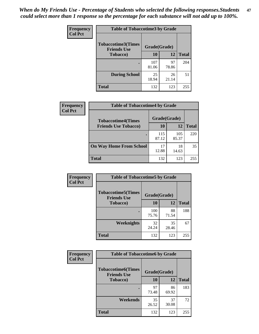*When do My Friends Use - Percentage of Students who selected the following responses.Students could select more than 1 response so the percentage for each substance will not add up to 100%.* **47**

| <b>Frequency</b> | <b>Table of Tobaccotime3 by Grade</b>           |              |             |              |  |
|------------------|-------------------------------------------------|--------------|-------------|--------------|--|
| <b>Col Pct</b>   | <b>Tobaccotime3(Times</b><br><b>Friends Use</b> | Grade(Grade) |             |              |  |
|                  | <b>Tobacco</b> )                                | 10           | 12          | <b>Total</b> |  |
|                  |                                                 | 107<br>81.06 | 97<br>78.86 | 204          |  |
|                  | <b>During School</b>                            | 25<br>18.94  | 26<br>21.14 | 51           |  |
|                  | <b>Total</b>                                    | 132          | 123         | 255          |  |

| <b>Frequency</b> | <b>Table of Tobaccotime4 by Grade</b> |              |              |              |
|------------------|---------------------------------------|--------------|--------------|--------------|
| <b>Col Pct</b>   | <b>Tobaccotime4(Times</b>             | Grade(Grade) |              |              |
|                  | <b>Friends Use Tobacco)</b>           | 10           | 12           | <b>Total</b> |
|                  |                                       | 115<br>87.12 | 105<br>85.37 | 220          |
|                  | <b>On Way Home From School</b>        | 17<br>12.88  | 18<br>14.63  | 35           |
|                  | <b>Total</b>                          | 132          | 123          | 255          |

| Frequency      | <b>Table of Tobaccotime5 by Grade</b>           |              |             |              |
|----------------|-------------------------------------------------|--------------|-------------|--------------|
| <b>Col Pct</b> | <b>Tobaccotime5(Times</b><br><b>Friends Use</b> | Grade(Grade) |             |              |
|                | <b>Tobacco</b> )                                | 10           | 12          | <b>Total</b> |
|                |                                                 | 100<br>75.76 | 88<br>71.54 | 188          |
|                | Weeknights                                      | 32<br>24.24  | 35<br>28.46 | 67           |
|                | <b>Total</b>                                    | 132          | 123         | 255          |

| <b>Frequency</b> | <b>Table of Tobaccotime6 by Grade</b>           |              |             |              |  |
|------------------|-------------------------------------------------|--------------|-------------|--------------|--|
| <b>Col Pct</b>   | <b>Tobaccotime6(Times</b><br><b>Friends Use</b> | Grade(Grade) |             |              |  |
|                  | <b>Tobacco</b> )                                | 10           | 12          | <b>Total</b> |  |
|                  | ٠                                               | 97<br>73.48  | 86<br>69.92 | 183          |  |
|                  | Weekends                                        | 35<br>26.52  | 37<br>30.08 | 72           |  |
|                  | <b>Total</b>                                    | 132          | 123         | 255          |  |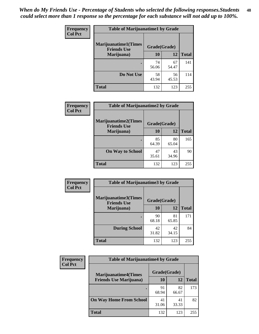| Frequency<br><b>Col Pct</b> | <b>Table of Marijuanatime1 by Grade</b>           |              |             |              |  |
|-----------------------------|---------------------------------------------------|--------------|-------------|--------------|--|
|                             | <b>Marijuanatime1(Times</b><br><b>Friends Use</b> | Grade(Grade) |             |              |  |
|                             | Marijuana)                                        | 10           | 12          | <b>Total</b> |  |
|                             |                                                   | 74<br>56.06  | 67<br>54.47 | 141          |  |
|                             | Do Not Use                                        | 58<br>43.94  | 56<br>45.53 | 114          |  |
|                             | <b>Total</b>                                      | 132          | 123         | 255          |  |

| <b>Frequency</b> | <b>Table of Marijuanatime2 by Grade</b>           |              |             |              |
|------------------|---------------------------------------------------|--------------|-------------|--------------|
| <b>Col Pct</b>   | <b>Marijuanatime2(Times</b><br><b>Friends Use</b> | Grade(Grade) |             |              |
|                  | Marijuana)                                        | 10           | 12          | <b>Total</b> |
|                  |                                                   | 85<br>64.39  | 80<br>65.04 | 165          |
|                  | <b>On Way to School</b>                           | 47<br>35.61  | 43<br>34.96 | 90           |
|                  | <b>Total</b>                                      | 132          | 123         | 255          |

| <b>Frequency</b> | <b>Table of Marijuanatime3 by Grade</b>    |              |             |              |
|------------------|--------------------------------------------|--------------|-------------|--------------|
| <b>Col Pct</b>   | Marijuanatime3(Times<br><b>Friends Use</b> | Grade(Grade) |             |              |
|                  | Marijuana)                                 | 10           | 12          | <b>Total</b> |
|                  |                                            | 90<br>68.18  | 81<br>65.85 | 171          |
|                  | <b>During School</b>                       | 42<br>31.82  | 42<br>34.15 | 84           |
|                  | <b>Total</b>                               | 132          | 123         | 255          |

| <b>Frequency</b> | <b>Table of Marijuanatime4 by Grade</b> |              |             |              |
|------------------|-----------------------------------------|--------------|-------------|--------------|
| <b>Col Pct</b>   | <b>Marijuanatime4(Times</b>             | Grade(Grade) |             |              |
|                  | <b>Friends Use Marijuana</b> )          | 10           | 12          | <b>Total</b> |
|                  |                                         | 91<br>68.94  | 82<br>66.67 | 173          |
|                  | <b>On Way Home From School</b>          | 41<br>31.06  | 41<br>33.33 | 82           |
|                  | <b>Total</b>                            | 132          | 123         | 255          |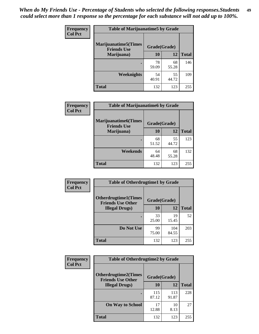| Frequency      | <b>Table of Marijuanatime5 by Grade</b>            |              |             |              |
|----------------|----------------------------------------------------|--------------|-------------|--------------|
| <b>Col Pct</b> | <b>Marijuanatime5</b> (Times<br><b>Friends Use</b> | Grade(Grade) |             |              |
|                | Marijuana)                                         | 10           | 12          | <b>Total</b> |
|                |                                                    | 78<br>59.09  | 68<br>55.28 | 146          |
|                | Weeknights                                         | 54<br>40.91  | 55<br>44.72 | 109          |
|                | <b>Total</b>                                       | 132          | 123         | 255          |

| Frequency      | <b>Table of Marijuanatime6 by Grade</b>    |              |             |              |
|----------------|--------------------------------------------|--------------|-------------|--------------|
| <b>Col Pct</b> | Marijuanatime6(Times<br><b>Friends Use</b> | Grade(Grade) |             |              |
|                | Marijuana)                                 | 10           | 12          | <b>Total</b> |
|                |                                            | 68<br>51.52  | 55<br>44.72 | 123          |
|                | Weekends                                   | 64<br>48.48  | 68<br>55.28 | 132          |
|                | <b>Total</b>                               | 132          | 123         | 255          |

| Frequency<br><b>Col Pct</b> | <b>Table of Otherdrugtime1 by Grade</b>                 |              |              |              |
|-----------------------------|---------------------------------------------------------|--------------|--------------|--------------|
|                             | <b>Otherdrugtime1(Times</b><br><b>Friends Use Other</b> | Grade(Grade) |              |              |
|                             | <b>Illegal Drugs)</b>                                   | 10           | 12           | <b>Total</b> |
|                             |                                                         | 33<br>25.00  | 19<br>15.45  | 52           |
|                             | Do Not Use                                              | 99<br>75.00  | 104<br>84.55 | 203          |
|                             | <b>Total</b>                                            | 132          | 123          | 255          |

| <b>Frequency</b><br><b>Col Pct</b> | <b>Table of Otherdrugtime2 by Grade</b>                                 |              |              |              |  |  |
|------------------------------------|-------------------------------------------------------------------------|--------------|--------------|--------------|--|--|
|                                    | <b>Otherdrugtime2(Times</b><br>Grade(Grade)<br><b>Friends Use Other</b> |              |              |              |  |  |
|                                    | <b>Illegal Drugs</b> )                                                  | 10           | 12           | <b>Total</b> |  |  |
|                                    |                                                                         | 115<br>87.12 | 113<br>91.87 | 228          |  |  |
|                                    | <b>On Way to School</b>                                                 | 17<br>12.88  | 10<br>8.13   | 27           |  |  |
|                                    | Total                                                                   | 132          | 123          | 255          |  |  |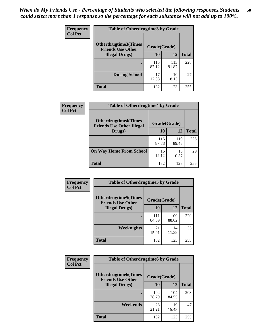| <b>Frequency</b> | <b>Table of Otherdrugtime3 by Grade</b>          |              |              |              |  |  |
|------------------|--------------------------------------------------|--------------|--------------|--------------|--|--|
| <b>Col Pct</b>   | Otherdrugtime3(Times<br><b>Friends Use Other</b> | Grade(Grade) |              |              |  |  |
|                  | <b>Illegal Drugs</b> )                           | 10           | 12           | <b>Total</b> |  |  |
|                  |                                                  | 115<br>87.12 | 113<br>91.87 | 228          |  |  |
|                  | <b>During School</b>                             | 17<br>12.88  | 10<br>8.13   | 27           |  |  |
|                  | Total                                            | 132          | 123          | 255          |  |  |

| <b>Frequency</b> | <b>Table of Otherdrugtime4 by Grade</b>                         |              |              |              |  |  |  |
|------------------|-----------------------------------------------------------------|--------------|--------------|--------------|--|--|--|
| <b>Col Pct</b>   | <b>Otherdrugtime4(Times</b><br><b>Friends Use Other Illegal</b> | Grade(Grade) |              |              |  |  |  |
|                  | Drugs)                                                          | 10           | 12           | <b>Total</b> |  |  |  |
|                  |                                                                 | 116<br>87.88 | 110<br>89.43 | 226          |  |  |  |
|                  | <b>On Way Home From School</b>                                  | 16<br>12.12  | 13<br>10.57  | 29           |  |  |  |
|                  | <b>Total</b>                                                    | 132          | 123          | 255          |  |  |  |

| <b>Frequency</b><br><b>Col Pct</b> | <b>Table of Otherdrugtime5 by Grade</b>                  |              |              |              |  |  |  |
|------------------------------------|----------------------------------------------------------|--------------|--------------|--------------|--|--|--|
|                                    | <b>Otherdrugtime5</b> (Times<br><b>Friends Use Other</b> | Grade(Grade) |              |              |  |  |  |
|                                    | <b>Illegal Drugs</b> )                                   | 10           | 12           | <b>Total</b> |  |  |  |
|                                    |                                                          | 111<br>84.09 | 109<br>88.62 | 220          |  |  |  |
|                                    | Weeknights                                               | 21<br>15.91  | 14<br>11.38  | 35           |  |  |  |
|                                    | Total                                                    | 132          | 123          | 255          |  |  |  |

| <b>Frequency</b> | <b>Table of Otherdrugtime6 by Grade</b>                  |              |              |              |  |  |  |
|------------------|----------------------------------------------------------|--------------|--------------|--------------|--|--|--|
| <b>Col Pct</b>   | <b>Otherdrugtime6</b> (Times<br><b>Friends Use Other</b> | Grade(Grade) |              |              |  |  |  |
|                  | <b>Illegal Drugs</b> )                                   | 10           | 12           | <b>Total</b> |  |  |  |
|                  |                                                          | 104<br>78.79 | 104<br>84.55 | 208          |  |  |  |
|                  | Weekends                                                 | 28<br>21.21  | 19<br>15.45  | 47           |  |  |  |
|                  | <b>Total</b>                                             | 132          | 123          | 255          |  |  |  |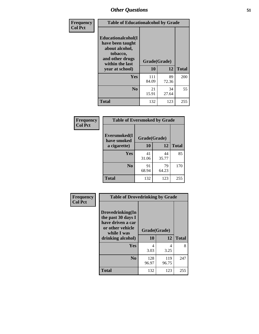| Frequency      | <b>Table of Educationalcohol by Grade</b>                                                                  |              |             |              |  |  |
|----------------|------------------------------------------------------------------------------------------------------------|--------------|-------------|--------------|--|--|
| <b>Col Pct</b> | Educationalcohol(I<br>have been taught<br>about alcohol,<br>tobacco,<br>and other drugs<br>within the last | Grade(Grade) |             |              |  |  |
|                | year at school)                                                                                            | 10           | 12          | <b>Total</b> |  |  |
|                | <b>Yes</b>                                                                                                 | 111<br>84.09 | 89<br>72.36 | 200          |  |  |
|                | N <sub>0</sub>                                                                                             | 21<br>15.91  | 34<br>27.64 | 55           |  |  |
|                | <b>Total</b>                                                                                               | 132          | 123         | 255          |  |  |

| Frequency      | <b>Table of Eversmoked by Grade</b> |              |             |              |  |  |  |
|----------------|-------------------------------------|--------------|-------------|--------------|--|--|--|
| <b>Col Pct</b> | Eversmoked(I<br>have smoked         | Grade(Grade) |             |              |  |  |  |
|                | a cigarette)                        | 10           | 12          | <b>Total</b> |  |  |  |
|                | Yes                                 | 41<br>31.06  | 44<br>35.77 | 85           |  |  |  |
|                | N <sub>0</sub>                      | 91<br>68.94  | 79<br>64.23 | 170          |  |  |  |
|                | <b>Total</b>                        | 132          | 123         | 255          |  |  |  |

| Frequency      | <b>Table of Drovedrinking by Grade</b>                                                                              |                    |              |              |  |  |  |
|----------------|---------------------------------------------------------------------------------------------------------------------|--------------------|--------------|--------------|--|--|--|
| <b>Col Pct</b> | Drovedrinking(In<br>the past 30 days I<br>have driven a car<br>or other vehicle<br>while I was<br>drinking alcohol) | Grade(Grade)<br>10 | 12           | <b>Total</b> |  |  |  |
|                | <b>Yes</b>                                                                                                          | 4<br>3.03          | 4<br>3.25    | 8            |  |  |  |
|                | N <sub>0</sub>                                                                                                      | 128<br>96.97       | 119<br>96.75 | 247          |  |  |  |
|                | <b>Total</b>                                                                                                        | 132                | 123          | 255          |  |  |  |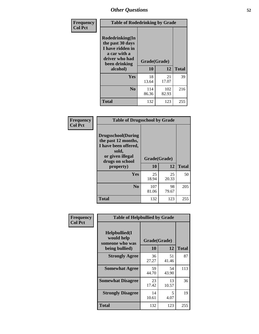| Frequency<br><b>Col Pct</b> | <b>Table of Rodedrinking by Grade</b>                                                                                      |              |              |              |  |  |  |
|-----------------------------|----------------------------------------------------------------------------------------------------------------------------|--------------|--------------|--------------|--|--|--|
|                             | Rodedrinking(In<br>the past 30 days<br>I have ridden in<br>a car with a<br>driver who had<br>Grade(Grade)<br>been drinking |              |              |              |  |  |  |
|                             | alcohol)                                                                                                                   | 10           | 12           | <b>Total</b> |  |  |  |
|                             | <b>Yes</b>                                                                                                                 | 18<br>13.64  | 21<br>17.07  | 39           |  |  |  |
|                             | N <sub>0</sub>                                                                                                             | 114<br>86.36 | 102<br>82.93 | 216          |  |  |  |
|                             | <b>Total</b>                                                                                                               | 132          | 123          | 255          |  |  |  |

#### **Frequency Col Pct**

| <b>Table of Drugsschool by Grade</b>                                                                                      |              |             |              |  |  |  |  |
|---------------------------------------------------------------------------------------------------------------------------|--------------|-------------|--------------|--|--|--|--|
| <b>Drugsschool</b> (During<br>the past 12 months,<br>I have been offered,<br>sold,<br>or given illegal<br>drugs on school | Grade(Grade) |             |              |  |  |  |  |
| property)                                                                                                                 | 10           | 12          | <b>Total</b> |  |  |  |  |
| Yes                                                                                                                       | 25<br>18.94  | 25<br>20.33 | 50           |  |  |  |  |
| N <sub>0</sub>                                                                                                            | 107<br>81.06 | 98<br>79.67 | 205          |  |  |  |  |
| <b>Total</b>                                                                                                              | 132          | 123         | 255          |  |  |  |  |

| Frequency      | <b>Table of Helpbullied by Grade</b>            |                    |             |              |  |  |  |
|----------------|-------------------------------------------------|--------------------|-------------|--------------|--|--|--|
| <b>Col Pct</b> | Helpbullied(I)<br>would help<br>someone who was | Grade(Grade)<br>10 | 12          |              |  |  |  |
|                | being bullied)                                  |                    |             | <b>Total</b> |  |  |  |
|                | <b>Strongly Agree</b>                           | 36<br>27.27        | 51<br>41.46 | 87           |  |  |  |
|                | <b>Somewhat Agree</b>                           | 59<br>44.70        | 54<br>43.90 | 113          |  |  |  |
|                | <b>Somewhat Disagree</b>                        | 23<br>17.42        | 13<br>10.57 | 36           |  |  |  |
|                | <b>Strongly Disagree</b>                        | 14<br>10.61        | 5<br>4.07   | 19           |  |  |  |
|                | <b>Total</b>                                    | 132                | 123         | 255          |  |  |  |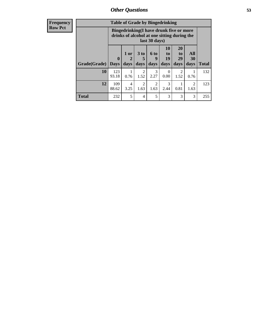| <b>Frequency</b> | <b>Table of Grade by Bingedrinking</b> |                                                                                                         |                                |                              |                          |                                         |                               |                          |              |
|------------------|----------------------------------------|---------------------------------------------------------------------------------------------------------|--------------------------------|------------------------------|--------------------------|-----------------------------------------|-------------------------------|--------------------------|--------------|
| <b>Row Pct</b>   |                                        | Bingedrinking(I have drunk five or more<br>drinks of alcohol at one sitting during the<br>last 30 days) |                                |                              |                          |                                         |                               |                          |              |
|                  | Grade(Grade)                           | $\mathbf{0}$<br><b>Days</b>                                                                             | 1 or<br>$\overline{2}$<br>days | 3 <sub>to</sub><br>5<br>days | <b>6 to</b><br>9<br>days | <b>10</b><br>$\mathbf{t}$<br>19<br>days | <b>20</b><br>to<br>29<br>days | All<br><b>30</b><br>days | <b>Total</b> |
|                  | 10                                     | 123<br>93.18                                                                                            | 1<br>0.76                      | $\overline{2}$<br>1.52       | 3<br>2.27                | $\theta$<br>0.00                        | $\mathfrak{D}$<br>1.52        | 0.76                     | 132          |
|                  | 12                                     | 109<br>88.62                                                                                            | 4<br>3.25                      | $\overline{2}$<br>1.63       | $\overline{c}$<br>1.63   | 3<br>2.44                               | 0.81                          | $\mathfrak{D}$<br>1.63   | 123          |
|                  | <b>Total</b>                           | 232                                                                                                     | 5                              | 4                            | 5                        | 3                                       | 3                             | 3                        | 255          |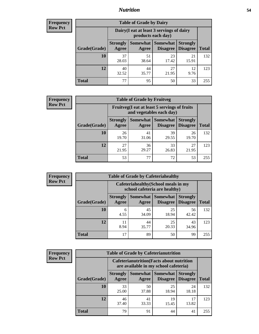### *Nutrition* **54**

| <b>Frequency</b><br>Row Pct |
|-----------------------------|
|                             |

| <b>Table of Grade by Dairy</b> |                          |                                                                 |                             |                                    |              |
|--------------------------------|--------------------------|-----------------------------------------------------------------|-----------------------------|------------------------------------|--------------|
|                                |                          | Dairy (I eat at least 3 servings of dairy<br>products each day) |                             |                                    |              |
| Grade(Grade)                   | <b>Strongly</b><br>Agree | Somewhat<br>Agree                                               | <b>Somewhat</b><br>Disagree | <b>Strongly</b><br><b>Disagree</b> | <b>Total</b> |
| 10                             | 37<br>28.03              | 51<br>38.64                                                     | 23<br>17.42                 | 21<br>15.91                        | 132          |
| 12                             | 40<br>32.52              | 44<br>35.77                                                     | 27<br>21.95                 | 12<br>9.76                         | 123          |
| <b>Total</b>                   | 77                       | 95                                                              | 50                          | 33                                 | 255          |

| <b>Frequency</b> |  |
|------------------|--|
| <b>Row Pct</b>   |  |

| <b>Table of Grade by Fruitveg</b> |                          |                                                                          |                                        |                                    |              |
|-----------------------------------|--------------------------|--------------------------------------------------------------------------|----------------------------------------|------------------------------------|--------------|
|                                   |                          | Fruitveg(I eat at least 5 servings of fruits<br>and vegetables each day) |                                        |                                    |              |
| Grade(Grade)                      | <b>Strongly</b><br>Agree | Agree                                                                    | <b>Somewhat   Somewhat</b><br>Disagree | <b>Strongly</b><br><b>Disagree</b> | <b>Total</b> |
| 10                                | 26<br>19.70              | 41<br>31.06                                                              | 39<br>29.55                            | 26<br>19.70                        | 132          |
| 12                                | 27<br>21.95              | 36<br>29.27                                                              | 33<br>26.83                            | 27<br>21.95                        | 123          |
| <b>Total</b>                      | 53                       | 77                                                                       | 72                                     | 53                                 | 255          |

| <b>Frequency</b> |              | <b>Table of Grade by Cafeteriahealthy</b> |                                                                       |                                    |                                    |              |  |
|------------------|--------------|-------------------------------------------|-----------------------------------------------------------------------|------------------------------------|------------------------------------|--------------|--|
| <b>Row Pct</b>   |              |                                           | Cafeteriahealthy (School meals in my<br>school cafeteria are healthy) |                                    |                                    |              |  |
|                  | Grade(Grade) | <b>Strongly</b><br>Agree                  | <b>Somewhat</b><br>Agree                                              | <b>Somewhat</b><br><b>Disagree</b> | <b>Strongly</b><br><b>Disagree</b> | <b>Total</b> |  |
|                  | 10           | 6<br>4.55                                 | 45<br>34.09                                                           | 25<br>18.94                        | 56<br>42.42                        | 132          |  |
|                  | 12           | 11<br>8.94                                | 44<br>35.77                                                           | 25<br>20.33                        | 43<br>34.96                        | 123          |  |
|                  | Total        | 17                                        | 89                                                                    | 50                                 | 99                                 | 255          |  |

| <b>Frequency</b> |
|------------------|
| <b>Row Pct</b>   |

| <b>Table of Grade by Cafeterianutrition</b> |                          |                                                                                           |                                        |                                    |              |  |  |
|---------------------------------------------|--------------------------|-------------------------------------------------------------------------------------------|----------------------------------------|------------------------------------|--------------|--|--|
|                                             |                          | <b>Cafeterianutrition</b> (Facts about nutrition<br>are available in my school cafeteria) |                                        |                                    |              |  |  |
| Grade(Grade)                                | <b>Strongly</b><br>Agree | Agree                                                                                     | Somewhat   Somewhat<br><b>Disagree</b> | <b>Strongly</b><br><b>Disagree</b> | <b>Total</b> |  |  |
| 10                                          | 33<br>25.00              | 50<br>37.88                                                                               | 25<br>18.94                            | 24<br>18.18                        | 132          |  |  |
| 12                                          | 46<br>37.40              | 41<br>33.33                                                                               | 19<br>15.45                            | 17<br>13.82                        | 123          |  |  |
| Total                                       | 79                       | 91                                                                                        | 44                                     | 41                                 | 255          |  |  |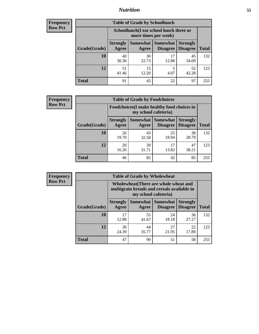### *Nutrition* **55**

| Frequency |
|-----------|
| Row Pct   |

| <b>Table of Grade by Schoollunch</b> |                          |                                                                 |                               |                                    |              |  |
|--------------------------------------|--------------------------|-----------------------------------------------------------------|-------------------------------|------------------------------------|--------------|--|
|                                      |                          | Schoollunch(I eat school lunch three or<br>more times per week) |                               |                                    |              |  |
| Grade(Grade)                         | <b>Strongly</b><br>Agree | Agree                                                           | Somewhat Somewhat<br>Disagree | <b>Strongly</b><br><b>Disagree</b> | <b>Total</b> |  |
| 10                                   | 40<br>30.30              | 30<br>22.73                                                     | 17<br>12.88                   | 45<br>34.09                        | 132          |  |
| 12                                   | 51<br>41.46              | 15<br>12.20                                                     | 5<br>4.07                     | 52<br>42.28                        | 123          |  |
| <b>Total</b>                         | 91                       | 45                                                              | 22                            | 97                                 | 255          |  |

| <b>Frequency</b> |  |
|------------------|--|
| <b>Row Pct</b>   |  |

| <b>Table of Grade by Foodchoices</b> |                          |                                                                            |                      |                                    |              |
|--------------------------------------|--------------------------|----------------------------------------------------------------------------|----------------------|------------------------------------|--------------|
|                                      |                          | <b>Foodchoices</b> (I make healthy food choices in<br>my school cafeteria) |                      |                                    |              |
| Grade(Grade)                         | <b>Strongly</b><br>Agree | Somewhat  <br>Agree                                                        | Somewhat<br>Disagree | <b>Strongly</b><br><b>Disagree</b> | <b>Total</b> |
| 10                                   | 26<br>19.70              | 43<br>32.58                                                                | 25<br>18.94          | 38<br>28.79                        | 132          |
| 12                                   | 20<br>16.26              | 39<br>31.71                                                                | 17<br>13.82          | 47<br>38.21                        | 123          |
| <b>Total</b>                         | 46                       | 82                                                                         | 42                   | 85                                 | 255          |

| <b>Frequency</b><br><b>Row Pct</b> |
|------------------------------------|
|                                    |

| $\overline{I}$ | <b>Table of Grade by Wholewheat</b> |                                                                                                             |                     |                                    |                                    |              |
|----------------|-------------------------------------|-------------------------------------------------------------------------------------------------------------|---------------------|------------------------------------|------------------------------------|--------------|
|                |                                     | Wholewheat (There are whole wheat and<br>multigrain breads and cereals available in<br>my school cafeteria) |                     |                                    |                                    |              |
|                | Grade(Grade)                        | <b>Strongly</b><br>Agree                                                                                    | Somewhat  <br>Agree | <b>Somewhat</b><br><b>Disagree</b> | <b>Strongly</b><br><b>Disagree</b> | <b>Total</b> |
|                | 10                                  | 17<br>12.88                                                                                                 | 55<br>41.67         | 24<br>18.18                        | 36<br>27.27                        | 132          |
|                | 12                                  | 30<br>24.39                                                                                                 | 44<br>35.77         | 27<br>21.95                        | 22<br>17.89                        | 123          |
|                | <b>Total</b>                        | 47                                                                                                          | 99                  | 51                                 | 58                                 | 255          |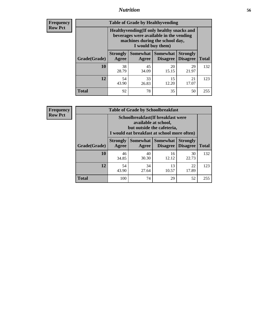### *Nutrition* **56**

**Frequency Row Pct**

| <b>Table of Grade by Healthyvending</b> |                                                                                                                                               |                          |                                    |                                    |              |  |
|-----------------------------------------|-----------------------------------------------------------------------------------------------------------------------------------------------|--------------------------|------------------------------------|------------------------------------|--------------|--|
|                                         | Healthyvending (If only healthy snacks and<br>beverages were available in the vending<br>machines during the school day,<br>I would buy them) |                          |                                    |                                    |              |  |
| Grade(Grade)                            | <b>Strongly</b><br>Agree                                                                                                                      | <b>Somewhat</b><br>Agree | <b>Somewhat</b><br><b>Disagree</b> | <b>Strongly</b><br><b>Disagree</b> | <b>Total</b> |  |
| 10                                      | 38<br>28.79                                                                                                                                   | 45<br>34.09              | 20<br>15.15                        | 29<br>21.97                        | 132          |  |
| 12                                      | 54<br>43.90                                                                                                                                   | 33<br>26.83              | 15<br>12.20                        | 21<br>17.07                        | 123          |  |
| <b>Total</b>                            | 92                                                                                                                                            | 78                       | 35                                 | 50                                 | 255          |  |

**Frequency Row Pct**

| <b>Table of Grade by Schoolbreakfast</b> |                                                                                                                                         |             |                                        |                                    |              |  |
|------------------------------------------|-----------------------------------------------------------------------------------------------------------------------------------------|-------------|----------------------------------------|------------------------------------|--------------|--|
|                                          | Schoolbreakfast (If breakfast were<br>available at school,<br>but outside the cafeteria,<br>I would eat breakfast at school more often) |             |                                        |                                    |              |  |
| Grade(Grade)                             | <b>Strongly</b><br>Agree                                                                                                                | Agree       | Somewhat   Somewhat<br><b>Disagree</b> | <b>Strongly</b><br><b>Disagree</b> | <b>Total</b> |  |
| 10                                       | 46<br>34.85                                                                                                                             | 40<br>30.30 | 16<br>12.12                            | 30<br>22.73                        | 132          |  |
| 12                                       | 54<br>43.90                                                                                                                             | 34<br>27.64 | 13<br>10.57                            | 22<br>17.89                        | 123          |  |
| <b>Total</b>                             | 100                                                                                                                                     | 74          | 29                                     | 52                                 | 255          |  |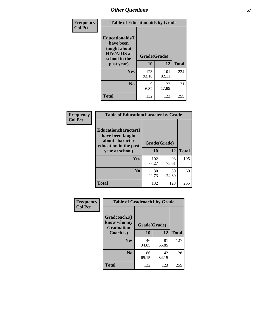| Frequency<br><b>Col Pct</b> | <b>Table of Educationaids by Grade</b>                                                                    |                    |              |              |
|-----------------------------|-----------------------------------------------------------------------------------------------------------|--------------------|--------------|--------------|
|                             | <b>Educationaids</b> (I<br>have been<br>taught about<br><b>HIV/AIDS</b> at<br>school in the<br>past year) | Grade(Grade)<br>10 | 12           | <b>Total</b> |
|                             | Yes                                                                                                       | 123<br>93.18       | 101<br>82.11 | 224          |
|                             | N <sub>0</sub>                                                                                            | 9<br>6.82          | 22<br>17.89  | 31           |
|                             | <b>Total</b>                                                                                              | 132                | 123          | 255          |

| Frequency      | <b>Table of Educationcharacter by Grade</b>                 |              |              |              |  |
|----------------|-------------------------------------------------------------|--------------|--------------|--------------|--|
| <b>Col Pct</b> | Educationcharacter(I<br>have been taught<br>about character |              |              |              |  |
|                | education in the past                                       |              | Grade(Grade) |              |  |
|                | year at school)                                             | 10           | 12           | <b>Total</b> |  |
|                | Yes                                                         | 102<br>77.27 | 93<br>75.61  | 195          |  |
|                | N <sub>0</sub>                                              | 30<br>22.73  | 30<br>24.39  | 60           |  |
|                | <b>Total</b>                                                | 132          | 123          | 255          |  |

| Frequency      | <b>Table of Gradcoach1 by Grade</b>              |              |             |              |  |
|----------------|--------------------------------------------------|--------------|-------------|--------------|--|
| <b>Col Pct</b> | Gradcoach1(I<br>know who my<br><b>Graduation</b> | Grade(Grade) |             |              |  |
|                | Coach is)                                        | 10           | 12          | <b>Total</b> |  |
|                | <b>Yes</b>                                       | 46<br>34.85  | 81<br>65.85 | 127          |  |
|                | N <sub>0</sub>                                   | 86<br>65.15  | 42<br>34.15 | 128          |  |
|                | <b>Total</b>                                     | 132          | 123         | 255          |  |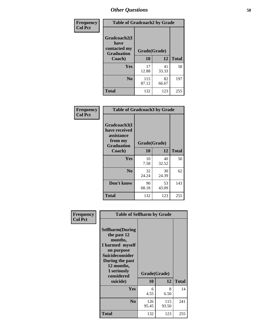| Frequency      | <b>Table of Gradcoach2 by Grade</b> |              |             |              |  |
|----------------|-------------------------------------|--------------|-------------|--------------|--|
| <b>Col Pct</b> | Gradcoach2(I<br>have                |              |             |              |  |
|                | contacted my<br><b>Graduation</b>   | Grade(Grade) |             |              |  |
|                | Coach)                              | 10           | 12          | <b>Total</b> |  |
|                | Yes                                 | 17<br>12.88  | 41<br>33.33 | 58           |  |
|                | N <sub>0</sub>                      | 115<br>87.12 | 82<br>66.67 | 197          |  |
|                | <b>Total</b>                        | 132          | 123         | 255          |  |

| <b>Frequency</b><br><b>Col Pct</b> | <b>Table of Gradcoach3 by Grade</b>                                         |              |             |              |
|------------------------------------|-----------------------------------------------------------------------------|--------------|-------------|--------------|
|                                    | Gradcoach3(I<br>have received<br>assistance<br>from my<br><b>Graduation</b> | Grade(Grade) |             |              |
|                                    | Coach)                                                                      | 10           | 12          | <b>Total</b> |
|                                    | Yes                                                                         | 10<br>7.58   | 40<br>32.52 | 50           |
|                                    | N <sub>0</sub>                                                              | 32<br>24.24  | 30<br>24.39 | 62           |
|                                    | Don't know                                                                  | 90<br>68.18  | 53<br>43.09 | 143          |
|                                    | <b>Total</b>                                                                | 132          | 123         | 255          |

| Frequency      | <b>Table of Selfharm by Grade</b>                                                                                                                                                      |              |                    |              |
|----------------|----------------------------------------------------------------------------------------------------------------------------------------------------------------------------------------|--------------|--------------------|--------------|
| <b>Col Pct</b> | <b>Selfharm</b> (During<br>the past 12<br>months,<br>I harmed myself<br>on purpose<br><b>Suicideconsider</b><br>During the past<br>12 months,<br>I seriously<br>considered<br>suicide) | 10           | Grade(Grade)<br>12 | <b>Total</b> |
|                | <b>Yes</b>                                                                                                                                                                             | 6<br>4.55    | 8<br>6.50          | 14           |
|                | N <sub>0</sub>                                                                                                                                                                         | 126<br>95.45 | 115<br>93.50       | 241          |
|                | Total                                                                                                                                                                                  | 132          | 123                | 255          |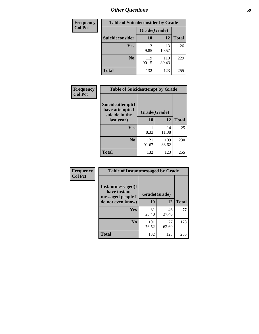| <b>Frequency</b> | <b>Table of Suicideconsider by Grade</b> |              |              |              |
|------------------|------------------------------------------|--------------|--------------|--------------|
| <b>Col Pct</b>   |                                          | Grade(Grade) |              |              |
|                  | <b>Suicideconsider</b>                   | 10           | 12           | <b>Total</b> |
|                  | <b>Yes</b>                               | 13<br>9.85   | 13<br>10.57  | 26           |
|                  | N <sub>0</sub>                           | 119<br>90.15 | 110<br>89.43 | 229          |
|                  | <b>Total</b>                             | 132          | 123          | 255          |

| Frequency      | <b>Table of Suicideattempt by Grade</b>              |              |              |              |
|----------------|------------------------------------------------------|--------------|--------------|--------------|
| <b>Col Pct</b> | Suicideattempt(I<br>have attempted<br>suicide in the | Grade(Grade) |              |              |
|                | last year)                                           | <b>10</b>    | 12           | <b>Total</b> |
|                | Yes                                                  | 11<br>8.33   | 14<br>11.38  | 25           |
|                | N <sub>0</sub>                                       | 121<br>91.67 | 109<br>88.62 | 230          |
|                | <b>Total</b>                                         | 132          | 123          | 255          |

| Frequency      | <b>Table of Instantmessaged by Grade</b>               |              |             |              |
|----------------|--------------------------------------------------------|--------------|-------------|--------------|
| <b>Col Pct</b> | Instantmessaged(I<br>have instant<br>messaged people I | Grade(Grade) |             |              |
|                | do not even know)                                      | 10           | 12          | <b>Total</b> |
|                | Yes                                                    | 31<br>23.48  | 46<br>37.40 | 77           |
|                | N <sub>0</sub>                                         | 101<br>76.52 | 77<br>62.60 | 178          |
|                | <b>Total</b>                                           | 132          | 123         | 255          |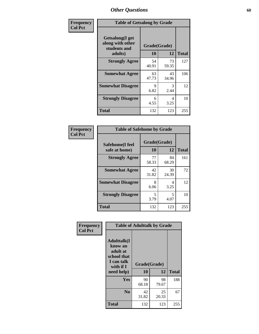| Frequency      | <b>Table of Getsalong by Grade</b>                          |              |             |              |  |  |  |
|----------------|-------------------------------------------------------------|--------------|-------------|--------------|--|--|--|
| <b>Col Pct</b> | <b>Getsalong</b> (I get<br>along with other<br>students and | Grade(Grade) |             |              |  |  |  |
|                | adults)                                                     | 10           | 12          | <b>Total</b> |  |  |  |
|                | <b>Strongly Agree</b>                                       | 54<br>40.91  | 73<br>59.35 | 127          |  |  |  |
|                | <b>Somewhat Agree</b>                                       | 63<br>47.73  | 43<br>34.96 | 106          |  |  |  |
|                | <b>Somewhat Disagree</b>                                    | 9<br>6.82    | 3<br>2.44   | 12           |  |  |  |
|                | <b>Strongly Disagree</b>                                    | 6<br>4.55    | 4<br>3.25   | 10           |  |  |  |
|                | <b>Total</b>                                                | 132          | 123         | 255          |  |  |  |

| Frequency      | <b>Table of Safehome by Grade</b> |                    |             |              |  |  |  |
|----------------|-----------------------------------|--------------------|-------------|--------------|--|--|--|
| <b>Col Pct</b> | Safehome(I feel<br>safe at home)  | Grade(Grade)<br>10 | 12          | <b>Total</b> |  |  |  |
|                | <b>Strongly Agree</b>             | 77<br>58.33        | 84<br>68.29 | 161          |  |  |  |
|                | <b>Somewhat Agree</b>             | 42<br>31.82        | 30<br>24.39 | 72           |  |  |  |
|                | <b>Somewhat Disagree</b>          | 8<br>6.06          | 4<br>3.25   | 12           |  |  |  |
|                | <b>Strongly Disagree</b>          | 5<br>3.79          | 5<br>4.07   | 10           |  |  |  |
|                | <b>Total</b>                      | 132                | 123         | 255          |  |  |  |

| Frequency      |                                                                                                    | <b>Table of Adulttalk by Grade</b> |             |              |
|----------------|----------------------------------------------------------------------------------------------------|------------------------------------|-------------|--------------|
| <b>Col Pct</b> | <b>Adulttalk</b> (I<br>know an<br>adult at<br>school that<br>I can talk<br>with if I<br>need help) | Grade(Grade)<br>10                 | 12          | <b>Total</b> |
|                |                                                                                                    |                                    |             |              |
|                | <b>Yes</b>                                                                                         | 90                                 | 98          | 188          |
|                |                                                                                                    | 68.18                              | 79.67       |              |
|                | N <sub>0</sub>                                                                                     | 42<br>31.82                        | 25<br>20.33 | 67           |
|                |                                                                                                    |                                    |             |              |
|                | <b>Total</b>                                                                                       | 132                                | 123         | 255          |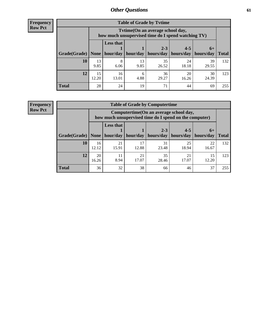**Frequency Row Pct**

| <b>Table of Grade by Tytime</b> |             |                                                                                                                           |            |             |             |             |     |  |  |  |
|---------------------------------|-------------|---------------------------------------------------------------------------------------------------------------------------|------------|-------------|-------------|-------------|-----|--|--|--|
|                                 |             | Tvtime(On an average school day,<br>how much unsupervised time do I spend watching TV)                                    |            |             |             |             |     |  |  |  |
| Grade(Grade)   None             |             | <b>Less that</b><br>$2 - 3$<br>$4 - 5$<br>$6+$<br>hour/day   hour/day   hours/day   hours/day   hours/day<br><b>Total</b> |            |             |             |             |     |  |  |  |
| 10                              | 13<br>9.85  | 8<br>6.06                                                                                                                 | 13<br>9.85 | 35<br>26.52 | 24<br>18.18 | 39<br>29.55 | 132 |  |  |  |
| 12                              | 15<br>12.20 | 16<br>13.01                                                                                                               | 4.88       | 36<br>29.27 | 20<br>16.26 | 30<br>24.39 | 123 |  |  |  |
| <b>Total</b>                    | 28          | 24                                                                                                                        | 19         | 71          | 44          | 69          | 255 |  |  |  |

**Frequency Row Pct**

| <b>Table of Grade by Computertime</b> |             |                                                                                                                              |             |             |             |             |     |  |  |  |
|---------------------------------------|-------------|------------------------------------------------------------------------------------------------------------------------------|-------------|-------------|-------------|-------------|-----|--|--|--|
|                                       |             | Computertime (On an average school day,<br>how much unsupervised time do I spend on the computer)                            |             |             |             |             |     |  |  |  |
| Grade(Grade)                          | None $ $    | <b>Less that</b><br>$4 - 5$<br>$2 - 3$<br>$6+$<br>hours/day<br>hours/day<br>hour/day   hour/day<br>hours/day<br><b>Total</b> |             |             |             |             |     |  |  |  |
| 10                                    | 16<br>12.12 | 21<br>15.91                                                                                                                  | 17<br>12.88 | 31<br>23.48 | 25<br>18.94 | 22<br>16.67 | 132 |  |  |  |
| 12                                    | 20<br>16.26 | 35<br>21<br>21<br>11<br>15<br>8.94<br>17.07<br>17.07<br>12.20<br>28.46                                                       |             |             |             |             |     |  |  |  |
| <b>Total</b>                          | 36          | 32                                                                                                                           | 38          | 66          | 46          | 37          | 255 |  |  |  |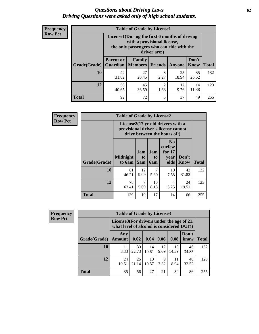#### *Questions about Driving Laws* **62** *Driving Questions were asked only of high school students.*

| <b>Frequency</b> |
|------------------|
| <b>Row Pct</b>   |

| <b>Table of Grade by License1</b> |                                                                                   |                                                                                                                                           |                |             |               |              |  |  |  |
|-----------------------------------|-----------------------------------------------------------------------------------|-------------------------------------------------------------------------------------------------------------------------------------------|----------------|-------------|---------------|--------------|--|--|--|
|                                   |                                                                                   | License1(During the first 6 months of driving<br>with a provisional license,<br>the only passengers who can ride with the<br>driver are:) |                |             |               |              |  |  |  |
| Grade(Grade)                      | <b>Parent or</b><br><b>Guardian</b>                                               | Family<br><b>Members</b>                                                                                                                  | <b>Friends</b> | Anyone      | Don't<br>Know | <b>Total</b> |  |  |  |
| 10                                | 42<br>31.82                                                                       | 27<br>20.45                                                                                                                               | 3<br>2.27      | 25<br>18.94 | 35<br>26.52   | 132          |  |  |  |
| 12                                | 45<br>$\overline{c}$<br>50<br>12<br>14<br>11.38<br>36.59<br>1.63<br>9.76<br>40.65 |                                                                                                                                           |                |             |               |              |  |  |  |
| Total                             | 92                                                                                | 72                                                                                                                                        | 5              | 37          | 49            | 255          |  |  |  |

| <b>Frequency</b> |              | <b>Table of Grade by License2</b> |                                                                                                          |                                     |                                                      |               |              |  |  |
|------------------|--------------|-----------------------------------|----------------------------------------------------------------------------------------------------------|-------------------------------------|------------------------------------------------------|---------------|--------------|--|--|
| <b>Row Pct</b>   |              |                                   | License2(17 yr old drivers with a<br>provisional driver's license cannot<br>drive between the hours of:) |                                     |                                                      |               |              |  |  |
|                  | Grade(Grade) | <b>Midnight</b><br>to 6am         | 1am<br>to<br>5am                                                                                         | 1am<br>t <sub>0</sub><br><b>6am</b> | N <sub>0</sub><br>curfew<br>for $17$<br>vear<br>olds | Don't<br>Know | <b>Total</b> |  |  |
|                  | 10           | 61<br>46.21                       | 12<br>9.09                                                                                               | 7<br>5.30                           | 10<br>7.58                                           | 42<br>31.82   | 132          |  |  |
|                  | 12           | 78<br>63.41                       | 7<br>5.69                                                                                                | 10<br>8.13                          | 4<br>3.25                                            | 24<br>19.51   | 123          |  |  |
|                  | <b>Total</b> | 139                               | 19                                                                                                       | 17                                  | 14                                                   | 66            | 255          |  |  |

| Frequency      |              | <b>Table of Grade by License3</b> |                                                                                        |             |            |             |               |              |  |  |
|----------------|--------------|-----------------------------------|----------------------------------------------------------------------------------------|-------------|------------|-------------|---------------|--------------|--|--|
| <b>Row Pct</b> |              |                                   | License3(For drivers under the age of 21,<br>what level of alcohol is considered DUI?) |             |            |             |               |              |  |  |
|                | Grade(Grade) | Any<br><b>Amount</b>              | 0.02                                                                                   | 0.04        | 0.06       | 0.08        | Don't<br>know | <b>Total</b> |  |  |
|                | 10           | 11<br>8.33                        | 30<br>22.73                                                                            | 14<br>10.61 | 12<br>9.09 | 19<br>14.39 | 46<br>34.85   | 132          |  |  |
|                | 12           | 24<br>19.51                       | 26<br>21.14                                                                            | 13<br>10.57 | 9<br>7.32  | 11<br>8.94  | 40<br>32.52   | 123          |  |  |
|                | <b>Total</b> | 35                                | 56                                                                                     | 27          | 21         | 30          | 86            | 255          |  |  |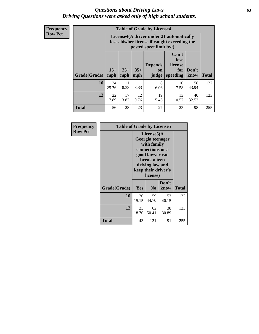#### *Questions about Driving Laws* **63** *Driving Questions were asked only of high school students.*

**Frequency Row Pct**

| <b>Table of Grade by License4</b> |             |                                                                                                                                                                                                                                                                                       |            |           |            |             |     |  |  |
|-----------------------------------|-------------|---------------------------------------------------------------------------------------------------------------------------------------------------------------------------------------------------------------------------------------------------------------------------------------|------------|-----------|------------|-------------|-----|--|--|
|                                   |             | License4(A driver under 21 automatically<br>loses his/her license if caught exceeding the<br>posted speet limit by:)<br>Can't<br>lose<br>license<br><b>Depends</b><br>$15+$<br>$25+$<br>$35+$<br>Don't<br>for<br><b>on</b><br><b>Total</b><br>mph<br>speeding<br>know<br>mph<br>judge |            |           |            |             |     |  |  |
| Grade(Grade)                      | mph         |                                                                                                                                                                                                                                                                                       |            |           |            |             |     |  |  |
| 10                                | 34<br>25.76 | 11<br>8.33                                                                                                                                                                                                                                                                            | 11<br>8.33 | 8<br>6.06 | 10<br>7.58 | 58<br>43.94 | 132 |  |  |
| 12                                | 22<br>17.89 | 17<br>12<br>19<br>13<br>40<br>13.82<br>9.76<br>15.45<br>10.57<br>32.52                                                                                                                                                                                                                |            |           |            |             |     |  |  |
| <b>Total</b>                      | 56          | 28                                                                                                                                                                                                                                                                                    | 23         | 27        | 23         | 98          | 255 |  |  |

| Frequency      | <b>Table of Grade by License5</b> |             |                                                                                                                                                            |               |              |
|----------------|-----------------------------------|-------------|------------------------------------------------------------------------------------------------------------------------------------------------------------|---------------|--------------|
| <b>Row Pct</b> |                                   |             | License5(A<br>Georgia teenager<br>with family<br>connections or a<br>good lawyer can<br>break a teen<br>driving law and<br>keep their driver's<br>license) |               |              |
|                | Grade(Grade)                      | <b>Yes</b>  | N <sub>0</sub>                                                                                                                                             | Don't<br>know | <b>Total</b> |
|                | 10                                | 20<br>15.15 | 59<br>44.70                                                                                                                                                | 53<br>40.15   | 132          |
|                | 12                                | 23<br>18.70 | 62<br>50.41                                                                                                                                                | 38<br>30.89   | 123          |
|                | Total                             | 43          | 121                                                                                                                                                        | 91            | 255          |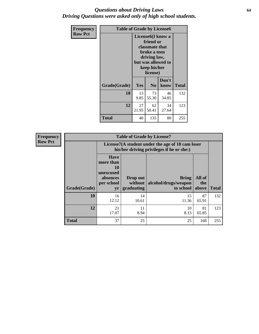#### *Questions about Driving Laws* **64** *Driving Questions were asked only of high school students.*

| <b>Frequency</b> | <b>Table of Grade by License6</b> |                                                                                                                                                 |                |               |              |
|------------------|-----------------------------------|-------------------------------------------------------------------------------------------------------------------------------------------------|----------------|---------------|--------------|
| <b>Row Pct</b>   |                                   | License <sub>6</sub> (I know a<br>friend or<br>classmate that<br>broke a teen<br>driving law,<br>but was allowed to<br>keep his/her<br>license) |                |               |              |
|                  | Grade(Grade)                      | <b>Yes</b>                                                                                                                                      | N <sub>0</sub> | Don't<br>know | <b>Total</b> |
|                  | 10                                | 13<br>9.85                                                                                                                                      | 73<br>55.30    | 46<br>34.85   | 132          |
|                  | 12                                | 27<br>21.95                                                                                                                                     | 123            |               |              |
|                  | <b>Total</b>                      | 40                                                                                                                                              | 135            | 80            | 255          |

| <b>Frequency</b> | <b>Table of Grade by License7</b> |                                                                                               |                                     |                                                   |                        |              |
|------------------|-----------------------------------|-----------------------------------------------------------------------------------------------|-------------------------------------|---------------------------------------------------|------------------------|--------------|
| <b>Row Pct</b>   |                                   | License7(A student under the age of 18 cam loser<br>his/her driving privileges if he or she:) |                                     |                                                   |                        |              |
|                  | Grade(Grade)                      | <b>Have</b><br>more than<br>10<br>unexcused<br>absences<br>per school<br>yr                   | Drop out<br>without  <br>graduating | <b>Bring</b><br>alcohol/drugs/weapon<br>to school | All of<br>the<br>above | <b>Total</b> |
|                  | 10                                | 16<br>12.12                                                                                   | 14<br>10.61                         | 15<br>11.36                                       | 87<br>65.91            | 132          |
|                  | 12                                | 21<br>17.07                                                                                   | 11<br>8.94                          | 10<br>8.13                                        | 81<br>65.85            | 123          |
|                  | <b>Total</b>                      | 37                                                                                            | 25                                  | 25                                                | 168                    | 255          |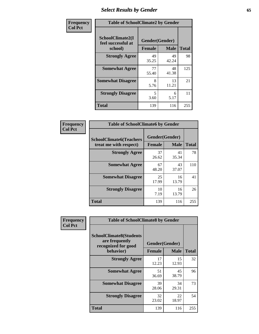# *Select Results by Gender* **65**

| Frequency      | <b>Table of SchoolClimate2 by Gender</b>          |                                 |             |              |
|----------------|---------------------------------------------------|---------------------------------|-------------|--------------|
| <b>Col Pct</b> | SchoolClimate2(I<br>feel successful at<br>school) | Gender(Gender)<br><b>Female</b> | <b>Male</b> | <b>Total</b> |
|                | <b>Strongly Agree</b>                             | 49<br>35.25                     | 49<br>42.24 | 98           |
|                | <b>Somewhat Agree</b>                             | 77<br>55.40                     | 48<br>41.38 | 125          |
|                | <b>Somewhat Disagree</b>                          | 8<br>5.76                       | 13<br>11.21 | 21           |
|                | <b>Strongly Disagree</b>                          | 5<br>3.60                       | 6<br>5.17   | 11           |
|                | <b>Total</b>                                      | 139                             | 116         | 255          |

| <b>Frequency</b> | <b>Table of SchoolClimate6 by Gender</b>                 |                |             |              |  |
|------------------|----------------------------------------------------------|----------------|-------------|--------------|--|
| <b>Col Pct</b>   | <b>SchoolClimate6(Teachers</b><br>treat me with respect) | Gender(Gender) |             |              |  |
|                  |                                                          | <b>Female</b>  | <b>Male</b> | <b>Total</b> |  |
|                  | <b>Strongly Agree</b>                                    | 37<br>26.62    | 41<br>35.34 | 78           |  |
|                  | <b>Somewhat Agree</b>                                    | 67<br>48.20    | 43<br>37.07 | 110          |  |
|                  | <b>Somewhat Disagree</b>                                 | 25<br>17.99    | 16<br>13.79 | 41           |  |
|                  | <b>Strongly Disagree</b>                                 | 10<br>7.19     | 16<br>13.79 | 26           |  |
|                  | <b>Total</b>                                             | 139            | 116         | 255          |  |

| Frequency      | <b>Table of SchoolClimate8 by Gender</b>                                             |                                 |             |              |
|----------------|--------------------------------------------------------------------------------------|---------------------------------|-------------|--------------|
| <b>Col Pct</b> | <b>SchoolClimate8(Students</b><br>are frequently<br>recognized for good<br>behavior) | Gender(Gender)<br><b>Female</b> | <b>Male</b> | <b>Total</b> |
|                | <b>Strongly Agree</b>                                                                | 17<br>12.23                     | 15<br>12.93 | 32           |
|                | <b>Somewhat Agree</b>                                                                | 51<br>36.69                     | 45<br>38.79 | 96           |
|                | <b>Somewhat Disagree</b>                                                             | 39<br>28.06                     | 34<br>29.31 | 73           |
|                | <b>Strongly Disagree</b>                                                             | 32<br>23.02                     | 22<br>18.97 | 54           |
|                | Total                                                                                | 139                             | 116         | 255          |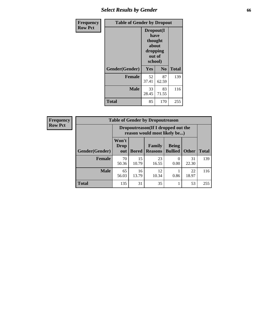# *Select Results by Gender* **66**

| <b>Frequency</b> | <b>Table of Gender by Dropout</b> |                                                                        |                |              |
|------------------|-----------------------------------|------------------------------------------------------------------------|----------------|--------------|
| <b>Row Pct</b>   |                                   | Dropout(I<br>have<br>thought<br>about<br>dropping<br>out of<br>school) |                |              |
|                  | Gender(Gender)                    | Yes                                                                    | N <sub>0</sub> | <b>Total</b> |
|                  | <b>Female</b>                     | 52<br>37.41                                                            | 87<br>62.59    | 139          |
|                  | <b>Male</b>                       | 33<br>28.45                                                            | 83<br>71.55    | 116          |
|                  | <b>Total</b>                      | 85                                                                     | 170            | 255          |

| <b>Frequency</b> | <b>Table of Gender by Dropoutreason</b> |                                                                     |              |                          |                                |              |              |
|------------------|-----------------------------------------|---------------------------------------------------------------------|--------------|--------------------------|--------------------------------|--------------|--------------|
| <b>Row Pct</b>   |                                         | Dropoutreason (If I dropped out the<br>reason would most likely be) |              |                          |                                |              |              |
|                  | <b>Gender(Gender)</b>                   | Won't<br><b>Drop</b><br>out                                         | <b>Bored</b> | Family<br><b>Reasons</b> | <b>Being</b><br><b>Bullied</b> | <b>Other</b> | <b>Total</b> |
|                  | <b>Female</b>                           | 70<br>50.36                                                         | 15<br>10.79  | 23<br>16.55              | $\Omega$<br>0.00               | 31<br>22.30  | 139          |
|                  | <b>Male</b>                             | 65<br>56.03                                                         | 16<br>13.79  | 12<br>10.34              | 0.86                           | 22<br>18.97  | 116          |
|                  | <b>Total</b>                            | 135                                                                 | 31           | 35                       |                                | 53           | 255          |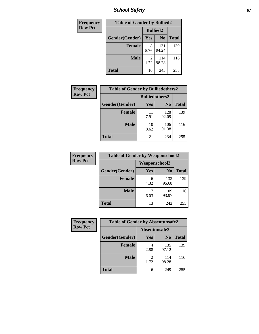*School Safety* **67**

| Frequency      | <b>Table of Gender by Bullied2</b> |                 |                |              |
|----------------|------------------------------------|-----------------|----------------|--------------|
| <b>Row Pct</b> |                                    | <b>Bullied2</b> |                |              |
|                | Gender(Gender)                     | Yes             | N <sub>0</sub> | <b>Total</b> |
|                | <b>Female</b>                      | 8<br>5.76       | 131<br>94.24   | 139          |
|                | <b>Male</b>                        | 2<br>1.72       | 114<br>98.28   | 116          |
|                | <b>Total</b>                       | 10              | 245            | 255          |

| Frequency      | <b>Table of Gender by Bulliedothers2</b> |                       |                |              |
|----------------|------------------------------------------|-----------------------|----------------|--------------|
| <b>Row Pct</b> |                                          | <b>Bulliedothers2</b> |                |              |
|                | Gender(Gender)                           | <b>Yes</b>            | N <sub>0</sub> | <b>Total</b> |
|                | <b>Female</b>                            | 11<br>7.91            | 128<br>92.09   | 139          |
|                | <b>Male</b>                              | 10<br>8.62            | 106<br>91.38   | 116          |
|                | <b>Total</b>                             | 21                    | 234            | 255          |

| Frequency      | <b>Table of Gender by Weaponschool2</b> |                      |                |              |
|----------------|-----------------------------------------|----------------------|----------------|--------------|
| <b>Row Pct</b> |                                         | <b>Weaponschool2</b> |                |              |
|                | Gender(Gender)                          | <b>Yes</b>           | N <sub>0</sub> | <b>Total</b> |
|                | <b>Female</b>                           | 6<br>4.32            | 133<br>95.68   | 139          |
|                | <b>Male</b>                             | 6.03                 | 109<br>93.97   | 116          |
|                | <b>Total</b>                            | 13                   | 242            | 255          |

| Frequency      | <b>Table of Gender by Absentunsafe2</b> |               |                |              |
|----------------|-----------------------------------------|---------------|----------------|--------------|
| <b>Row Pct</b> |                                         | Absentunsafe2 |                |              |
|                | Gender(Gender)                          | Yes           | N <sub>0</sub> | <b>Total</b> |
|                | <b>Female</b>                           | 2.88          | 135<br>97.12   | 139          |
|                | <b>Male</b>                             | 1.72          | 114<br>98.28   | 116          |
|                | <b>Total</b>                            | 6             | 249            | 255          |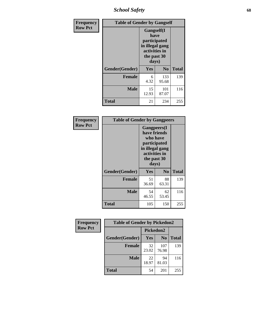*School Safety* **68**

| Frequency      | <b>Table of Gender by Gangself</b> |                                                                                                        |              |              |  |
|----------------|------------------------------------|--------------------------------------------------------------------------------------------------------|--------------|--------------|--|
| <b>Row Pct</b> |                                    | <b>Gangself</b> (I<br>have<br>participated<br>in illegal gang<br>activities in<br>the past 30<br>days) |              |              |  |
|                | Gender(Gender)                     | Yes                                                                                                    | $\bf No$     | <b>Total</b> |  |
|                | <b>Female</b>                      | 6<br>4.32                                                                                              | 133<br>95.68 | 139          |  |
|                | <b>Male</b>                        | 15<br>12.93                                                                                            | 101<br>87.07 | 116          |  |
|                | <b>Total</b>                       | 21                                                                                                     | 234          | 255          |  |

| Frequency      | <b>Table of Gender by Gangpeers</b> |                                                                                                                             |                |              |
|----------------|-------------------------------------|-----------------------------------------------------------------------------------------------------------------------------|----------------|--------------|
| <b>Row Pct</b> |                                     | <b>Gangpeers</b> (I<br>have friends<br>who have<br>participated<br>in illegal gang<br>activities in<br>the past 30<br>days) |                |              |
|                | Gender(Gender)                      | Yes                                                                                                                         | N <sub>0</sub> | <b>Total</b> |
|                | <b>Female</b>                       | 51<br>36.69                                                                                                                 | 88<br>63.31    | 139          |
|                | <b>Male</b>                         | 54<br>46.55                                                                                                                 | 62<br>53.45    | 116          |
|                | <b>Total</b>                        | 105                                                                                                                         | 150            | 255          |

| Frequency      | <b>Table of Gender by Pickedon2</b> |             |                |              |
|----------------|-------------------------------------|-------------|----------------|--------------|
| <b>Row Pct</b> |                                     | Pickedon2   |                |              |
|                | Gender(Gender)                      | Yes         | N <sub>0</sub> | <b>Total</b> |
|                | <b>Female</b>                       | 32<br>23.02 | 107<br>76.98   | 139          |
|                | <b>Male</b>                         | 22<br>18.97 | 94<br>81.03    | 116          |
|                | <b>Total</b>                        | 54          | 201            | 255          |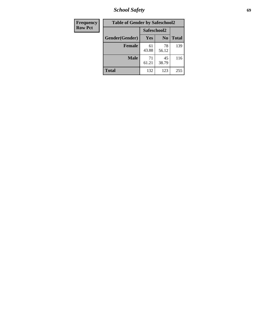*School Safety* **69**

| Frequency      | <b>Table of Gender by Safeschool2</b> |             |                |              |
|----------------|---------------------------------------|-------------|----------------|--------------|
| <b>Row Pct</b> |                                       | Safeschool2 |                |              |
|                | Gender(Gender)                        | Yes         | N <sub>0</sub> | <b>Total</b> |
|                | <b>Female</b>                         | 61<br>43.88 | 78<br>56.12    | 139          |
|                | <b>Male</b>                           | 71<br>61.21 | 45<br>38.79    | 116          |
|                | <b>Total</b>                          | 132         | 123            | 255          |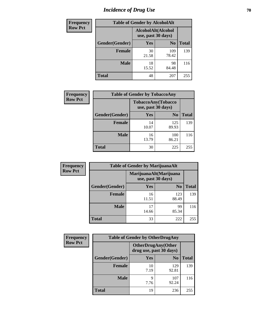# *Incidence of Drug Use* **70**

| <b>Frequency</b> | <b>Table of Gender by AlcoholAlt</b> |                                          |                |              |  |
|------------------|--------------------------------------|------------------------------------------|----------------|--------------|--|
| <b>Row Pct</b>   |                                      | AlcoholAlt(Alcohol<br>use, past 30 days) |                |              |  |
|                  | Gender(Gender)                       | <b>Yes</b>                               | N <sub>0</sub> | <b>Total</b> |  |
|                  | <b>Female</b>                        | 30<br>21.58                              | 109<br>78.42   | 139          |  |
|                  | <b>Male</b>                          | 18<br>15.52                              | 98<br>84.48    | 116          |  |
|                  | <b>Total</b>                         | 48                                       | 207            | 255          |  |

| <b>Frequency</b> | <b>Table of Gender by TobaccoAny</b> |                                          |                |              |
|------------------|--------------------------------------|------------------------------------------|----------------|--------------|
| <b>Row Pct</b>   |                                      | TobaccoAny(Tobacco<br>use, past 30 days) |                |              |
|                  | Gender(Gender)                       | Yes                                      | N <sub>0</sub> | <b>Total</b> |
|                  | <b>Female</b>                        | 14<br>10.07                              | 125<br>89.93   | 139          |
|                  | <b>Male</b>                          | 16<br>13.79                              | 100<br>86.21   | 116          |
|                  | <b>Total</b>                         | 30                                       | 225            | 255          |

| <b>Frequency</b> | <b>Table of Gender by MarijuanaAlt</b> |                    |                        |              |
|------------------|----------------------------------------|--------------------|------------------------|--------------|
| <b>Row Pct</b>   |                                        | use, past 30 days) | MarijuanaAlt(Marijuana |              |
|                  | Gender(Gender)                         | <b>Yes</b>         | N <sub>0</sub>         | <b>Total</b> |
|                  | Female                                 | 16<br>11.51        | 123<br>88.49           | 139          |
|                  | <b>Male</b>                            | 17<br>14.66        | 99<br>85.34            | 116          |
|                  | <b>Total</b>                           | 33                 | 222                    | 255          |

| <b>Frequency</b> | <b>Table of Gender by OtherDrugAny</b> |                                                       |                |              |
|------------------|----------------------------------------|-------------------------------------------------------|----------------|--------------|
| <b>Row Pct</b>   |                                        | <b>OtherDrugAny</b> (Other<br>drug use, past 30 days) |                |              |
|                  | Gender(Gender)                         | <b>Yes</b>                                            | N <sub>0</sub> | <b>Total</b> |
|                  | <b>Female</b>                          | 10<br>7.19                                            | 129<br>92.81   | 139          |
|                  | <b>Male</b>                            | 9<br>7.76                                             | 107<br>92.24   | 116          |
|                  | <b>Total</b>                           | 19                                                    | 236            | 255          |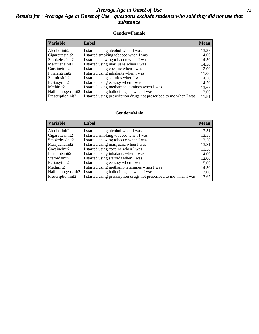#### *Average Age at Onset of Use* **71** *Results for "Average Age at Onset of Use" questions exclude students who said they did not use that substance*

#### **Gender=Female**

| <b>Variable</b>    | <b>Label</b>                                                       | <b>Mean</b> |
|--------------------|--------------------------------------------------------------------|-------------|
| Alcoholinit2       | I started using alcohol when I was                                 | 13.37       |
| Cigarettesinit2    | I started smoking tobacco when I was                               | 14.00       |
| Smokelessinit2     | I started chewing tobacco when I was                               | 14.50       |
| Marijuanainit2     | I started using marijuana when I was                               | 14.50       |
| Cocaineinit2       | I started using cocaine when I was                                 | 12.00       |
| Inhalantsinit2     | I started using inhalants when I was                               | 11.00       |
| Steroidsinit2      | I started using steroids when I was                                | 14.50       |
| Ecstasyinit2       | I started using ecstasy when I was                                 | 14.50       |
| Methinit2          | I started using methamphetamines when I was                        | 13.67       |
| Hallucinogensinit2 | I started using hallucinogens when I was                           | 12.00       |
| Prescription in t2 | I started using prescription drugs not prescribed to me when I was | 11.81       |

#### **Gender=Male**

| <b>Variable</b>    | Label                                                              | <b>Mean</b> |
|--------------------|--------------------------------------------------------------------|-------------|
| Alcoholinit2       | I started using alcohol when I was                                 | 13.51       |
| Cigarettesinit2    | I started smoking tobacco when I was                               | 13.55       |
| Smokelessinit2     | I started chewing tobacco when I was                               | 12.50       |
| Marijuanainit2     | I started using marijuana when I was                               | 13.81       |
| Cocaineinit2       | I started using cocaine when I was                                 | 11.50       |
| Inhalantsinit2     | I started using inhalants when I was                               | 14.00       |
| Steroidsinit2      | I started using steroids when I was                                | 12.00       |
| Ecstasyinit2       | I started using ecstasy when I was                                 | 15.00       |
| Methinit2          | I started using methamphetamines when I was                        | 14.50       |
| Hallucinogensinit2 | I started using hallucinogens when I was                           | 13.00       |
| Prescriptioninit2  | I started using prescription drugs not prescribed to me when I was | 13.67       |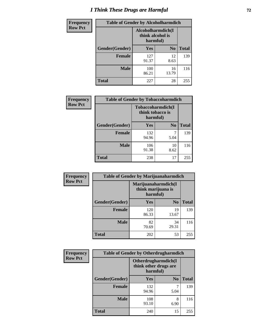# *I Think These Drugs are Harmful* **72**

| <b>Frequency</b> | <b>Table of Gender by Alcoholharmdich</b>         |              |                |              |  |
|------------------|---------------------------------------------------|--------------|----------------|--------------|--|
| <b>Row Pct</b>   | Alcoholharmdich(I<br>think alcohol is<br>harmful) |              |                |              |  |
|                  | Gender(Gender)                                    | <b>Yes</b>   | N <sub>0</sub> | <b>Total</b> |  |
|                  | <b>Female</b>                                     | 127<br>91.37 | 12<br>8.63     | 139          |  |
|                  | <b>Male</b>                                       | 100<br>86.21 | 16<br>13.79    | 116          |  |
|                  | Total                                             | 227          | 28             | 255          |  |

| Frequency      | <b>Table of Gender by Tobaccoharmdich</b> |                                                   |                |              |
|----------------|-------------------------------------------|---------------------------------------------------|----------------|--------------|
| <b>Row Pct</b> |                                           | Tobaccoharmdich(I<br>think tobacco is<br>harmful) |                |              |
|                | Gender(Gender)                            | Yes                                               | N <sub>0</sub> | <b>Total</b> |
|                | <b>Female</b>                             | 132<br>94.96                                      | 5.04           | 139          |
|                | <b>Male</b>                               | 106<br>91.38                                      | 10<br>8.62     | 116          |
|                | <b>Total</b>                              | 238                                               | 17             | 255          |

| Frequency      | <b>Table of Gender by Marijuanaharmdich</b> |                                                       |                |              |  |
|----------------|---------------------------------------------|-------------------------------------------------------|----------------|--------------|--|
| <b>Row Pct</b> |                                             | Marijuanaharmdich(I<br>think marijuana is<br>harmful) |                |              |  |
|                | Gender(Gender)                              | <b>Yes</b>                                            | N <sub>0</sub> | <b>Total</b> |  |
|                | <b>Female</b>                               | 120<br>86.33                                          | 19<br>13.67    | 139          |  |
|                | <b>Male</b>                                 | 82<br>70.69                                           | 34<br>29.31    | 116          |  |
|                | <b>Total</b>                                | 202                                                   | 53             | 255          |  |

| Frequency      | <b>Table of Gender by Otherdrugharmdich</b> |                                                          |                |              |  |
|----------------|---------------------------------------------|----------------------------------------------------------|----------------|--------------|--|
| <b>Row Pct</b> |                                             | Otherdrugharmdich(I<br>think other drugs are<br>harmful) |                |              |  |
|                | Gender(Gender)                              | <b>Yes</b>                                               | N <sub>0</sub> | <b>Total</b> |  |
|                | <b>Female</b>                               | 132<br>94.96                                             | 5.04           | 139          |  |
|                | <b>Male</b>                                 | 108<br>93.10                                             | 8<br>6.90      | 116          |  |
|                | <b>Total</b>                                | 240                                                      | 15             | 255          |  |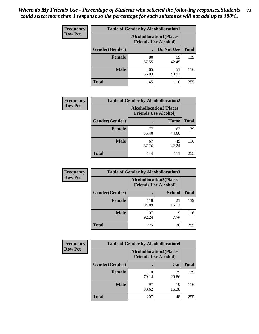| <b>Frequency</b> | <b>Table of Gender by Alcohollocation1</b> |                                                               |             |              |
|------------------|--------------------------------------------|---------------------------------------------------------------|-------------|--------------|
| <b>Row Pct</b>   |                                            | <b>Alcohollocation1(Places</b><br><b>Friends Use Alcohol)</b> |             |              |
|                  | Gender(Gender)                             |                                                               | Do Not Use  | <b>Total</b> |
|                  | <b>Female</b>                              | 80<br>57.55                                                   | 59<br>42.45 | 139          |
|                  | <b>Male</b>                                | 65<br>56.03                                                   | 51<br>43.97 | 116          |
|                  | <b>Total</b>                               | 145                                                           | 110         | 255          |

| <b>Frequency</b> | <b>Table of Gender by Alcohollocation2</b> |                                |                             |              |
|------------------|--------------------------------------------|--------------------------------|-----------------------------|--------------|
| <b>Row Pct</b>   |                                            | <b>Alcohollocation2(Places</b> | <b>Friends Use Alcohol)</b> |              |
|                  | Gender(Gender)                             |                                | Home                        | <b>Total</b> |
|                  | <b>Female</b>                              | 77<br>55.40                    | 62<br>44.60                 | 139          |
|                  | <b>Male</b>                                | 67<br>57.76                    | 49<br>42.24                 | 116          |
|                  | <b>Total</b>                               | 144                            | 111                         | 255          |

| Frequency      | <b>Table of Gender by Alcohollocation3</b> |                                                               |               |              |
|----------------|--------------------------------------------|---------------------------------------------------------------|---------------|--------------|
| <b>Row Pct</b> |                                            | <b>Alcohollocation3(Places</b><br><b>Friends Use Alcohol)</b> |               |              |
|                | Gender(Gender)                             |                                                               | <b>School</b> | <b>Total</b> |
|                | <b>Female</b>                              | 118<br>84.89                                                  | 21<br>15.11   | 139          |
|                | <b>Male</b>                                | 107<br>92.24                                                  | q<br>7.76     | 116          |
|                | <b>Total</b>                               | 225                                                           | 30            | 255          |

| <b>Frequency</b> | <b>Table of Gender by Alcohollocation4</b> |                                                               |             |              |
|------------------|--------------------------------------------|---------------------------------------------------------------|-------------|--------------|
| <b>Row Pct</b>   |                                            | <b>Alcohollocation4(Places</b><br><b>Friends Use Alcohol)</b> |             |              |
|                  | Gender(Gender)                             |                                                               | Car         | <b>Total</b> |
|                  | Female                                     | 110<br>79.14                                                  | 29<br>20.86 | 139          |
|                  | <b>Male</b>                                | 97<br>83.62                                                   | 19<br>16.38 | 116          |
|                  | <b>Total</b>                               | 207                                                           | 48          | 255          |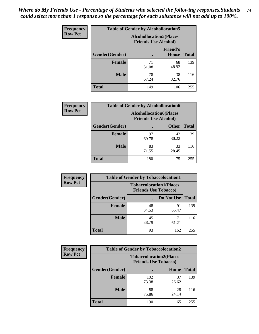| <b>Frequency</b> | <b>Table of Gender by Alcohollocation5</b> |                                                                |                                 |              |
|------------------|--------------------------------------------|----------------------------------------------------------------|---------------------------------|--------------|
| <b>Row Pct</b>   |                                            | <b>Alcohollocation5</b> (Places<br><b>Friends Use Alcohol)</b> |                                 |              |
|                  | Gender(Gender)                             |                                                                | <b>Friend's</b><br><b>House</b> | <b>Total</b> |
|                  | <b>Female</b>                              | 71<br>51.08                                                    | 68<br>48.92                     | 139          |
|                  | <b>Male</b>                                | 78<br>67.24                                                    | 38<br>32.76                     | 116          |
|                  | <b>Total</b>                               | 149                                                            | 106                             | 255          |

| Frequency      | <b>Table of Gender by Alcohollocation6</b> |                                                               |              |              |
|----------------|--------------------------------------------|---------------------------------------------------------------|--------------|--------------|
| <b>Row Pct</b> |                                            | <b>Alcohollocation6(Places</b><br><b>Friends Use Alcohol)</b> |              |              |
|                | <b>Gender</b> (Gender)                     |                                                               | <b>Other</b> | <b>Total</b> |
|                | <b>Female</b>                              | 97<br>69.78                                                   | 42<br>30.22  | 139          |
|                | <b>Male</b>                                | 83<br>71.55                                                   | 33<br>28.45  | 116          |
|                | <b>Total</b>                               | 180                                                           | 75           | 255          |

| Frequency      | <b>Table of Gender by Tobaccolocation1</b> |                                                               |             |              |  |
|----------------|--------------------------------------------|---------------------------------------------------------------|-------------|--------------|--|
| <b>Row Pct</b> |                                            | <b>Tobaccolocation1(Places</b><br><b>Friends Use Tobacco)</b> |             |              |  |
|                | Gender(Gender)                             |                                                               | Do Not Use  | <b>Total</b> |  |
|                | Female                                     | 48<br>34.53                                                   | 91<br>65.47 | 139          |  |
|                | <b>Male</b>                                | 45<br>38.79                                                   | 71<br>61.21 | 116          |  |
|                | <b>Total</b>                               | 93                                                            | 162         | 255          |  |

| <b>Frequency</b> | <b>Table of Gender by Tobaccolocation2</b> |                                                               |             |              |
|------------------|--------------------------------------------|---------------------------------------------------------------|-------------|--------------|
| <b>Row Pct</b>   |                                            | <b>Tobaccolocation2(Places</b><br><b>Friends Use Tobacco)</b> |             |              |
|                  | Gender(Gender)                             |                                                               | Home        | <b>Total</b> |
|                  | Female                                     | 102<br>73.38                                                  | 37<br>26.62 | 139          |
|                  | <b>Male</b>                                | 88<br>75.86                                                   | 28<br>24.14 | 116          |
|                  | <b>Total</b>                               | 190                                                           | 65          | 255          |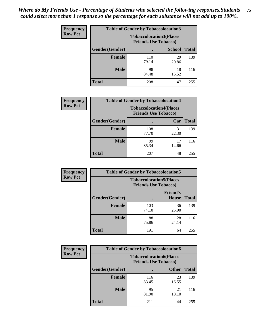| <b>Frequency</b> | <b>Table of Gender by Tobaccolocation3</b> |                             |                                |              |
|------------------|--------------------------------------------|-----------------------------|--------------------------------|--------------|
| <b>Row Pct</b>   |                                            | <b>Friends Use Tobacco)</b> | <b>Tobaccolocation3(Places</b> |              |
|                  | Gender(Gender)                             |                             | <b>School</b>                  | <b>Total</b> |
|                  | Female                                     | 110<br>79.14                | 29<br>20.86                    | 139          |
|                  | <b>Male</b>                                | 98<br>84.48                 | 18<br>15.52                    | 116          |
|                  | <b>Total</b>                               | 208                         | 47                             | 255          |

| <b>Frequency</b> | <b>Table of Gender by Tobaccolocation4</b> |              |                                                               |              |
|------------------|--------------------------------------------|--------------|---------------------------------------------------------------|--------------|
| <b>Row Pct</b>   |                                            |              | <b>Tobaccolocation4(Places</b><br><b>Friends Use Tobacco)</b> |              |
|                  | Gender(Gender)                             |              | Car                                                           | <b>Total</b> |
|                  | <b>Female</b>                              | 108<br>77.70 | 31<br>22.30                                                   | 139          |
|                  | <b>Male</b>                                | 99<br>85.34  | 17<br>14.66                                                   | 116          |
|                  | <b>Total</b>                               | 207          | 48                                                            | 255          |

| <b>Frequency</b> | <b>Table of Gender by Tobaccolocation5</b> |                                                               |                                 |              |
|------------------|--------------------------------------------|---------------------------------------------------------------|---------------------------------|--------------|
| <b>Row Pct</b>   |                                            | <b>Tobaccolocation5(Places</b><br><b>Friends Use Tobacco)</b> |                                 |              |
|                  | Gender(Gender)                             |                                                               | <b>Friend's</b><br><b>House</b> | <b>Total</b> |
|                  | <b>Female</b>                              | 103<br>74.10                                                  | 36<br>25.90                     | 139          |
|                  | <b>Male</b>                                | 88<br>75.86                                                   | 28<br>24.14                     | 116          |
|                  | <b>Total</b>                               | 191                                                           | 64                              | 255          |

| <b>Frequency</b> |                | <b>Table of Gender by Tobaccolocation6</b> |                                |              |
|------------------|----------------|--------------------------------------------|--------------------------------|--------------|
| <b>Row Pct</b>   |                | <b>Friends Use Tobacco)</b>                | <b>Tobaccolocation6(Places</b> |              |
|                  | Gender(Gender) |                                            | <b>Other</b>                   | <b>Total</b> |
|                  | Female         | 116<br>83.45                               | 23<br>16.55                    | 139          |
|                  | <b>Male</b>    | 95<br>81.90                                | 21<br>18.10                    | 116          |
|                  | <b>Total</b>   | 211                                        | 44                             | 255          |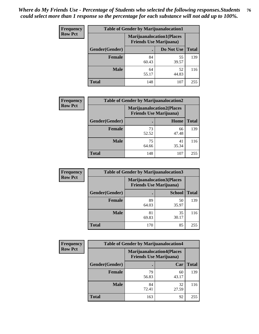| <b>Frequency</b> | <b>Table of Gender by Marijuanalocation1</b> |                                |                                  |              |
|------------------|----------------------------------------------|--------------------------------|----------------------------------|--------------|
| <b>Row Pct</b>   |                                              | <b>Friends Use Marijuana</b> ) | <b>Marijuanalocation1(Places</b> |              |
|                  | <b>Gender</b> (Gender)                       |                                | Do Not Use                       | <b>Total</b> |
|                  | <b>Female</b>                                | 84<br>60.43                    | 55<br>39.57                      | 139          |
|                  | <b>Male</b>                                  | 64<br>55.17                    | 52<br>44.83                      | 116          |
|                  | <b>Total</b>                                 | 148                            | 107                              | 255          |

| <b>Frequency</b> | <b>Table of Gender by Marijuanalocation2</b> |                                                                    |             |              |  |
|------------------|----------------------------------------------|--------------------------------------------------------------------|-------------|--------------|--|
| <b>Row Pct</b>   |                                              | <b>Marijuanalocation2(Places</b><br><b>Friends Use Marijuana</b> ) |             |              |  |
|                  | Gender(Gender)                               |                                                                    | Home        | <b>Total</b> |  |
|                  | <b>Female</b>                                | 73<br>52.52                                                        | 66<br>47.48 | 139          |  |
|                  | <b>Male</b>                                  | 75<br>64.66                                                        | 41<br>35.34 | 116          |  |
|                  | <b>Total</b>                                 | 148                                                                | 107         | 255          |  |

| Frequency      | <b>Table of Gender by Marijuanalocation3</b> |                                                                    |               |              |
|----------------|----------------------------------------------|--------------------------------------------------------------------|---------------|--------------|
| <b>Row Pct</b> |                                              | <b>Marijuanalocation3(Places</b><br><b>Friends Use Marijuana</b> ) |               |              |
|                | Gender(Gender)                               |                                                                    | <b>School</b> | <b>Total</b> |
|                | Female                                       | 89<br>64.03                                                        | 50<br>35.97   | 139          |
|                | <b>Male</b>                                  | 81<br>69.83                                                        | 35<br>30.17   | 116          |
|                | <b>Total</b>                                 | 170                                                                | 85            | 255          |

| <b>Frequency</b> | <b>Table of Gender by Marijuanalocation4</b> |                                |                                  |              |
|------------------|----------------------------------------------|--------------------------------|----------------------------------|--------------|
| <b>Row Pct</b>   |                                              | <b>Friends Use Marijuana</b> ) | <b>Marijuanalocation4(Places</b> |              |
|                  | Gender(Gender)                               |                                | Car                              | <b>Total</b> |
|                  | <b>Female</b>                                | 79<br>56.83                    | 60<br>43.17                      | 139          |
|                  | <b>Male</b>                                  | 84<br>72.41                    | 32<br>27.59                      | 116          |
|                  | <b>Total</b>                                 | 163                            | 92                               | 255          |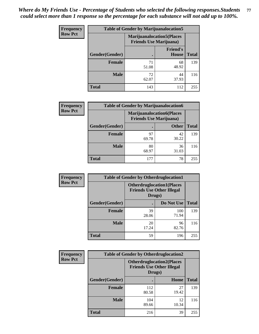| <b>Frequency</b> | <b>Table of Gender by Marijuanalocation5</b> |                                                                     |                          |              |
|------------------|----------------------------------------------|---------------------------------------------------------------------|--------------------------|--------------|
| <b>Row Pct</b>   |                                              | <b>Marijuanalocation5</b> (Places<br><b>Friends Use Marijuana</b> ) |                          |              |
|                  | <b>Gender</b> (Gender)                       |                                                                     | <b>Friend's</b><br>House | <b>Total</b> |
|                  | Female                                       | 71<br>51.08                                                         | 68<br>48.92              | 139          |
|                  | <b>Male</b>                                  | 72<br>62.07                                                         | 44<br>37.93              | 116          |
|                  | <b>Total</b>                                 | 143                                                                 | 112                      | 255          |

| <b>Frequency</b> | <b>Table of Gender by Marijuanalocation6</b> |             |                                                                    |              |
|------------------|----------------------------------------------|-------------|--------------------------------------------------------------------|--------------|
| <b>Row Pct</b>   |                                              |             | <b>Marijuanalocation6(Places</b><br><b>Friends Use Marijuana</b> ) |              |
|                  | <b>Gender</b> (Gender)                       |             | <b>Other</b>                                                       | <b>Total</b> |
|                  | Female                                       | 97<br>69.78 | 42<br>30.22                                                        | 139          |
|                  | <b>Male</b>                                  | 80<br>68.97 | 36<br>31.03                                                        | 116          |
|                  | Total                                        | 177         | 78                                                                 | 255          |

| Frequency      | <b>Table of Gender by Otherdruglocation1</b> |                                                                                |              |              |
|----------------|----------------------------------------------|--------------------------------------------------------------------------------|--------------|--------------|
| <b>Row Pct</b> |                                              | <b>Otherdruglocation1(Places</b><br><b>Friends Use Other Illegal</b><br>Drugs) |              |              |
|                | Gender(Gender)                               |                                                                                | Do Not Use   | <b>Total</b> |
|                | <b>Female</b>                                | 39<br>28.06                                                                    | 100<br>71.94 | 139          |
|                | <b>Male</b>                                  | 20<br>17.24                                                                    | 96<br>82.76  | 116          |
|                | <b>Total</b>                                 | 59                                                                             | 196          | 255          |

| <b>Frequency</b> | <b>Table of Gender by Otherdruglocation2</b> |                                            |                                  |              |
|------------------|----------------------------------------------|--------------------------------------------|----------------------------------|--------------|
| <b>Row Pct</b>   |                                              | <b>Friends Use Other Illegal</b><br>Drugs) | <b>Otherdruglocation2(Places</b> |              |
|                  | Gender(Gender)                               |                                            | Home                             | <b>Total</b> |
|                  | <b>Female</b>                                | 112<br>80.58                               | 27<br>19.42                      | 139          |
|                  | <b>Male</b>                                  | 104<br>89.66                               | 12<br>10.34                      | 116          |
|                  | <b>Total</b>                                 | 216                                        | 39                               | 255          |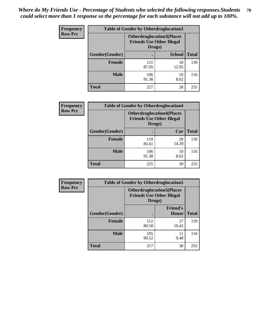| <b>Frequency</b> | <b>Table of Gender by Otherdruglocation3</b> |                                            |                                  |              |
|------------------|----------------------------------------------|--------------------------------------------|----------------------------------|--------------|
| <b>Row Pct</b>   |                                              | <b>Friends Use Other Illegal</b><br>Drugs) | <b>Otherdruglocation3(Places</b> |              |
|                  | Gender(Gender)                               |                                            | <b>School</b>                    | <b>Total</b> |
|                  | <b>Female</b>                                | 121<br>87.05                               | 18<br>12.95                      | 139          |
|                  | <b>Male</b>                                  | 106<br>91.38                               | 10<br>8.62                       | 116          |
|                  | <b>Total</b>                                 | 227                                        | 28                               | 255          |

| <b>Frequency</b> | <b>Table of Gender by Otherdruglocation4</b> |                                                                                |             |              |
|------------------|----------------------------------------------|--------------------------------------------------------------------------------|-------------|--------------|
| <b>Row Pct</b>   |                                              | <b>Otherdruglocation4(Places</b><br><b>Friends Use Other Illegal</b><br>Drugs) |             |              |
|                  | Gender(Gender)                               |                                                                                | Car         | <b>Total</b> |
|                  | <b>Female</b>                                | 119<br>85.61                                                                   | 20<br>14.39 | 139          |
|                  | <b>Male</b>                                  | 106<br>91.38                                                                   | 10<br>8.62  | 116          |
|                  | <b>Total</b>                                 | 225                                                                            | 30          | 255          |

| Frequency      | <b>Table of Gender by Otherdruglocation5</b> |                                                                                |                                 |              |
|----------------|----------------------------------------------|--------------------------------------------------------------------------------|---------------------------------|--------------|
| <b>Row Pct</b> |                                              | <b>Otherdruglocation5(Places</b><br><b>Friends Use Other Illegal</b><br>Drugs) |                                 |              |
|                | Gender(Gender)                               |                                                                                | <b>Friend's</b><br><b>House</b> | <b>Total</b> |
|                | <b>Female</b>                                | 112<br>80.58                                                                   | 27<br>19.42                     | 139          |
|                | <b>Male</b>                                  | 105<br>90.52                                                                   | 11<br>9.48                      | 116          |
|                | <b>Total</b>                                 | 217                                                                            | 38                              | 255          |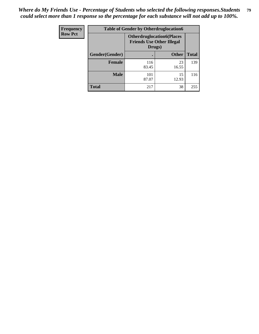| Frequency      | <b>Table of Gender by Otherdruglocation6</b> |                                            |                                  |              |
|----------------|----------------------------------------------|--------------------------------------------|----------------------------------|--------------|
| <b>Row Pct</b> |                                              | <b>Friends Use Other Illegal</b><br>Drugs) | <b>Otherdruglocation6(Places</b> |              |
|                | Gender(Gender)                               |                                            | <b>Other</b>                     | <b>Total</b> |
|                | <b>Female</b>                                | 116<br>83.45                               | 23<br>16.55                      | 139          |
|                | <b>Male</b>                                  | 101<br>87.07                               | 15<br>12.93                      | 116          |
|                | <b>Total</b>                                 | 217                                        | 38                               | 255          |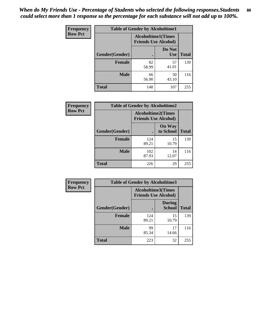| <b>Frequency</b> | <b>Table of Gender by Alcoholtime1</b> |                                                          |                      |              |
|------------------|----------------------------------------|----------------------------------------------------------|----------------------|--------------|
| <b>Row Pct</b>   |                                        | <b>Alcoholtime1(Times</b><br><b>Friends Use Alcohol)</b> |                      |              |
|                  | Gender(Gender)                         | $\bullet$                                                | Do Not<br><b>Use</b> | <b>Total</b> |
|                  | <b>Female</b>                          | 82<br>58.99                                              | 57<br>41.01          | 139          |
|                  | <b>Male</b>                            | 66<br>56.90                                              | 50<br>43.10          | 116          |
|                  | <b>Total</b>                           | 148                                                      | 107                  | 255          |

| <b>Frequency</b> | <b>Table of Gender by Alcoholtime2</b> |                                                          |                            |              |
|------------------|----------------------------------------|----------------------------------------------------------|----------------------------|--------------|
| <b>Row Pct</b>   |                                        | <b>Alcoholtime2(Times</b><br><b>Friends Use Alcohol)</b> |                            |              |
|                  | Gender(Gender)                         |                                                          | <b>On Way</b><br>to School | <b>Total</b> |
|                  | <b>Female</b>                          | 124<br>89.21                                             | 15<br>10.79                | 139          |
|                  | <b>Male</b>                            | 102<br>87.93                                             | 14<br>12.07                | 116          |
|                  | <b>Total</b>                           | 226                                                      | 29                         | 255          |

| Frequency      | <b>Table of Gender by Alcoholtime3</b> |                                                          |                                |              |
|----------------|----------------------------------------|----------------------------------------------------------|--------------------------------|--------------|
| <b>Row Pct</b> |                                        | <b>Alcoholtime3(Times</b><br><b>Friends Use Alcohol)</b> |                                |              |
|                | Gender(Gender)                         |                                                          | <b>During</b><br><b>School</b> | <b>Total</b> |
|                | <b>Female</b>                          | 124<br>89.21                                             | 15<br>10.79                    | 139          |
|                | <b>Male</b>                            | 99<br>85.34                                              | 17<br>14.66                    | 116          |
|                | <b>Total</b>                           | 223                                                      | 32                             | 255          |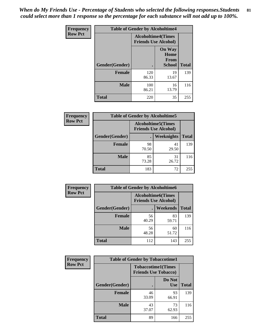*When do My Friends Use - Percentage of Students who selected the following responses.Students could select more than 1 response so the percentage for each substance will not add up to 100%.* **81**

| <b>Frequency</b> | <b>Table of Gender by Alcoholtime4</b> |                                                          |                                                       |              |
|------------------|----------------------------------------|----------------------------------------------------------|-------------------------------------------------------|--------------|
| <b>Row Pct</b>   |                                        | <b>Alcoholtime4(Times</b><br><b>Friends Use Alcohol)</b> |                                                       |              |
|                  | Gender(Gender)                         |                                                          | <b>On Way</b><br>Home<br><b>From</b><br><b>School</b> | <b>Total</b> |
|                  | <b>Female</b>                          | 120<br>86.33                                             | 19<br>13.67                                           | 139          |
|                  | <b>Male</b>                            | 100<br>86.21                                             | 16<br>13.79                                           | 116          |
|                  | <b>Total</b>                           | 220                                                      | 35                                                    | 255          |

| <b>Frequency</b> | <b>Table of Gender by Alcoholtime5</b> |                                                           |             |              |  |
|------------------|----------------------------------------|-----------------------------------------------------------|-------------|--------------|--|
| <b>Row Pct</b>   |                                        | <b>Alcoholtime5</b> (Times<br><b>Friends Use Alcohol)</b> |             |              |  |
|                  | Gender(Gender)                         |                                                           | Weeknights  | <b>Total</b> |  |
|                  | <b>Female</b>                          | 98<br>70.50                                               | 41<br>29.50 | 139          |  |
|                  | <b>Male</b>                            | 85<br>73.28                                               | 31<br>26.72 | 116          |  |
|                  | <b>Total</b>                           | 183                                                       | 72          | 255          |  |

| <b>Frequency</b> | <b>Table of Gender by Alcoholtime6</b> |             |                                                           |              |
|------------------|----------------------------------------|-------------|-----------------------------------------------------------|--------------|
| <b>Row Pct</b>   |                                        |             | <b>Alcoholtime6</b> (Times<br><b>Friends Use Alcohol)</b> |              |
|                  | Gender(Gender)                         |             | <b>Weekends</b>                                           | <b>Total</b> |
|                  | Female                                 | 56<br>40.29 | 83<br>59.71                                               | 139          |
|                  | <b>Male</b>                            | 56<br>48.28 | 60<br>51.72                                               | 116          |
|                  | <b>Total</b>                           | 112         | 143                                                       | 255          |

| Frequency      | <b>Table of Gender by Tobaccotime1</b> |                                                          |                      |              |
|----------------|----------------------------------------|----------------------------------------------------------|----------------------|--------------|
| <b>Row Pct</b> |                                        | <b>Tobaccotime1(Times</b><br><b>Friends Use Tobacco)</b> |                      |              |
|                | Gender(Gender)                         |                                                          | Do Not<br><b>Use</b> | <b>Total</b> |
|                | <b>Female</b>                          | 46<br>33.09                                              | 93<br>66.91          | 139          |
|                | <b>Male</b>                            | 43<br>37.07                                              | 73<br>62.93          | 116          |
|                | <b>Total</b>                           | 89                                                       | 166                  | 255          |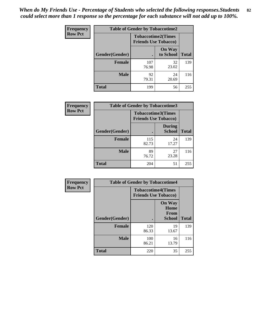| <b>Frequency</b> | <b>Table of Gender by Tobaccotime2</b> |                                                          |                            |              |
|------------------|----------------------------------------|----------------------------------------------------------|----------------------------|--------------|
| <b>Row Pct</b>   |                                        | <b>Tobaccotime2(Times</b><br><b>Friends Use Tobacco)</b> |                            |              |
|                  | Gender(Gender)                         |                                                          | <b>On Way</b><br>to School | <b>Total</b> |
|                  | <b>Female</b>                          | 107<br>76.98                                             | 32<br>23.02                | 139          |
|                  | <b>Male</b>                            | 92<br>79.31                                              | 24<br>20.69                | 116          |
|                  | <b>Total</b>                           | 199                                                      | 56                         | 255          |

| Frequency      | <b>Table of Gender by Tobaccotime3</b> |                                                          |                                |              |
|----------------|----------------------------------------|----------------------------------------------------------|--------------------------------|--------------|
| <b>Row Pct</b> |                                        | <b>Tobaccotime3(Times</b><br><b>Friends Use Tobacco)</b> |                                |              |
|                | Gender(Gender)                         |                                                          | <b>During</b><br><b>School</b> | <b>Total</b> |
|                | Female                                 | 115<br>82.73                                             | 24<br>17.27                    | 139          |
|                | <b>Male</b>                            | 89<br>76.72                                              | 27<br>23.28                    | 116          |
|                | <b>Total</b>                           | 204                                                      | 51                             | 255          |

| <b>Frequency</b> | <b>Table of Gender by Tobaccotime4</b> |                                                          |                                                       |              |
|------------------|----------------------------------------|----------------------------------------------------------|-------------------------------------------------------|--------------|
| <b>Row Pct</b>   |                                        | <b>Tobaccotime4(Times</b><br><b>Friends Use Tobacco)</b> |                                                       |              |
|                  | Gender(Gender)                         |                                                          | <b>On Way</b><br>Home<br><b>From</b><br><b>School</b> | <b>Total</b> |
|                  | <b>Female</b>                          | 120<br>86.33                                             | 19<br>13.67                                           | 139          |
|                  | <b>Male</b>                            | 100<br>86.21                                             | 16<br>13.79                                           | 116          |
|                  | <b>Total</b>                           | 220                                                      | 35                                                    | 255          |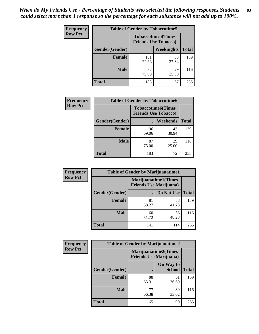| Frequency      | <b>Table of Gender by Tobaccotime5</b> |              |                                                          |              |  |
|----------------|----------------------------------------|--------------|----------------------------------------------------------|--------------|--|
| <b>Row Pct</b> |                                        |              | <b>Tobaccotime5(Times</b><br><b>Friends Use Tobacco)</b> |              |  |
|                | Gender(Gender)                         |              | Weeknights                                               | <b>Total</b> |  |
|                | <b>Female</b>                          | 101<br>72.66 | 38<br>27.34                                              | 139          |  |
|                | <b>Male</b>                            | 87<br>75.00  | 29<br>25.00                                              | 116          |  |
|                | <b>Total</b>                           | 188          | 67                                                       | 255          |  |

| <b>Frequency</b> |                | <b>Table of Gender by Tobaccotime6</b> |                           |              |
|------------------|----------------|----------------------------------------|---------------------------|--------------|
| <b>Row Pct</b>   |                | <b>Friends Use Tobacco)</b>            | <b>Tobaccotime6(Times</b> |              |
|                  | Gender(Gender) |                                        | Weekends                  | <b>Total</b> |
|                  | Female         | 96<br>69.06                            | 43<br>30.94               | 139          |
|                  | <b>Male</b>    | 87<br>75.00                            | 29<br>25.00               | 116          |
|                  | <b>Total</b>   | 183                                    | 72                        | 255          |

| <b>Frequency</b> | <b>Table of Gender by Marijuanatime1</b> |                                                               |             |              |
|------------------|------------------------------------------|---------------------------------------------------------------|-------------|--------------|
| <b>Row Pct</b>   |                                          | <b>Marijuanatime1(Times</b><br><b>Friends Use Marijuana</b> ) |             |              |
|                  | Gender(Gender)                           |                                                               | Do Not Use  | <b>Total</b> |
|                  | <b>Female</b>                            | 81<br>58.27                                                   | 58<br>41.73 | 139          |
|                  | <b>Male</b>                              | 60<br>51.72                                                   | 56<br>48.28 | 116          |
|                  | <b>Total</b>                             | 141                                                           | 114         | 255          |

| <b>Frequency</b> | <b>Table of Gender by Marijuanatime2</b> |                                                        |                            |              |
|------------------|------------------------------------------|--------------------------------------------------------|----------------------------|--------------|
| <b>Row Pct</b>   |                                          | Marijuanatime2(Times<br><b>Friends Use Marijuana</b> ) |                            |              |
|                  | Gender(Gender)                           |                                                        | On Way to<br><b>School</b> | <b>Total</b> |
|                  | <b>Female</b>                            | 88<br>63.31                                            | 51<br>36.69                | 139          |
|                  | <b>Male</b>                              | 77<br>66.38                                            | 39<br>33.62                | 116          |
|                  | <b>Total</b>                             | 165                                                    | 90                         | 255          |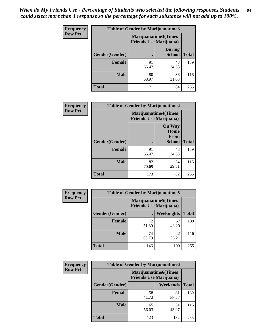| Frequency      | <b>Table of Gender by Marijuanatime3</b> |                                                        |                                |              |
|----------------|------------------------------------------|--------------------------------------------------------|--------------------------------|--------------|
| <b>Row Pct</b> |                                          | Marijuanatime3(Times<br><b>Friends Use Marijuana</b> ) |                                |              |
|                | Gender(Gender)                           |                                                        | <b>During</b><br><b>School</b> | <b>Total</b> |
|                | <b>Female</b>                            | 91<br>65.47                                            | 48<br>34.53                    | 139          |
|                | <b>Male</b>                              | 80<br>68.97                                            | 36<br>31.03                    | 116          |
|                | <b>Total</b>                             | 171                                                    | 84                             | 255          |

| Frequency      | <b>Table of Gender by Marijuanatime4</b> |                                                               |                                                |              |
|----------------|------------------------------------------|---------------------------------------------------------------|------------------------------------------------|--------------|
| <b>Row Pct</b> |                                          | <b>Marijuanatime4(Times</b><br><b>Friends Use Marijuana</b> ) |                                                |              |
|                | Gender(Gender)                           |                                                               | <b>On Way</b><br>Home<br>From<br><b>School</b> | <b>Total</b> |
|                | <b>Female</b>                            | 91<br>65.47                                                   | 48<br>34.53                                    | 139          |
|                | <b>Male</b>                              | 82<br>70.69                                                   | 34<br>29.31                                    | 116          |
|                | <b>Total</b>                             | 173                                                           | 82                                             | 255          |

| <b>Frequency</b> | <b>Table of Gender by Marijuanatime5</b> |                                                                |                   |              |  |
|------------------|------------------------------------------|----------------------------------------------------------------|-------------------|--------------|--|
| <b>Row Pct</b>   |                                          | <b>Marijuanatime5</b> (Times<br><b>Friends Use Marijuana</b> ) |                   |              |  |
|                  | Gender(Gender)                           |                                                                | <b>Weeknights</b> | <b>Total</b> |  |
|                  | <b>Female</b>                            | 72<br>51.80                                                    | 67<br>48.20       | 139          |  |
|                  | <b>Male</b>                              | 74<br>63.79                                                    | 42<br>36.21       | 116          |  |
|                  | <b>Total</b>                             | 146                                                            | 109               | 255          |  |

| <b>Frequency</b> | <b>Table of Gender by Marijuanatime6</b> |                                                               |                 |              |  |
|------------------|------------------------------------------|---------------------------------------------------------------|-----------------|--------------|--|
| <b>Row Pct</b>   |                                          | <b>Marijuanatime6(Times</b><br><b>Friends Use Marijuana</b> ) |                 |              |  |
|                  | Gender(Gender)                           |                                                               | <b>Weekends</b> | <b>Total</b> |  |
|                  | Female                                   | 58<br>41.73                                                   | 81<br>58.27     | 139          |  |
|                  | <b>Male</b>                              | 65<br>56.03                                                   | 51<br>43.97     | 116          |  |
|                  | <b>Total</b>                             | 123                                                           | 132             | 255          |  |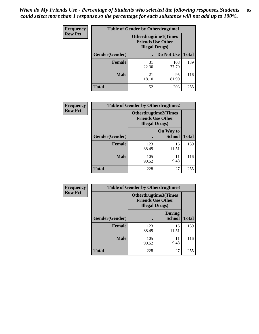| <b>Frequency</b> | <b>Table of Gender by Otherdrugtime1</b> |                                                                                   |              |              |
|------------------|------------------------------------------|-----------------------------------------------------------------------------------|--------------|--------------|
| <b>Row Pct</b>   |                                          | <b>Otherdrugtime1</b> (Times<br><b>Friends Use Other</b><br><b>Illegal Drugs)</b> |              |              |
|                  | Gender(Gender)                           |                                                                                   | Do Not Use   | <b>Total</b> |
|                  | <b>Female</b>                            | 31<br>22.30                                                                       | 108<br>77.70 | 139          |
|                  | Male                                     | 21<br>18.10                                                                       | 95<br>81.90  | 116          |
|                  | <b>Total</b>                             | 52                                                                                | 203          | 255          |

| Frequency      | <b>Table of Gender by Otherdrugtime2</b> |                                                    |                             |              |
|----------------|------------------------------------------|----------------------------------------------------|-----------------------------|--------------|
| <b>Row Pct</b> |                                          | <b>Friends Use Other</b><br><b>Illegal Drugs</b> ) | <b>Otherdrugtime2(Times</b> |              |
|                | Gender(Gender)                           |                                                    | On Way to<br><b>School</b>  | <b>Total</b> |
|                | <b>Female</b>                            | 123<br>88.49                                       | 16<br>11.51                 | 139          |
|                | <b>Male</b>                              | 105<br>90.52                                       | 11<br>9.48                  | 116          |
|                | <b>Total</b>                             | 228                                                | 27                          | 255          |

| Frequency      |                | <b>Table of Gender by Otherdrugtime3</b> |                                                         |              |
|----------------|----------------|------------------------------------------|---------------------------------------------------------|--------------|
| <b>Row Pct</b> |                | <b>Illegal Drugs</b> )                   | <b>Otherdrugtime3(Times</b><br><b>Friends Use Other</b> |              |
|                | Gender(Gender) |                                          | <b>During</b><br><b>School</b>                          | <b>Total</b> |
|                | <b>Female</b>  | 123<br>88.49                             | 16<br>11.51                                             | 139          |
|                | <b>Male</b>    | 105<br>90.52                             | 11<br>9.48                                              | 116          |
|                | <b>Total</b>   | 228                                      | 27                                                      | 255          |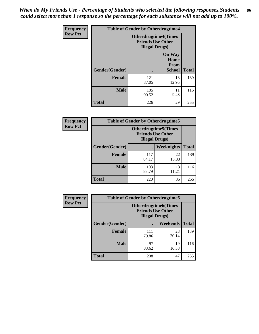*When do My Friends Use - Percentage of Students who selected the following responses.Students could select more than 1 response so the percentage for each substance will not add up to 100%.* **86**

| <b>Frequency</b> | <b>Table of Gender by Otherdrugtime4</b> |                                                    |                                         |              |
|------------------|------------------------------------------|----------------------------------------------------|-----------------------------------------|--------------|
| <b>Row Pct</b>   |                                          | <b>Friends Use Other</b><br><b>Illegal Drugs</b> ) | <b>Otherdrugtime4(Times</b>             |              |
|                  | Gender(Gender)                           |                                                    | <b>On Way</b><br>Home<br>From<br>School | <b>Total</b> |
|                  | <b>Female</b>                            | 121<br>87.05                                       | 18<br>12.95                             | 139          |
|                  | <b>Male</b>                              | 105<br>90.52                                       | 11<br>9.48                              | 116          |
|                  | <b>Total</b>                             | 226                                                | 29                                      | 255          |

| Frequency      | <b>Table of Gender by Otherdrugtime5</b> |                                                                                    |             |              |
|----------------|------------------------------------------|------------------------------------------------------------------------------------|-------------|--------------|
| <b>Row Pct</b> |                                          | <b>Otherdrugtime5</b> (Times<br><b>Friends Use Other</b><br><b>Illegal Drugs</b> ) |             |              |
|                | Gender(Gender)                           |                                                                                    | Weeknights  | <b>Total</b> |
|                | <b>Female</b>                            | 117<br>84.17                                                                       | 22<br>15.83 | 139          |
|                | <b>Male</b>                              | 103<br>88.79                                                                       | 13<br>11.21 | 116          |
|                | <b>Total</b>                             | 220                                                                                | 35          | 255          |

| <b>Frequency</b> | <b>Table of Gender by Otherdrugtime6</b> |                                                                                   |             |              |
|------------------|------------------------------------------|-----------------------------------------------------------------------------------|-------------|--------------|
| <b>Row Pct</b>   |                                          | <b>Otherdrugtime6(Times</b><br><b>Friends Use Other</b><br><b>Illegal Drugs</b> ) |             |              |
|                  | Gender(Gender)                           |                                                                                   | Weekends    | <b>Total</b> |
|                  | <b>Female</b>                            | 111<br>79.86                                                                      | 28<br>20.14 | 139          |
|                  | <b>Male</b>                              | 97<br>83.62                                                                       | 19<br>16.38 | 116          |
|                  | <b>Total</b>                             | 208                                                                               | 47          | 255          |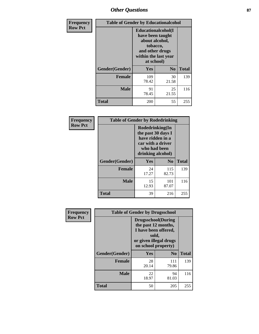# *Other Questions* **87**

| <b>Frequency</b> | <b>Table of Gender by Educationalcohol</b> |                                                                                                                                       |                |              |  |
|------------------|--------------------------------------------|---------------------------------------------------------------------------------------------------------------------------------------|----------------|--------------|--|
| <b>Row Pct</b>   |                                            | <b>Educationalcohol</b> (I<br>have been taught<br>about alcohol,<br>tobacco,<br>and other drugs<br>within the last year<br>at school) |                |              |  |
|                  | Gender(Gender)                             | <b>Yes</b>                                                                                                                            | N <sub>0</sub> | <b>Total</b> |  |
|                  | <b>Female</b>                              | 109<br>78.42                                                                                                                          | 30<br>21.58    | 139          |  |
|                  | <b>Male</b>                                | 91<br>78.45                                                                                                                           | 25<br>21.55    | 116          |  |
|                  | <b>Total</b>                               | 200                                                                                                                                   | 55             | 255          |  |

| Frequency      | <b>Table of Gender by Rodedrinking</b> |                                                                                                                     |              |              |  |
|----------------|----------------------------------------|---------------------------------------------------------------------------------------------------------------------|--------------|--------------|--|
| <b>Row Pct</b> |                                        | Rodedrinking(In<br>the past 30 days I<br>have ridden in a<br>car with a driver<br>who had been<br>drinking alcohol) |              |              |  |
|                | Gender(Gender)                         | Yes                                                                                                                 | $\bf N_0$    | <b>Total</b> |  |
|                | <b>Female</b>                          | 24<br>17.27                                                                                                         | 115<br>82.73 | 139          |  |
|                | <b>Male</b>                            | 15<br>12.93                                                                                                         | 101<br>87.07 | 116          |  |
|                | <b>Total</b>                           | 39                                                                                                                  | 216          | 255          |  |

| Frequency      | <b>Table of Gender by Drugsschool</b> |                                                                                                                                     |                |              |  |
|----------------|---------------------------------------|-------------------------------------------------------------------------------------------------------------------------------------|----------------|--------------|--|
| <b>Row Pct</b> |                                       | <b>Drugsschool</b> (During<br>the past 12 months,<br>I have been offered,<br>sold,<br>or given illegal drugs<br>on school property) |                |              |  |
|                | Gender(Gender)                        | Yes                                                                                                                                 | N <sub>0</sub> | <b>Total</b> |  |
|                | <b>Female</b>                         | 28<br>20.14                                                                                                                         | 111<br>79.86   | 139          |  |
|                | <b>Male</b>                           | 22<br>18.97                                                                                                                         | 94<br>81.03    | 116          |  |
|                | <b>Total</b>                          | 50                                                                                                                                  | 205            | 255          |  |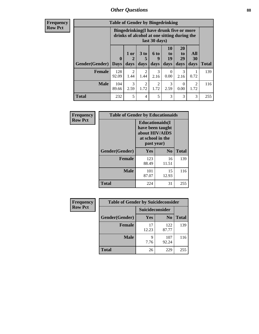# *Other Questions* **88**

**Frequency Row Pct**

| <b>Table of Gender by Bingedrinking</b> |                                                                                                         |              |                        |                        |                        |                               |                        |              |
|-----------------------------------------|---------------------------------------------------------------------------------------------------------|--------------|------------------------|------------------------|------------------------|-------------------------------|------------------------|--------------|
|                                         | Bingedrinking(I have drunk five or more<br>drinks of alcohol at one sitting during the<br>last 30 days) |              |                        |                        |                        |                               |                        |              |
| <b>Gender</b> (Gender)                  | $\bf{0}$<br><b>Days</b>                                                                                 | 1 or<br>days | 3 to<br>5<br>days      | 6 to<br>9<br>days      | 10<br>to<br>19<br>days | <b>20</b><br>to<br>29<br>days | All<br>30<br>days      | <b>Total</b> |
|                                         |                                                                                                         |              |                        |                        |                        |                               |                        |              |
| <b>Female</b>                           | 128<br>92.09                                                                                            | 2<br>1.44    | $\overline{2}$<br>1.44 | 3<br>2.16              | $\Omega$<br>0.00       | 3<br>2.16                     | 0.72                   | 139          |
| <b>Male</b>                             | 104<br>89.66                                                                                            | 3<br>2.59    | $\overline{2}$<br>1.72 | $\mathfrak{D}$<br>1.72 | 3<br>2.59              | $\Omega$<br>0.00              | $\mathfrak{D}$<br>1.72 | 116          |

| Frequency      | <b>Table of Gender by Educationaids</b> |                                                                                                 |             |              |  |
|----------------|-----------------------------------------|-------------------------------------------------------------------------------------------------|-------------|--------------|--|
| <b>Row Pct</b> |                                         | <b>Educationaids</b> (I<br>have been taught<br>about HIV/AIDS<br>at school in the<br>past year) |             |              |  |
|                | Gender(Gender)                          | Yes                                                                                             | $\bf No$    | <b>Total</b> |  |
|                | <b>Female</b>                           | 123<br>88.49                                                                                    | 16<br>11.51 | 139          |  |
|                | <b>Male</b>                             | 101<br>87.07                                                                                    | 15<br>12.93 | 116          |  |
|                | <b>Total</b>                            | 224                                                                                             | 31          | 255          |  |

| Frequency      | <b>Table of Gender by Suicideconsider</b> |                 |                |              |
|----------------|-------------------------------------------|-----------------|----------------|--------------|
| <b>Row Pct</b> |                                           | Suicideconsider |                |              |
|                | Gender(Gender)                            | Yes             | N <sub>0</sub> | <b>Total</b> |
|                | <b>Female</b>                             | 17<br>12.23     | 122<br>87.77   | 139          |
|                | <b>Male</b>                               | q<br>7.76       | 107<br>92.24   | 116          |
|                | <b>Total</b>                              | 26              | 229            | 255          |